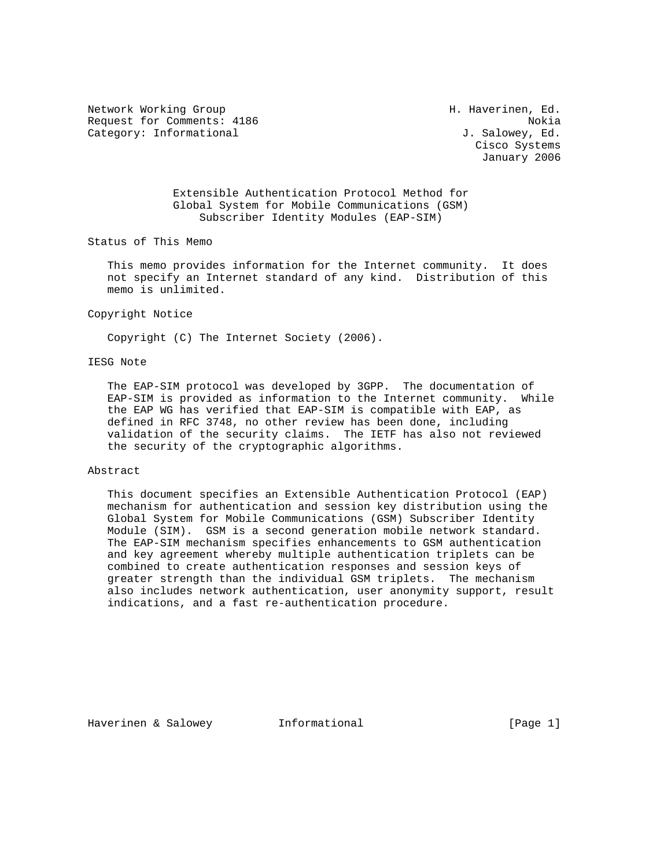Network Working Group **H. Haverinen**, Ed. Request for Comments: 4186 Nokia Category: Informational  $J.$  Salowey, Ed.

 Cisco Systems January 2006

 Extensible Authentication Protocol Method for Global System for Mobile Communications (GSM) Subscriber Identity Modules (EAP-SIM)

Status of This Memo

 This memo provides information for the Internet community. It does not specify an Internet standard of any kind. Distribution of this memo is unlimited.

#### Copyright Notice

Copyright (C) The Internet Society (2006).

### IESG Note

 The EAP-SIM protocol was developed by 3GPP. The documentation of EAP-SIM is provided as information to the Internet community. While the EAP WG has verified that EAP-SIM is compatible with EAP, as defined in RFC 3748, no other review has been done, including validation of the security claims. The IETF has also not reviewed the security of the cryptographic algorithms.

#### Abstract

 This document specifies an Extensible Authentication Protocol (EAP) mechanism for authentication and session key distribution using the Global System for Mobile Communications (GSM) Subscriber Identity Module (SIM). GSM is a second generation mobile network standard. The EAP-SIM mechanism specifies enhancements to GSM authentication and key agreement whereby multiple authentication triplets can be combined to create authentication responses and session keys of greater strength than the individual GSM triplets. The mechanism also includes network authentication, user anonymity support, result indications, and a fast re-authentication procedure.

Haverinen & Salowey **Informational Informational** [Page 1]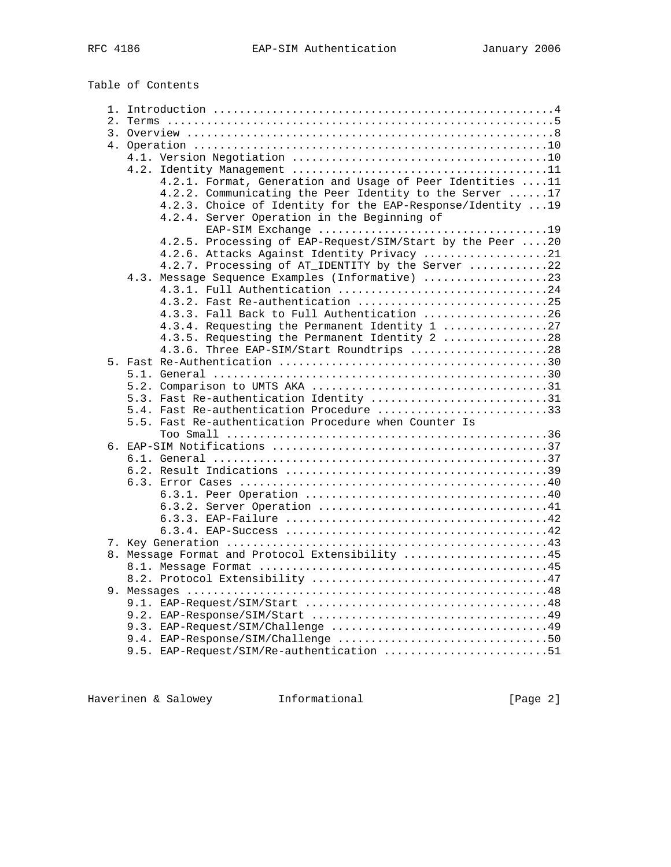Table of Contents

| 4.2.1. Format, Generation and Usage of Peer Identities 11                                                  |  |
|------------------------------------------------------------------------------------------------------------|--|
| 4.2.2. Communicating the Peer Identity to the Server 17                                                    |  |
| 4.2.3. Choice of Identity for the EAP-Response/Identity  19<br>4.2.4. Server Operation in the Beginning of |  |
|                                                                                                            |  |
| 4.2.5. Processing of EAP-Request/SIM/Start by the Peer 20                                                  |  |
| 4.2.6. Attacks Against Identity Privacy 21                                                                 |  |
| 4.2.7. Processing of AT_IDENTITY by the Server 22                                                          |  |
| 4.3. Message Sequence Examples (Informative) 23                                                            |  |
| 4.3.1. Full Authentication 24                                                                              |  |
|                                                                                                            |  |
| 4.3.3. Fall Back to Full Authentication 26                                                                 |  |
| 4.3.4. Requesting the Permanent Identity 1 27                                                              |  |
| 4.3.5. Requesting the Permanent Identity 2 28                                                              |  |
| 4.3.6. Three EAP-SIM/Start Roundtrips 28                                                                   |  |
|                                                                                                            |  |
|                                                                                                            |  |
|                                                                                                            |  |
| 5.3. Fast Re-authentication Identity 31                                                                    |  |
| 5.4. Fast Re-authentication Procedure 33                                                                   |  |
| 5.5. Fast Re-authentication Procedure when Counter Is                                                      |  |
|                                                                                                            |  |
|                                                                                                            |  |
|                                                                                                            |  |
|                                                                                                            |  |
|                                                                                                            |  |
|                                                                                                            |  |
|                                                                                                            |  |
|                                                                                                            |  |
|                                                                                                            |  |
|                                                                                                            |  |
| 8. Message Format and Protocol Extensibility 45                                                            |  |
|                                                                                                            |  |
|                                                                                                            |  |
|                                                                                                            |  |
|                                                                                                            |  |
|                                                                                                            |  |
|                                                                                                            |  |
|                                                                                                            |  |
| 9.5. EAP-Request/SIM/Re-authentication 51                                                                  |  |

Haverinen & Salowey **Informational Informational** [Page 2]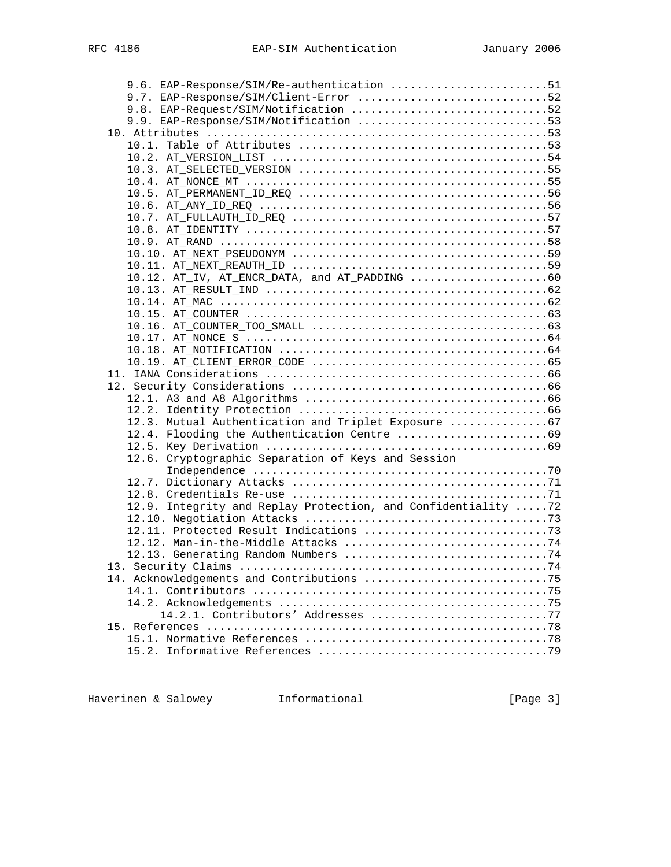| 9.6. EAP-Response/SIM/Re-authentication 51                                                                      |  |
|-----------------------------------------------------------------------------------------------------------------|--|
| 9.7. EAP-Response/SIM/Client-Error 52                                                                           |  |
| 9.8. EAP-Request/SIM/Notification 52                                                                            |  |
| 9.9. EAP-Response/SIM/Notification 53                                                                           |  |
|                                                                                                                 |  |
|                                                                                                                 |  |
|                                                                                                                 |  |
|                                                                                                                 |  |
|                                                                                                                 |  |
|                                                                                                                 |  |
|                                                                                                                 |  |
|                                                                                                                 |  |
|                                                                                                                 |  |
|                                                                                                                 |  |
|                                                                                                                 |  |
|                                                                                                                 |  |
| 10.12. AT_IV, AT_ENCR_DATA, and AT_PADDING 60                                                                   |  |
|                                                                                                                 |  |
|                                                                                                                 |  |
|                                                                                                                 |  |
|                                                                                                                 |  |
|                                                                                                                 |  |
|                                                                                                                 |  |
| $10.19.$ AT_CLIENT_ERROR_CODE $\ldots \ldots \ldots \ldots \ldots \ldots \ldots \ldots \ldots \ldots \ldots 65$ |  |
|                                                                                                                 |  |
|                                                                                                                 |  |
|                                                                                                                 |  |
|                                                                                                                 |  |
| 12.3. Mutual Authentication and Triplet Exposure 67                                                             |  |
|                                                                                                                 |  |
|                                                                                                                 |  |
| 12.6. Cryptographic Separation of Keys and Session                                                              |  |
|                                                                                                                 |  |
|                                                                                                                 |  |
|                                                                                                                 |  |
| 12.9. Integrity and Replay Protection, and Confidentiality 72                                                   |  |
|                                                                                                                 |  |
|                                                                                                                 |  |
|                                                                                                                 |  |
|                                                                                                                 |  |
|                                                                                                                 |  |
|                                                                                                                 |  |
|                                                                                                                 |  |
|                                                                                                                 |  |
| 14.2.1. Contributors' Addresses 77                                                                              |  |
|                                                                                                                 |  |
|                                                                                                                 |  |
|                                                                                                                 |  |

Haverinen & Salowey **Informational Example 1** Page 3]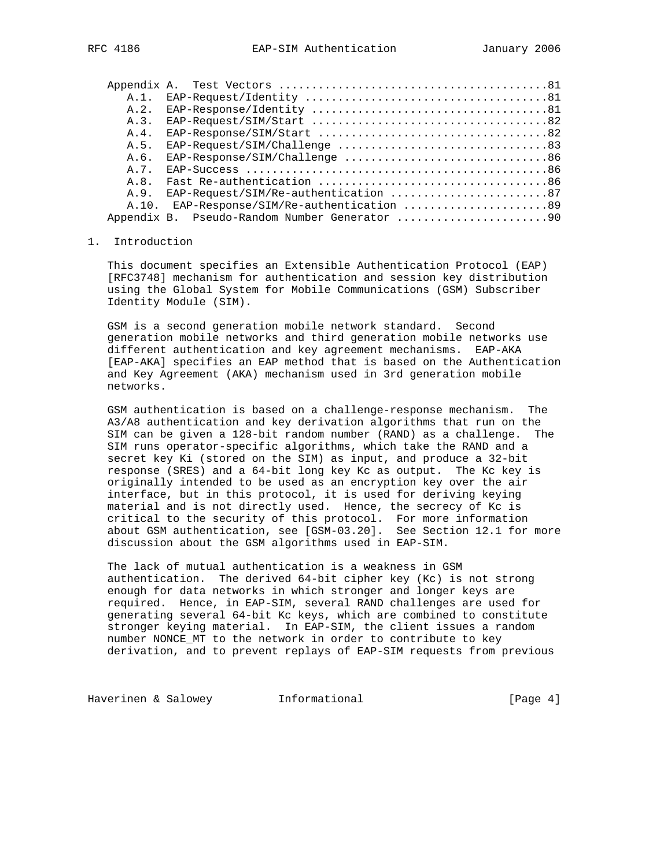| $A.1$ .<br>A.2.<br>A.3.<br>A.4.<br>A.5.<br>A.6.<br>$EAP-Response/SIM/Challenge$ 86<br>A. 7.<br>A R |  |
|----------------------------------------------------------------------------------------------------|--|
|                                                                                                    |  |
|                                                                                                    |  |
|                                                                                                    |  |
|                                                                                                    |  |
|                                                                                                    |  |
|                                                                                                    |  |
|                                                                                                    |  |
|                                                                                                    |  |
| EAP-Request/SIM/Re-authentication 87<br>A.9.                                                       |  |
| EAP-Response/SIM/Re-authentication 89<br>A.10.                                                     |  |
|                                                                                                    |  |

# 1. Introduction

 This document specifies an Extensible Authentication Protocol (EAP) [RFC3748] mechanism for authentication and session key distribution using the Global System for Mobile Communications (GSM) Subscriber Identity Module (SIM).

 GSM is a second generation mobile network standard. Second generation mobile networks and third generation mobile networks use different authentication and key agreement mechanisms. EAP-AKA [EAP-AKA] specifies an EAP method that is based on the Authentication and Key Agreement (AKA) mechanism used in 3rd generation mobile networks.

 GSM authentication is based on a challenge-response mechanism. The A3/A8 authentication and key derivation algorithms that run on the SIM can be given a 128-bit random number (RAND) as a challenge. The SIM runs operator-specific algorithms, which take the RAND and a secret key Ki (stored on the SIM) as input, and produce a 32-bit response (SRES) and a 64-bit long key Kc as output. The Kc key is originally intended to be used as an encryption key over the air interface, but in this protocol, it is used for deriving keying material and is not directly used. Hence, the secrecy of Kc is critical to the security of this protocol. For more information about GSM authentication, see [GSM-03.20]. See Section 12.1 for more discussion about the GSM algorithms used in EAP-SIM.

 The lack of mutual authentication is a weakness in GSM authentication. The derived 64-bit cipher key (Kc) is not strong enough for data networks in which stronger and longer keys are required. Hence, in EAP-SIM, several RAND challenges are used for generating several 64-bit Kc keys, which are combined to constitute stronger keying material. In EAP-SIM, the client issues a random number NONCE\_MT to the network in order to contribute to key derivation, and to prevent replays of EAP-SIM requests from previous

Haverinen & Salowey **Informational Informational** [Page 4]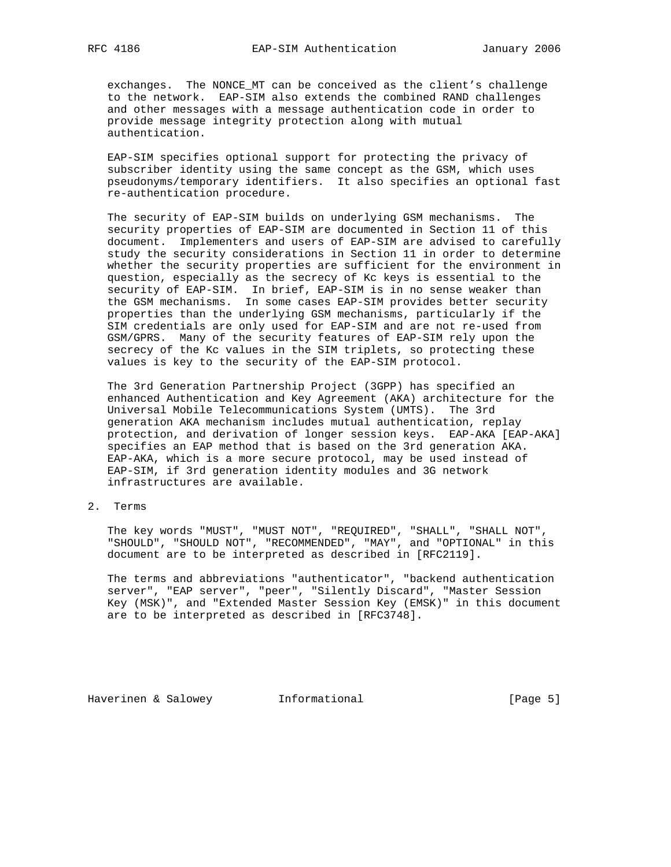exchanges. The NONCE\_MT can be conceived as the client's challenge to the network. EAP-SIM also extends the combined RAND challenges and other messages with a message authentication code in order to provide message integrity protection along with mutual authentication.

 EAP-SIM specifies optional support for protecting the privacy of subscriber identity using the same concept as the GSM, which uses pseudonyms/temporary identifiers. It also specifies an optional fast re-authentication procedure.

 The security of EAP-SIM builds on underlying GSM mechanisms. The security properties of EAP-SIM are documented in Section 11 of this document. Implementers and users of EAP-SIM are advised to carefully study the security considerations in Section 11 in order to determine whether the security properties are sufficient for the environment in question, especially as the secrecy of Kc keys is essential to the security of EAP-SIM. In brief, EAP-SIM is in no sense weaker than the GSM mechanisms. In some cases EAP-SIM provides better security properties than the underlying GSM mechanisms, particularly if the SIM credentials are only used for EAP-SIM and are not re-used from GSM/GPRS. Many of the security features of EAP-SIM rely upon the secrecy of the Kc values in the SIM triplets, so protecting these values is key to the security of the EAP-SIM protocol.

 The 3rd Generation Partnership Project (3GPP) has specified an enhanced Authentication and Key Agreement (AKA) architecture for the Universal Mobile Telecommunications System (UMTS). The 3rd generation AKA mechanism includes mutual authentication, replay protection, and derivation of longer session keys. EAP-AKA [EAP-AKA] specifies an EAP method that is based on the 3rd generation AKA. EAP-AKA, which is a more secure protocol, may be used instead of EAP-SIM, if 3rd generation identity modules and 3G network infrastructures are available.

2. Terms

 The key words "MUST", "MUST NOT", "REQUIRED", "SHALL", "SHALL NOT", "SHOULD", "SHOULD NOT", "RECOMMENDED", "MAY", and "OPTIONAL" in this document are to be interpreted as described in [RFC2119].

 The terms and abbreviations "authenticator", "backend authentication server", "EAP server", "peer", "Silently Discard", "Master Session Key (MSK)", and "Extended Master Session Key (EMSK)" in this document are to be interpreted as described in [RFC3748].

Haverinen & Salowey **Informational Informational** [Page 5]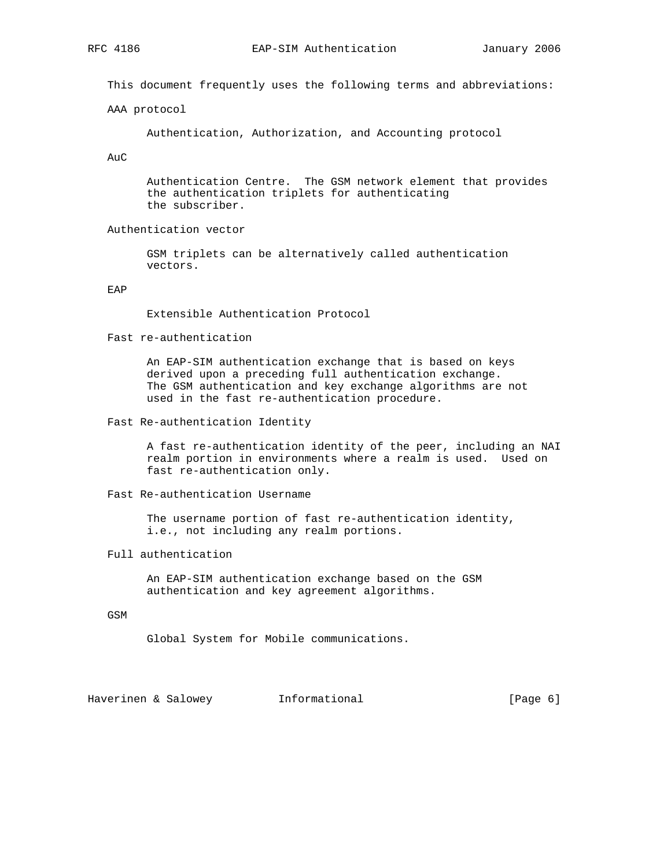This document frequently uses the following terms and abbreviations:

AAA protocol

Authentication, Authorization, and Accounting protocol

AuC

 Authentication Centre. The GSM network element that provides the authentication triplets for authenticating the subscriber.

Authentication vector

 GSM triplets can be alternatively called authentication vectors.

EAP

Extensible Authentication Protocol

Fast re-authentication

 An EAP-SIM authentication exchange that is based on keys derived upon a preceding full authentication exchange. The GSM authentication and key exchange algorithms are not used in the fast re-authentication procedure.

Fast Re-authentication Identity

 A fast re-authentication identity of the peer, including an NAI realm portion in environments where a realm is used. Used on fast re-authentication only.

Fast Re-authentication Username

 The username portion of fast re-authentication identity, i.e., not including any realm portions.

Full authentication

 An EAP-SIM authentication exchange based on the GSM authentication and key agreement algorithms.

GSM

Global System for Mobile communications.

Haverinen & Salowey **Informational Example 1** [Page 6]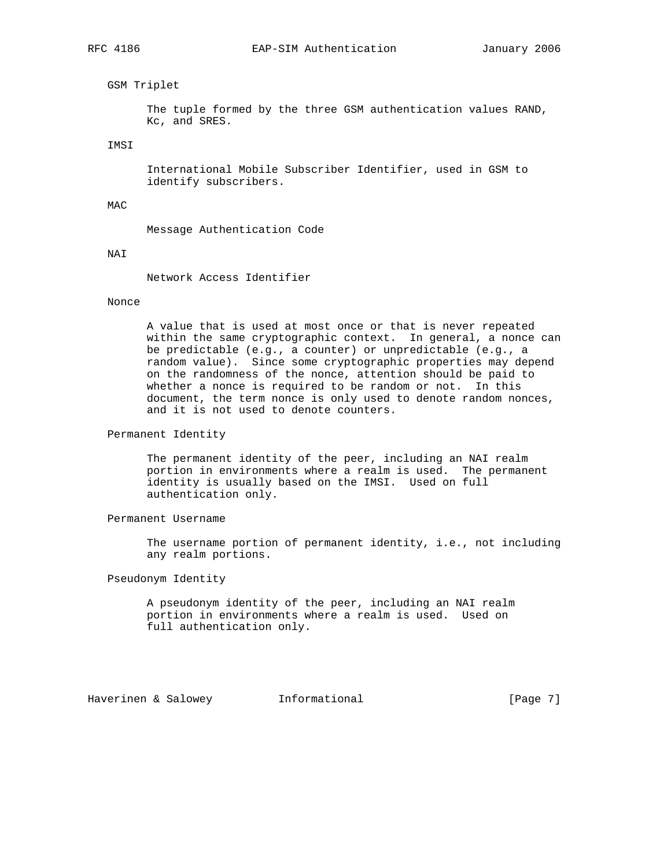## GSM Triplet

 The tuple formed by the three GSM authentication values RAND, Kc, and SRES.

IMSI

 International Mobile Subscriber Identifier, used in GSM to identify subscribers.

#### MAC

Message Authentication Code

#### NAI

Network Access Identifier

#### Nonce

 A value that is used at most once or that is never repeated within the same cryptographic context. In general, a nonce can be predictable (e.g., a counter) or unpredictable (e.g., a random value). Since some cryptographic properties may depend on the randomness of the nonce, attention should be paid to whether a nonce is required to be random or not. In this document, the term nonce is only used to denote random nonces, and it is not used to denote counters.

## Permanent Identity

 The permanent identity of the peer, including an NAI realm portion in environments where a realm is used. The permanent identity is usually based on the IMSI. Used on full authentication only.

# Permanent Username

 The username portion of permanent identity, i.e., not including any realm portions.

# Pseudonym Identity

 A pseudonym identity of the peer, including an NAI realm portion in environments where a realm is used. Used on full authentication only.

Haverinen & Salowey **Informational Informational** [Page 7]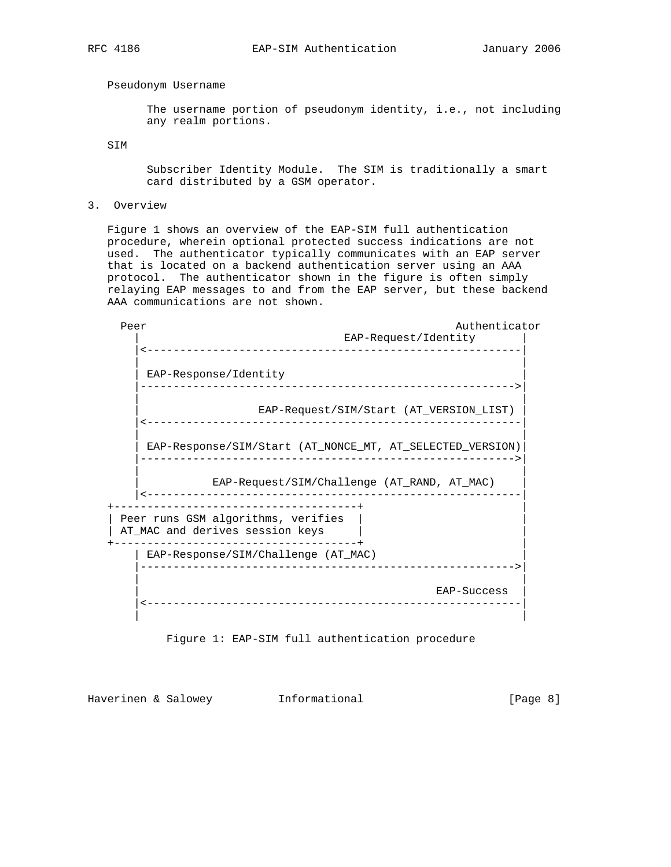## Pseudonym Username

 The username portion of pseudonym identity, i.e., not including any realm portions.

SIM

 Subscriber Identity Module. The SIM is traditionally a smart card distributed by a GSM operator.

3. Overview

 Figure 1 shows an overview of the EAP-SIM full authentication procedure, wherein optional protected success indications are not used. The authenticator typically communicates with an EAP server that is located on a backend authentication server using an AAA protocol. The authenticator shown in the figure is often simply relaying EAP messages to and from the EAP server, but these backend AAA communications are not shown.

Peer Authenticator Authenticator EAP-Request/Identity |<---------------------------------------------------------| | | EAP-Response/Identity |--------------------------------------------------------->| | | | EAP-Request/SIM/Start (AT\_VERSION\_LIST) | |<---------------------------------------------------------| | | | EAP-Response/SIM/Start (AT\_NONCE\_MT, AT\_SELECTED\_VERSION)| |--------------------------------------------------------->| | | | EAP-Request/SIM/Challenge (AT\_RAND, AT\_MAC) | |<---------------------------------------------------------| +-------------------------------------+ | | Peer runs GSM algorithms, verifies | AT\_MAC and derives session keys | | +-------------------------------------+ | | EAP-Response/SIM/Challenge (AT\_MAC) | |--------------------------------------------------------->| | | | EAP-Success | |<---------------------------------------------------------| | |

Figure 1: EAP-SIM full authentication procedure

Haverinen & Salowey **Informational Informational** [Page 8]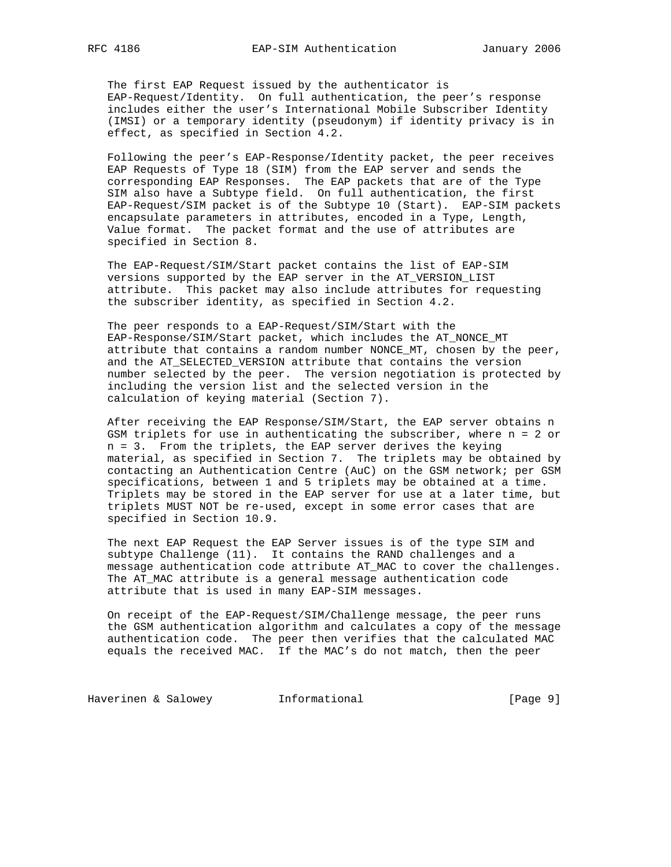The first EAP Request issued by the authenticator is EAP-Request/Identity. On full authentication, the peer's response includes either the user's International Mobile Subscriber Identity (IMSI) or a temporary identity (pseudonym) if identity privacy is in effect, as specified in Section 4.2.

 Following the peer's EAP-Response/Identity packet, the peer receives EAP Requests of Type 18 (SIM) from the EAP server and sends the corresponding EAP Responses. The EAP packets that are of the Type SIM also have a Subtype field. On full authentication, the first EAP-Request/SIM packet is of the Subtype 10 (Start). EAP-SIM packets encapsulate parameters in attributes, encoded in a Type, Length, Value format. The packet format and the use of attributes are specified in Section 8.

 The EAP-Request/SIM/Start packet contains the list of EAP-SIM versions supported by the EAP server in the AT\_VERSION\_LIST attribute. This packet may also include attributes for requesting the subscriber identity, as specified in Section 4.2.

 The peer responds to a EAP-Request/SIM/Start with the EAP-Response/SIM/Start packet, which includes the AT\_NONCE\_MT attribute that contains a random number NONCE\_MT, chosen by the peer, and the AT\_SELECTED\_VERSION attribute that contains the version number selected by the peer. The version negotiation is protected by including the version list and the selected version in the calculation of keying material (Section 7).

 After receiving the EAP Response/SIM/Start, the EAP server obtains n GSM triplets for use in authenticating the subscriber, where n = 2 or n = 3. From the triplets, the EAP server derives the keying material, as specified in Section 7. The triplets may be obtained by contacting an Authentication Centre (AuC) on the GSM network; per GSM specifications, between 1 and 5 triplets may be obtained at a time. Triplets may be stored in the EAP server for use at a later time, but triplets MUST NOT be re-used, except in some error cases that are specified in Section 10.9.

 The next EAP Request the EAP Server issues is of the type SIM and subtype Challenge (11). It contains the RAND challenges and a message authentication code attribute AT\_MAC to cover the challenges. The AT\_MAC attribute is a general message authentication code attribute that is used in many EAP-SIM messages.

 On receipt of the EAP-Request/SIM/Challenge message, the peer runs the GSM authentication algorithm and calculates a copy of the message authentication code. The peer then verifies that the calculated MAC equals the received MAC. If the MAC's do not match, then the peer

Haverinen & Salowey **Informational Informational** [Page 9]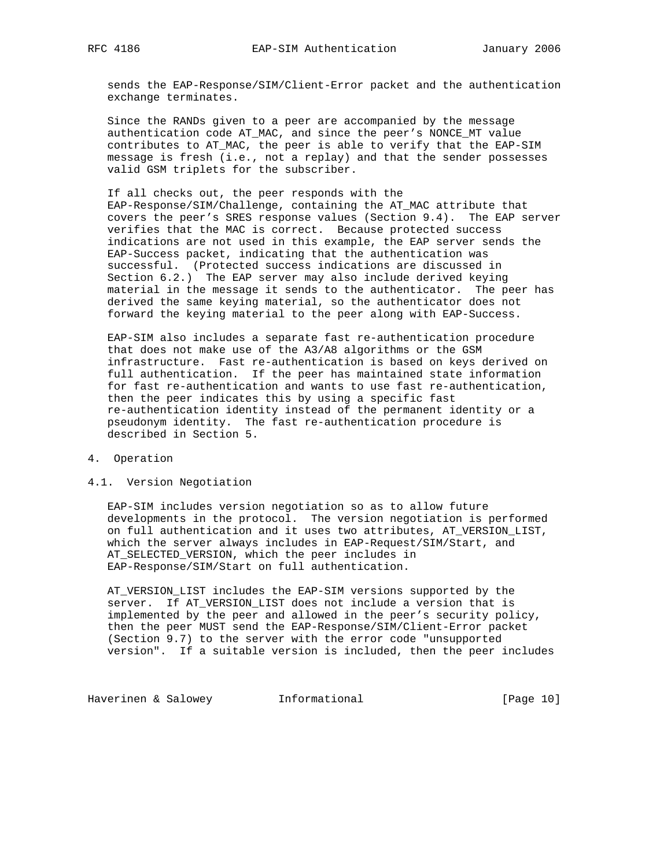sends the EAP-Response/SIM/Client-Error packet and the authentication exchange terminates.

 Since the RANDs given to a peer are accompanied by the message authentication code AT\_MAC, and since the peer's NONCE\_MT value contributes to AT\_MAC, the peer is able to verify that the EAP-SIM message is fresh (i.e., not a replay) and that the sender possesses valid GSM triplets for the subscriber.

 If all checks out, the peer responds with the EAP-Response/SIM/Challenge, containing the AT\_MAC attribute that covers the peer's SRES response values (Section 9.4). The EAP server verifies that the MAC is correct. Because protected success indications are not used in this example, the EAP server sends the EAP-Success packet, indicating that the authentication was successful. (Protected success indications are discussed in Section 6.2.) The EAP server may also include derived keying material in the message it sends to the authenticator. The peer has derived the same keying material, so the authenticator does not forward the keying material to the peer along with EAP-Success.

 EAP-SIM also includes a separate fast re-authentication procedure that does not make use of the A3/A8 algorithms or the GSM infrastructure. Fast re-authentication is based on keys derived on full authentication. If the peer has maintained state information for fast re-authentication and wants to use fast re-authentication, then the peer indicates this by using a specific fast re-authentication identity instead of the permanent identity or a pseudonym identity. The fast re-authentication procedure is described in Section 5.

- 4. Operation
- 4.1. Version Negotiation

 EAP-SIM includes version negotiation so as to allow future developments in the protocol. The version negotiation is performed on full authentication and it uses two attributes, AT\_VERSION\_LIST, which the server always includes in EAP-Request/SIM/Start, and AT\_SELECTED\_VERSION, which the peer includes in EAP-Response/SIM/Start on full authentication.

 AT\_VERSION\_LIST includes the EAP-SIM versions supported by the server. If AT\_VERSION\_LIST does not include a version that is implemented by the peer and allowed in the peer's security policy, then the peer MUST send the EAP-Response/SIM/Client-Error packet (Section 9.7) to the server with the error code "unsupported version". If a suitable version is included, then the peer includes

Haverinen & Salowey **Informational Informational** [Page 10]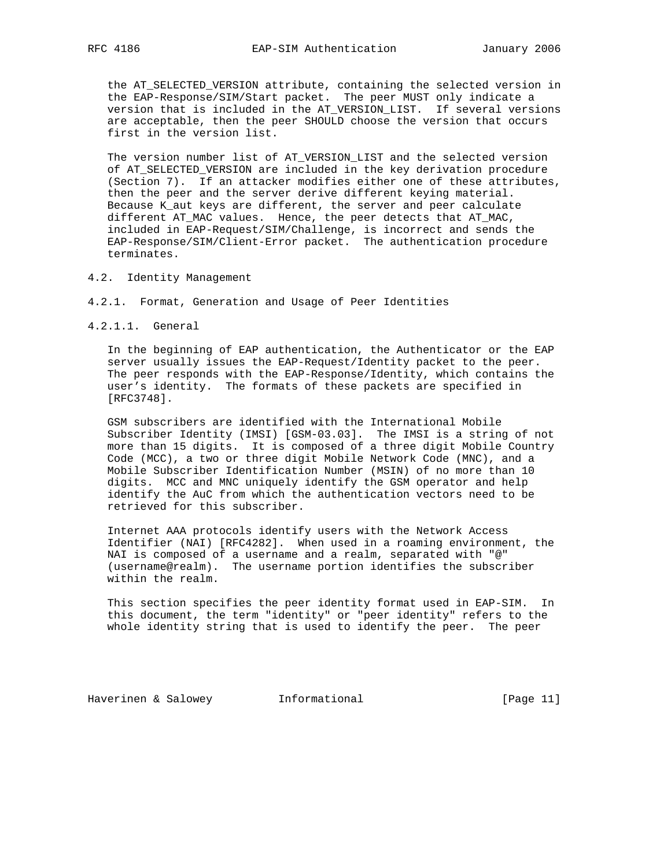the AT\_SELECTED\_VERSION attribute, containing the selected version in the EAP-Response/SIM/Start packet. The peer MUST only indicate a version that is included in the AT\_VERSION\_LIST. If several versions are acceptable, then the peer SHOULD choose the version that occurs first in the version list.

 The version number list of AT\_VERSION\_LIST and the selected version of AT\_SELECTED\_VERSION are included in the key derivation procedure (Section 7). If an attacker modifies either one of these attributes, then the peer and the server derive different keying material. Because K\_aut keys are different, the server and peer calculate different AT\_MAC values. Hence, the peer detects that AT\_MAC, included in EAP-Request/SIM/Challenge, is incorrect and sends the EAP-Response/SIM/Client-Error packet. The authentication procedure terminates.

- 4.2. Identity Management
- 4.2.1. Format, Generation and Usage of Peer Identities
- 4.2.1.1. General

 In the beginning of EAP authentication, the Authenticator or the EAP server usually issues the EAP-Request/Identity packet to the peer. The peer responds with the EAP-Response/Identity, which contains the user's identity. The formats of these packets are specified in [RFC3748].

 GSM subscribers are identified with the International Mobile Subscriber Identity (IMSI) [GSM-03.03]. The IMSI is a string of not more than 15 digits. It is composed of a three digit Mobile Country Code (MCC), a two or three digit Mobile Network Code (MNC), and a Mobile Subscriber Identification Number (MSIN) of no more than 10 digits. MCC and MNC uniquely identify the GSM operator and help identify the AuC from which the authentication vectors need to be retrieved for this subscriber.

 Internet AAA protocols identify users with the Network Access Identifier (NAI) [RFC4282]. When used in a roaming environment, the NAI is composed of a username and a realm, separated with "@" (username@realm). The username portion identifies the subscriber within the realm.

 This section specifies the peer identity format used in EAP-SIM. In this document, the term "identity" or "peer identity" refers to the whole identity string that is used to identify the peer. The peer

Haverinen & Salowey **Informational Informational** [Page 11]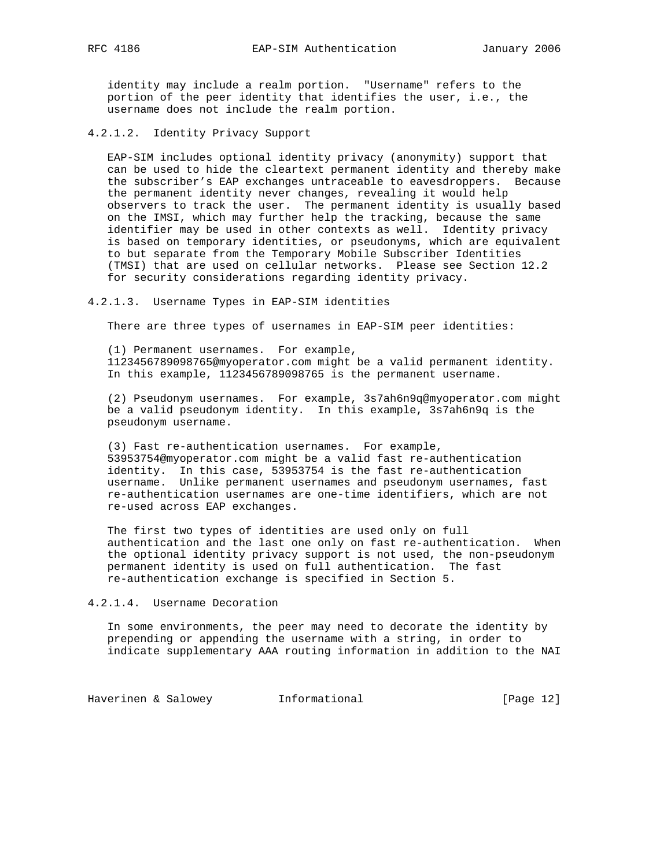identity may include a realm portion. "Username" refers to the portion of the peer identity that identifies the user, i.e., the username does not include the realm portion.

4.2.1.2. Identity Privacy Support

 EAP-SIM includes optional identity privacy (anonymity) support that can be used to hide the cleartext permanent identity and thereby make the subscriber's EAP exchanges untraceable to eavesdroppers. Because the permanent identity never changes, revealing it would help observers to track the user. The permanent identity is usually based on the IMSI, which may further help the tracking, because the same identifier may be used in other contexts as well. Identity privacy is based on temporary identities, or pseudonyms, which are equivalent to but separate from the Temporary Mobile Subscriber Identities (TMSI) that are used on cellular networks. Please see Section 12.2 for security considerations regarding identity privacy.

#### 4.2.1.3. Username Types in EAP-SIM identities

There are three types of usernames in EAP-SIM peer identities:

 (1) Permanent usernames. For example, 1123456789098765@myoperator.com might be a valid permanent identity. In this example, 1123456789098765 is the permanent username.

 (2) Pseudonym usernames. For example, 3s7ah6n9q@myoperator.com might be a valid pseudonym identity. In this example, 3s7ah6n9q is the pseudonym username.

 (3) Fast re-authentication usernames. For example, 53953754@myoperator.com might be a valid fast re-authentication identity. In this case, 53953754 is the fast re-authentication username. Unlike permanent usernames and pseudonym usernames, fast re-authentication usernames are one-time identifiers, which are not re-used across EAP exchanges.

 The first two types of identities are used only on full authentication and the last one only on fast re-authentication. When the optional identity privacy support is not used, the non-pseudonym permanent identity is used on full authentication. The fast re-authentication exchange is specified in Section 5.

4.2.1.4. Username Decoration

 In some environments, the peer may need to decorate the identity by prepending or appending the username with a string, in order to indicate supplementary AAA routing information in addition to the NAI

Haverinen & Salowey **Informational** [Page 12]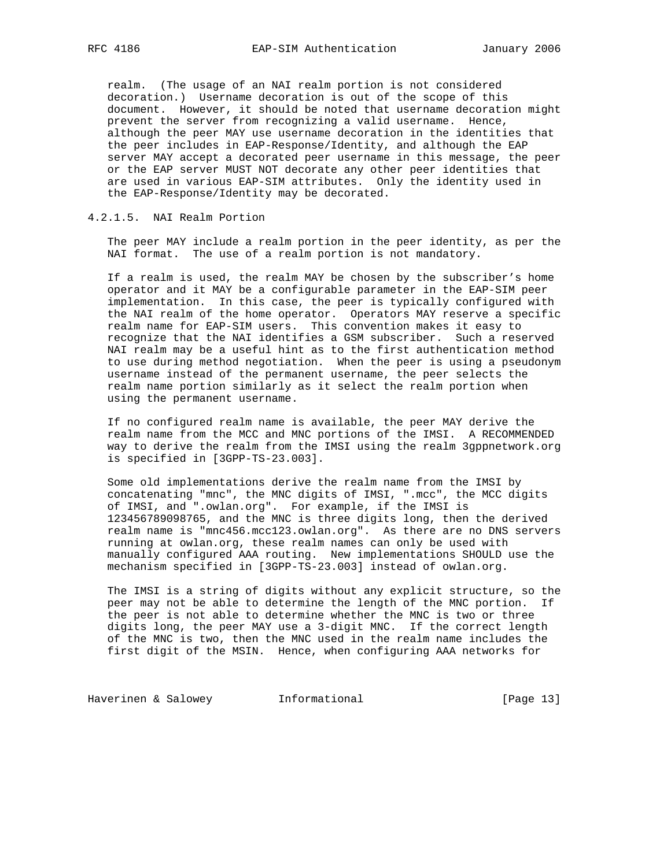realm. (The usage of an NAI realm portion is not considered decoration.) Username decoration is out of the scope of this document. However, it should be noted that username decoration might prevent the server from recognizing a valid username. Hence, although the peer MAY use username decoration in the identities that the peer includes in EAP-Response/Identity, and although the EAP server MAY accept a decorated peer username in this message, the peer or the EAP server MUST NOT decorate any other peer identities that are used in various EAP-SIM attributes. Only the identity used in the EAP-Response/Identity may be decorated.

4.2.1.5. NAI Realm Portion

 The peer MAY include a realm portion in the peer identity, as per the NAI format. The use of a realm portion is not mandatory.

 If a realm is used, the realm MAY be chosen by the subscriber's home operator and it MAY be a configurable parameter in the EAP-SIM peer implementation. In this case, the peer is typically configured with the NAI realm of the home operator. Operators MAY reserve a specific realm name for EAP-SIM users. This convention makes it easy to recognize that the NAI identifies a GSM subscriber. Such a reserved NAI realm may be a useful hint as to the first authentication method to use during method negotiation. When the peer is using a pseudonym username instead of the permanent username, the peer selects the realm name portion similarly as it select the realm portion when using the permanent username.

 If no configured realm name is available, the peer MAY derive the realm name from the MCC and MNC portions of the IMSI. A RECOMMENDED way to derive the realm from the IMSI using the realm 3gppnetwork.org is specified in [3GPP-TS-23.003].

 Some old implementations derive the realm name from the IMSI by concatenating "mnc", the MNC digits of IMSI, ".mcc", the MCC digits of IMSI, and ".owlan.org". For example, if the IMSI is 123456789098765, and the MNC is three digits long, then the derived realm name is "mnc456.mcc123.owlan.org". As there are no DNS servers running at owlan.org, these realm names can only be used with manually configured AAA routing. New implementations SHOULD use the mechanism specified in [3GPP-TS-23.003] instead of owlan.org.

 The IMSI is a string of digits without any explicit structure, so the peer may not be able to determine the length of the MNC portion. If the peer is not able to determine whether the MNC is two or three digits long, the peer MAY use a 3-digit MNC. If the correct length of the MNC is two, then the MNC used in the realm name includes the first digit of the MSIN. Hence, when configuring AAA networks for

Haverinen & Salowey **Informational Informational** [Page 13]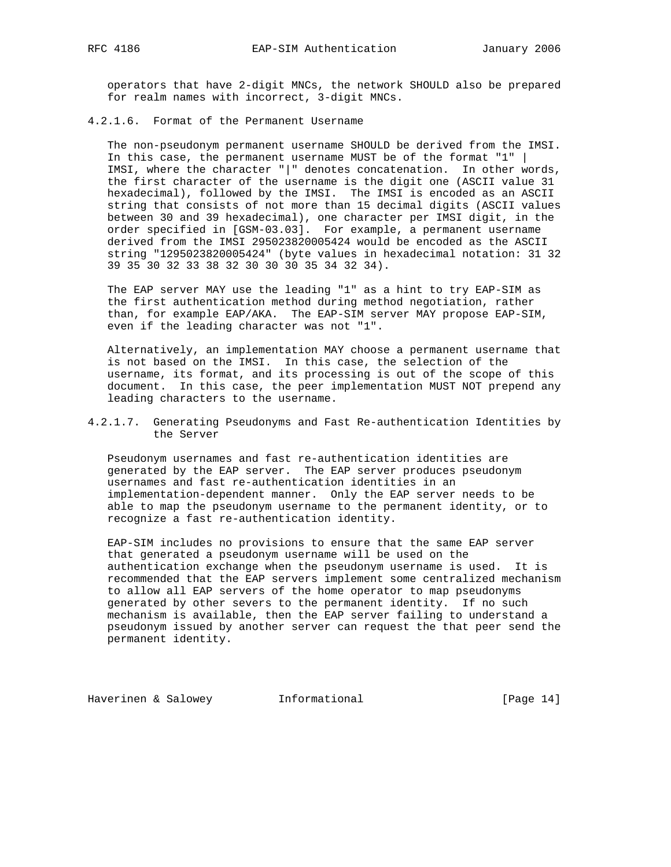operators that have 2-digit MNCs, the network SHOULD also be prepared for realm names with incorrect, 3-digit MNCs.

4.2.1.6. Format of the Permanent Username

 The non-pseudonym permanent username SHOULD be derived from the IMSI. In this case, the permanent username MUST be of the format "1" | IMSI, where the character "|" denotes concatenation. In other words, the first character of the username is the digit one (ASCII value 31 hexadecimal), followed by the IMSI. The IMSI is encoded as an ASCII string that consists of not more than 15 decimal digits (ASCII values between 30 and 39 hexadecimal), one character per IMSI digit, in the order specified in [GSM-03.03]. For example, a permanent username derived from the IMSI 295023820005424 would be encoded as the ASCII string "1295023820005424" (byte values in hexadecimal notation: 31 32 39 35 30 32 33 38 32 30 30 30 35 34 32 34).

 The EAP server MAY use the leading "1" as a hint to try EAP-SIM as the first authentication method during method negotiation, rather than, for example EAP/AKA. The EAP-SIM server MAY propose EAP-SIM, even if the leading character was not "1".

 Alternatively, an implementation MAY choose a permanent username that is not based on the IMSI. In this case, the selection of the username, its format, and its processing is out of the scope of this document. In this case, the peer implementation MUST NOT prepend any leading characters to the username.

4.2.1.7. Generating Pseudonyms and Fast Re-authentication Identities by the Server

 Pseudonym usernames and fast re-authentication identities are generated by the EAP server. The EAP server produces pseudonym usernames and fast re-authentication identities in an implementation-dependent manner. Only the EAP server needs to be able to map the pseudonym username to the permanent identity, or to recognize a fast re-authentication identity.

 EAP-SIM includes no provisions to ensure that the same EAP server that generated a pseudonym username will be used on the authentication exchange when the pseudonym username is used. It is recommended that the EAP servers implement some centralized mechanism to allow all EAP servers of the home operator to map pseudonyms generated by other severs to the permanent identity. If no such mechanism is available, then the EAP server failing to understand a pseudonym issued by another server can request the that peer send the permanent identity.

Haverinen & Salowey **Informational** [Page 14]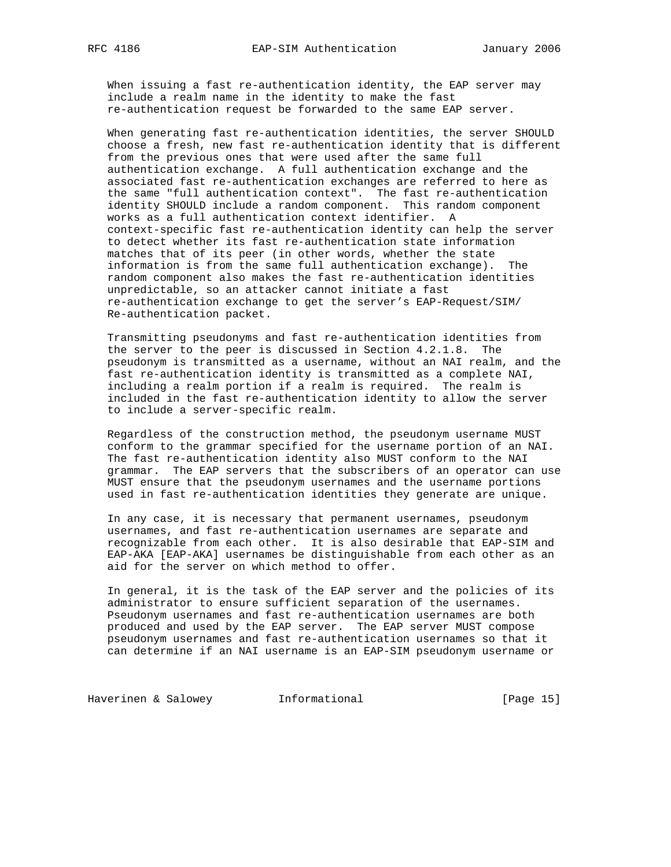When issuing a fast re-authentication identity, the EAP server may include a realm name in the identity to make the fast re-authentication request be forwarded to the same EAP server.

 When generating fast re-authentication identities, the server SHOULD choose a fresh, new fast re-authentication identity that is different from the previous ones that were used after the same full authentication exchange. A full authentication exchange and the associated fast re-authentication exchanges are referred to here as the same "full authentication context". The fast re-authentication identity SHOULD include a random component. This random component works as a full authentication context identifier. A context-specific fast re-authentication identity can help the server to detect whether its fast re-authentication state information matches that of its peer (in other words, whether the state information is from the same full authentication exchange). The random component also makes the fast re-authentication identities unpredictable, so an attacker cannot initiate a fast re-authentication exchange to get the server's EAP-Request/SIM/ Re-authentication packet.

 Transmitting pseudonyms and fast re-authentication identities from the server to the peer is discussed in Section 4.2.1.8. The pseudonym is transmitted as a username, without an NAI realm, and the fast re-authentication identity is transmitted as a complete NAI, including a realm portion if a realm is required. The realm is included in the fast re-authentication identity to allow the server to include a server-specific realm.

 Regardless of the construction method, the pseudonym username MUST conform to the grammar specified for the username portion of an NAI. The fast re-authentication identity also MUST conform to the NAI grammar. The EAP servers that the subscribers of an operator can use MUST ensure that the pseudonym usernames and the username portions used in fast re-authentication identities they generate are unique.

 In any case, it is necessary that permanent usernames, pseudonym usernames, and fast re-authentication usernames are separate and recognizable from each other. It is also desirable that EAP-SIM and EAP-AKA [EAP-AKA] usernames be distinguishable from each other as an aid for the server on which method to offer.

 In general, it is the task of the EAP server and the policies of its administrator to ensure sufficient separation of the usernames. Pseudonym usernames and fast re-authentication usernames are both produced and used by the EAP server. The EAP server MUST compose pseudonym usernames and fast re-authentication usernames so that it can determine if an NAI username is an EAP-SIM pseudonym username or

Haverinen & Salowey **Informational Informational** [Page 15]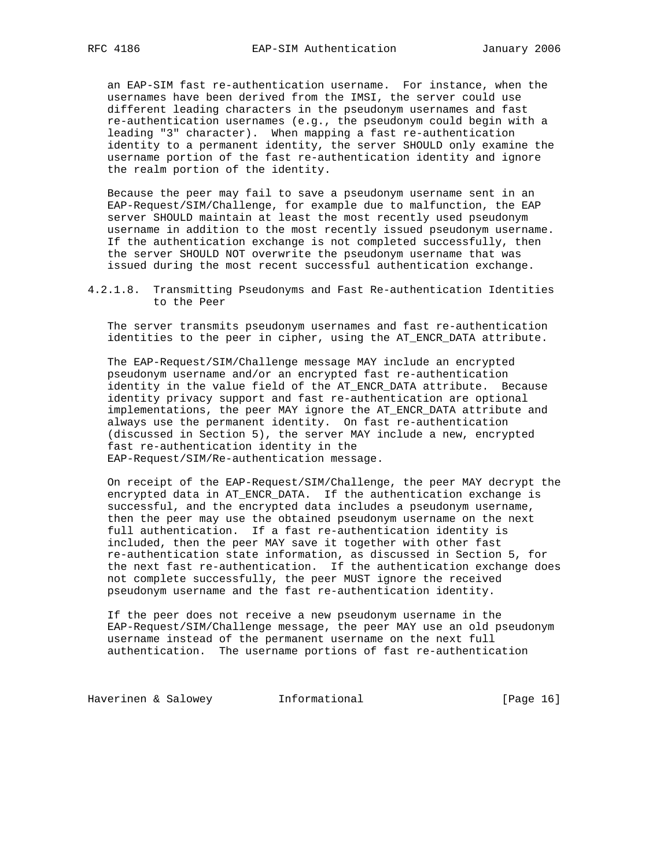an EAP-SIM fast re-authentication username. For instance, when the usernames have been derived from the IMSI, the server could use different leading characters in the pseudonym usernames and fast re-authentication usernames (e.g., the pseudonym could begin with a leading "3" character). When mapping a fast re-authentication identity to a permanent identity, the server SHOULD only examine the username portion of the fast re-authentication identity and ignore the realm portion of the identity.

 Because the peer may fail to save a pseudonym username sent in an EAP-Request/SIM/Challenge, for example due to malfunction, the EAP server SHOULD maintain at least the most recently used pseudonym username in addition to the most recently issued pseudonym username. If the authentication exchange is not completed successfully, then the server SHOULD NOT overwrite the pseudonym username that was issued during the most recent successful authentication exchange.

4.2.1.8. Transmitting Pseudonyms and Fast Re-authentication Identities to the Peer

 The server transmits pseudonym usernames and fast re-authentication identities to the peer in cipher, using the AT\_ENCR\_DATA attribute.

 The EAP-Request/SIM/Challenge message MAY include an encrypted pseudonym username and/or an encrypted fast re-authentication identity in the value field of the AT\_ENCR\_DATA attribute. Because identity privacy support and fast re-authentication are optional implementations, the peer MAY ignore the AT\_ENCR\_DATA attribute and always use the permanent identity. On fast re-authentication (discussed in Section 5), the server MAY include a new, encrypted fast re-authentication identity in the EAP-Request/SIM/Re-authentication message.

 On receipt of the EAP-Request/SIM/Challenge, the peer MAY decrypt the encrypted data in AT\_ENCR\_DATA. If the authentication exchange is successful, and the encrypted data includes a pseudonym username, then the peer may use the obtained pseudonym username on the next full authentication. If a fast re-authentication identity is included, then the peer MAY save it together with other fast re-authentication state information, as discussed in Section 5, for the next fast re-authentication. If the authentication exchange does not complete successfully, the peer MUST ignore the received pseudonym username and the fast re-authentication identity.

 If the peer does not receive a new pseudonym username in the EAP-Request/SIM/Challenge message, the peer MAY use an old pseudonym username instead of the permanent username on the next full authentication. The username portions of fast re-authentication

Haverinen & Salowey **Informational Informational** [Page 16]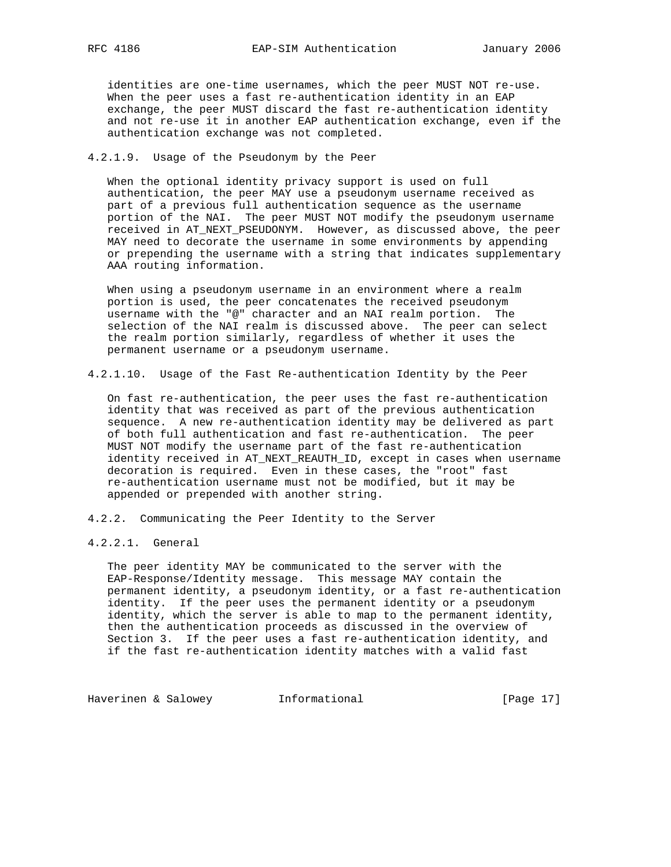identities are one-time usernames, which the peer MUST NOT re-use. When the peer uses a fast re-authentication identity in an EAP exchange, the peer MUST discard the fast re-authentication identity and not re-use it in another EAP authentication exchange, even if the authentication exchange was not completed.

## 4.2.1.9. Usage of the Pseudonym by the Peer

 When the optional identity privacy support is used on full authentication, the peer MAY use a pseudonym username received as part of a previous full authentication sequence as the username portion of the NAI. The peer MUST NOT modify the pseudonym username received in AT\_NEXT\_PSEUDONYM. However, as discussed above, the peer MAY need to decorate the username in some environments by appending or prepending the username with a string that indicates supplementary AAA routing information.

 When using a pseudonym username in an environment where a realm portion is used, the peer concatenates the received pseudonym username with the "@" character and an NAI realm portion. The selection of the NAI realm is discussed above. The peer can select the realm portion similarly, regardless of whether it uses the permanent username or a pseudonym username.

4.2.1.10. Usage of the Fast Re-authentication Identity by the Peer

 On fast re-authentication, the peer uses the fast re-authentication identity that was received as part of the previous authentication sequence. A new re-authentication identity may be delivered as part of both full authentication and fast re-authentication. The peer MUST NOT modify the username part of the fast re-authentication identity received in AT\_NEXT\_REAUTH\_ID, except in cases when username decoration is required. Even in these cases, the "root" fast re-authentication username must not be modified, but it may be appended or prepended with another string.

4.2.2. Communicating the Peer Identity to the Server

# 4.2.2.1. General

 The peer identity MAY be communicated to the server with the EAP-Response/Identity message. This message MAY contain the permanent identity, a pseudonym identity, or a fast re-authentication identity. If the peer uses the permanent identity or a pseudonym identity, which the server is able to map to the permanent identity, then the authentication proceeds as discussed in the overview of Section 3. If the peer uses a fast re-authentication identity, and if the fast re-authentication identity matches with a valid fast

Haverinen & Salowey **Informational Informational** [Page 17]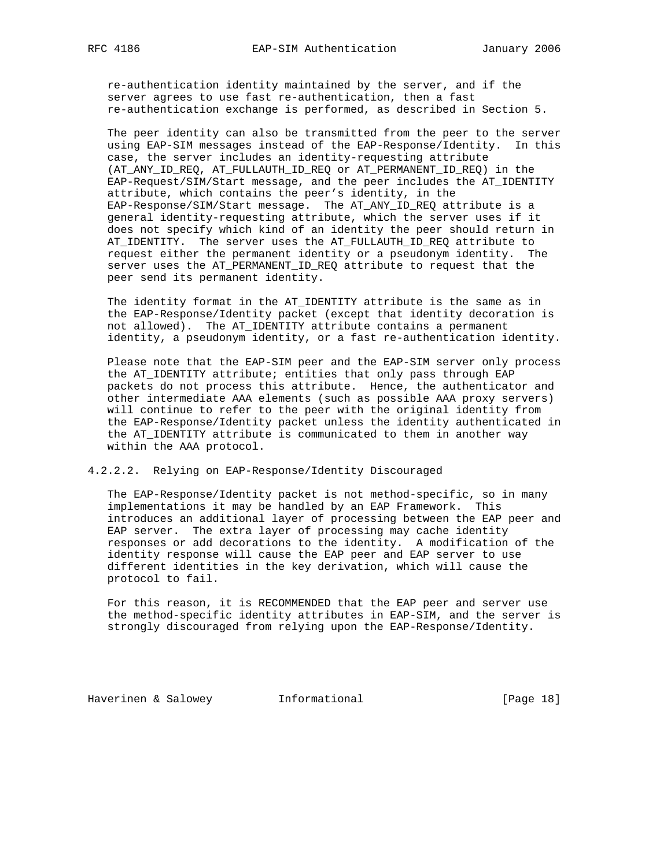re-authentication identity maintained by the server, and if the server agrees to use fast re-authentication, then a fast re-authentication exchange is performed, as described in Section 5.

 The peer identity can also be transmitted from the peer to the server using EAP-SIM messages instead of the EAP-Response/Identity. In this case, the server includes an identity-requesting attribute (AT\_ANY\_ID\_REQ, AT\_FULLAUTH\_ID\_REQ or AT\_PERMANENT\_ID\_REQ) in the EAP-Request/SIM/Start message, and the peer includes the AT\_IDENTITY attribute, which contains the peer's identity, in the EAP-Response/SIM/Start message. The AT\_ANY\_ID\_REQ attribute is a general identity-requesting attribute, which the server uses if it does not specify which kind of an identity the peer should return in AT\_IDENTITY. The server uses the AT\_FULLAUTH\_ID\_REQ attribute to request either the permanent identity or a pseudonym identity. The server uses the AT\_PERMANENT\_ID\_REQ attribute to request that the peer send its permanent identity.

 The identity format in the AT\_IDENTITY attribute is the same as in the EAP-Response/Identity packet (except that identity decoration is not allowed). The AT\_IDENTITY attribute contains a permanent identity, a pseudonym identity, or a fast re-authentication identity.

 Please note that the EAP-SIM peer and the EAP-SIM server only process the AT\_IDENTITY attribute; entities that only pass through EAP packets do not process this attribute. Hence, the authenticator and other intermediate AAA elements (such as possible AAA proxy servers) will continue to refer to the peer with the original identity from the EAP-Response/Identity packet unless the identity authenticated in the AT\_IDENTITY attribute is communicated to them in another way within the AAA protocol.

### 4.2.2.2. Relying on EAP-Response/Identity Discouraged

 The EAP-Response/Identity packet is not method-specific, so in many implementations it may be handled by an EAP Framework. This introduces an additional layer of processing between the EAP peer and EAP server. The extra layer of processing may cache identity responses or add decorations to the identity. A modification of the identity response will cause the EAP peer and EAP server to use different identities in the key derivation, which will cause the protocol to fail.

 For this reason, it is RECOMMENDED that the EAP peer and server use the method-specific identity attributes in EAP-SIM, and the server is strongly discouraged from relying upon the EAP-Response/Identity.

Haverinen & Salowey **Informational** [Page 18]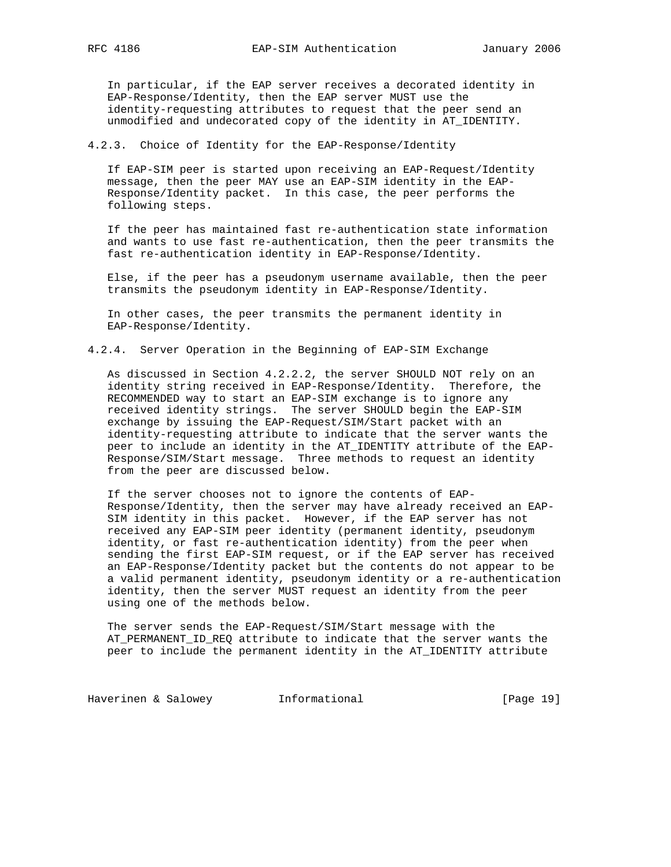In particular, if the EAP server receives a decorated identity in EAP-Response/Identity, then the EAP server MUST use the identity-requesting attributes to request that the peer send an unmodified and undecorated copy of the identity in AT\_IDENTITY.

## 4.2.3. Choice of Identity for the EAP-Response/Identity

 If EAP-SIM peer is started upon receiving an EAP-Request/Identity message, then the peer MAY use an EAP-SIM identity in the EAP- Response/Identity packet. In this case, the peer performs the following steps.

 If the peer has maintained fast re-authentication state information and wants to use fast re-authentication, then the peer transmits the fast re-authentication identity in EAP-Response/Identity.

 Else, if the peer has a pseudonym username available, then the peer transmits the pseudonym identity in EAP-Response/Identity.

 In other cases, the peer transmits the permanent identity in EAP-Response/Identity.

4.2.4. Server Operation in the Beginning of EAP-SIM Exchange

 As discussed in Section 4.2.2.2, the server SHOULD NOT rely on an identity string received in EAP-Response/Identity. Therefore, the RECOMMENDED way to start an EAP-SIM exchange is to ignore any received identity strings. The server SHOULD begin the EAP-SIM exchange by issuing the EAP-Request/SIM/Start packet with an identity-requesting attribute to indicate that the server wants the peer to include an identity in the AT\_IDENTITY attribute of the EAP- Response/SIM/Start message. Three methods to request an identity from the peer are discussed below.

 If the server chooses not to ignore the contents of EAP- Response/Identity, then the server may have already received an EAP- SIM identity in this packet. However, if the EAP server has not received any EAP-SIM peer identity (permanent identity, pseudonym identity, or fast re-authentication identity) from the peer when sending the first EAP-SIM request, or if the EAP server has received an EAP-Response/Identity packet but the contents do not appear to be a valid permanent identity, pseudonym identity or a re-authentication identity, then the server MUST request an identity from the peer using one of the methods below.

 The server sends the EAP-Request/SIM/Start message with the AT\_PERMANENT\_ID\_REQ attribute to indicate that the server wants the peer to include the permanent identity in the AT\_IDENTITY attribute

Haverinen & Salowey **Informational Informational** [Page 19]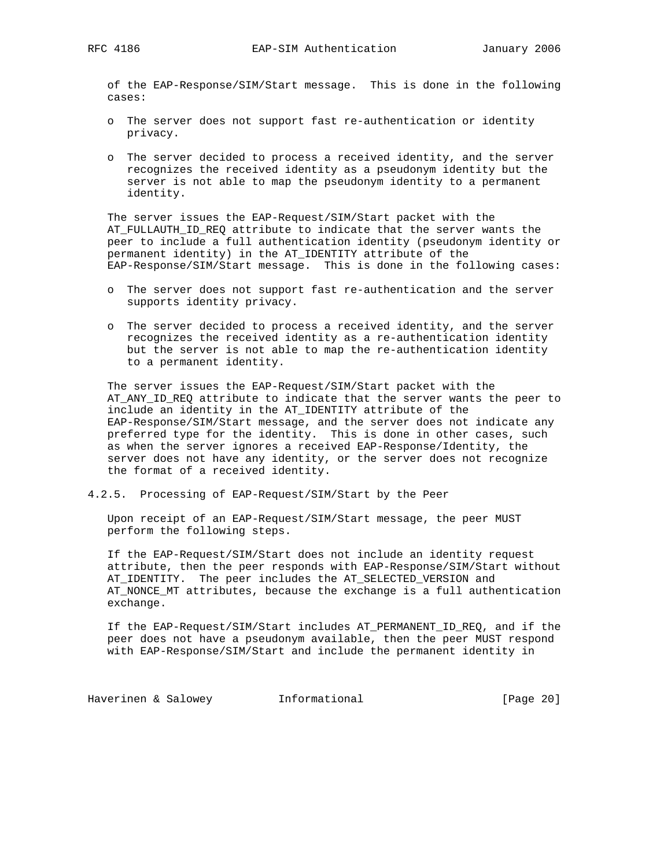of the EAP-Response/SIM/Start message. This is done in the following cases:

- o The server does not support fast re-authentication or identity privacy.
- o The server decided to process a received identity, and the server recognizes the received identity as a pseudonym identity but the server is not able to map the pseudonym identity to a permanent identity.

 The server issues the EAP-Request/SIM/Start packet with the AT FULLAUTH ID REQ attribute to indicate that the server wants the peer to include a full authentication identity (pseudonym identity or permanent identity) in the AT\_IDENTITY attribute of the EAP-Response/SIM/Start message. This is done in the following cases:

- o The server does not support fast re-authentication and the server supports identity privacy.
- o The server decided to process a received identity, and the server recognizes the received identity as a re-authentication identity but the server is not able to map the re-authentication identity to a permanent identity.

 The server issues the EAP-Request/SIM/Start packet with the AT\_ANY\_ID\_REQ attribute to indicate that the server wants the peer to include an identity in the AT\_IDENTITY attribute of the EAP-Response/SIM/Start message, and the server does not indicate any preferred type for the identity. This is done in other cases, such as when the server ignores a received EAP-Response/Identity, the server does not have any identity, or the server does not recognize the format of a received identity.

4.2.5. Processing of EAP-Request/SIM/Start by the Peer

 Upon receipt of an EAP-Request/SIM/Start message, the peer MUST perform the following steps.

 If the EAP-Request/SIM/Start does not include an identity request attribute, then the peer responds with EAP-Response/SIM/Start without AT\_IDENTITY. The peer includes the AT\_SELECTED\_VERSION and AT\_NONCE\_MT attributes, because the exchange is a full authentication exchange.

 If the EAP-Request/SIM/Start includes AT\_PERMANENT\_ID\_REQ, and if the peer does not have a pseudonym available, then the peer MUST respond with EAP-Response/SIM/Start and include the permanent identity in

Haverinen & Salowey **Informational Informational** [Page 20]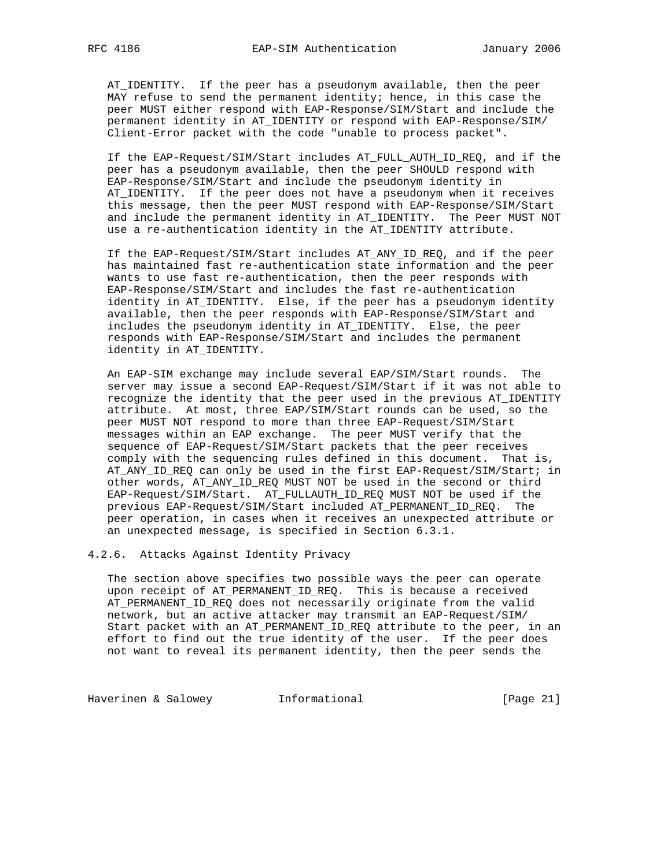AT\_IDENTITY. If the peer has a pseudonym available, then the peer MAY refuse to send the permanent identity; hence, in this case the peer MUST either respond with EAP-Response/SIM/Start and include the permanent identity in AT\_IDENTITY or respond with EAP-Response/SIM/ Client-Error packet with the code "unable to process packet".

 If the EAP-Request/SIM/Start includes AT\_FULL\_AUTH\_ID\_REQ, and if the peer has a pseudonym available, then the peer SHOULD respond with EAP-Response/SIM/Start and include the pseudonym identity in AT\_IDENTITY. If the peer does not have a pseudonym when it receives this message, then the peer MUST respond with EAP-Response/SIM/Start and include the permanent identity in AT\_IDENTITY. The Peer MUST NOT use a re-authentication identity in the AT\_IDENTITY attribute.

 If the EAP-Request/SIM/Start includes AT\_ANY\_ID\_REQ, and if the peer has maintained fast re-authentication state information and the peer wants to use fast re-authentication, then the peer responds with EAP-Response/SIM/Start and includes the fast re-authentication identity in AT\_IDENTITY. Else, if the peer has a pseudonym identity available, then the peer responds with EAP-Response/SIM/Start and includes the pseudonym identity in AT\_IDENTITY. Else, the peer responds with EAP-Response/SIM/Start and includes the permanent identity in AT\_IDENTITY.

 An EAP-SIM exchange may include several EAP/SIM/Start rounds. The server may issue a second EAP-Request/SIM/Start if it was not able to recognize the identity that the peer used in the previous AT\_IDENTITY attribute. At most, three EAP/SIM/Start rounds can be used, so the peer MUST NOT respond to more than three EAP-Request/SIM/Start messages within an EAP exchange. The peer MUST verify that the sequence of EAP-Request/SIM/Start packets that the peer receives comply with the sequencing rules defined in this document. That is, AT\_ANY\_ID\_REQ can only be used in the first EAP-Request/SIM/Start; in other words, AT\_ANY\_ID\_REQ MUST NOT be used in the second or third EAP-Request/SIM/Start. AT\_FULLAUTH\_ID\_REQ MUST NOT be used if the previous EAP-Request/SIM/Start included AT\_PERMANENT\_ID\_REQ. The peer operation, in cases when it receives an unexpected attribute or an unexpected message, is specified in Section 6.3.1.

4.2.6. Attacks Against Identity Privacy

 The section above specifies two possible ways the peer can operate upon receipt of AT\_PERMANENT\_ID\_REQ. This is because a received AT\_PERMANENT\_ID\_REQ does not necessarily originate from the valid network, but an active attacker may transmit an EAP-Request/SIM/ Start packet with an AT\_PERMANENT\_ID\_REQ attribute to the peer, in an effort to find out the true identity of the user. If the peer does not want to reveal its permanent identity, then the peer sends the

Haverinen & Salowey **Informational** [Page 21]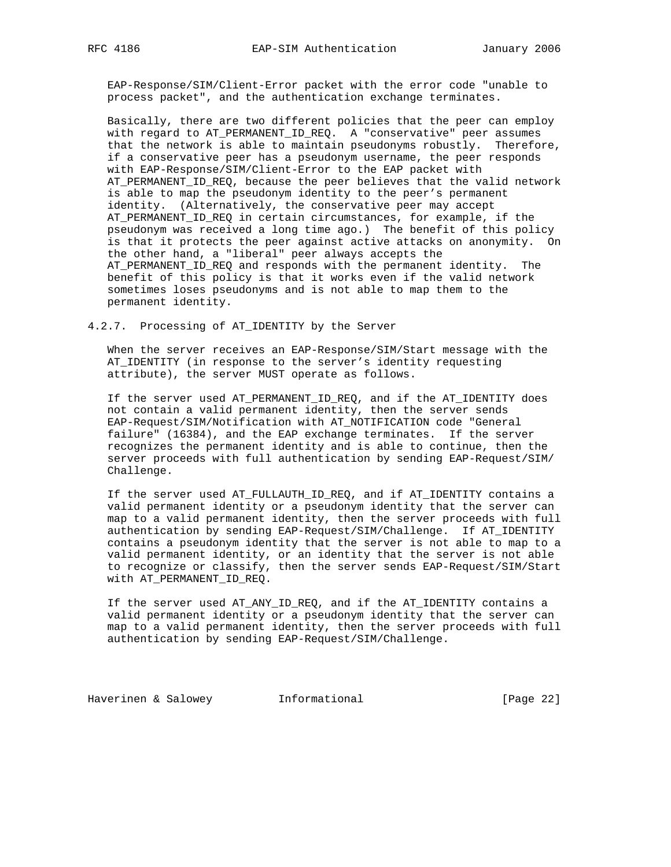EAP-Response/SIM/Client-Error packet with the error code "unable to process packet", and the authentication exchange terminates.

 Basically, there are two different policies that the peer can employ with regard to AT\_PERMANENT\_ID\_REQ. A "conservative" peer assumes that the network is able to maintain pseudonyms robustly. Therefore, if a conservative peer has a pseudonym username, the peer responds with EAP-Response/SIM/Client-Error to the EAP packet with AT\_PERMANENT\_ID\_REQ, because the peer believes that the valid network is able to map the pseudonym identity to the peer's permanent identity. (Alternatively, the conservative peer may accept AT\_PERMANENT\_ID\_REQ in certain circumstances, for example, if the pseudonym was received a long time ago.) The benefit of this policy is that it protects the peer against active attacks on anonymity. On the other hand, a "liberal" peer always accepts the AT\_PERMANENT\_ID\_REQ and responds with the permanent identity. The benefit of this policy is that it works even if the valid network sometimes loses pseudonyms and is not able to map them to the permanent identity.

## 4.2.7. Processing of AT\_IDENTITY by the Server

 When the server receives an EAP-Response/SIM/Start message with the AT\_IDENTITY (in response to the server's identity requesting attribute), the server MUST operate as follows.

 If the server used AT\_PERMANENT\_ID\_REQ, and if the AT\_IDENTITY does not contain a valid permanent identity, then the server sends EAP-Request/SIM/Notification with AT\_NOTIFICATION code "General failure" (16384), and the EAP exchange terminates. If the server recognizes the permanent identity and is able to continue, then the server proceeds with full authentication by sending EAP-Request/SIM/ Challenge.

 If the server used AT\_FULLAUTH\_ID\_REQ, and if AT\_IDENTITY contains a valid permanent identity or a pseudonym identity that the server can map to a valid permanent identity, then the server proceeds with full authentication by sending EAP-Request/SIM/Challenge. If AT\_IDENTITY contains a pseudonym identity that the server is not able to map to a valid permanent identity, or an identity that the server is not able to recognize or classify, then the server sends EAP-Request/SIM/Start with AT\_PERMANENT\_ID\_REQ.

 If the server used AT\_ANY\_ID\_REQ, and if the AT\_IDENTITY contains a valid permanent identity or a pseudonym identity that the server can map to a valid permanent identity, then the server proceeds with full authentication by sending EAP-Request/SIM/Challenge.

Haverinen & Salowey **Informational** [Page 22]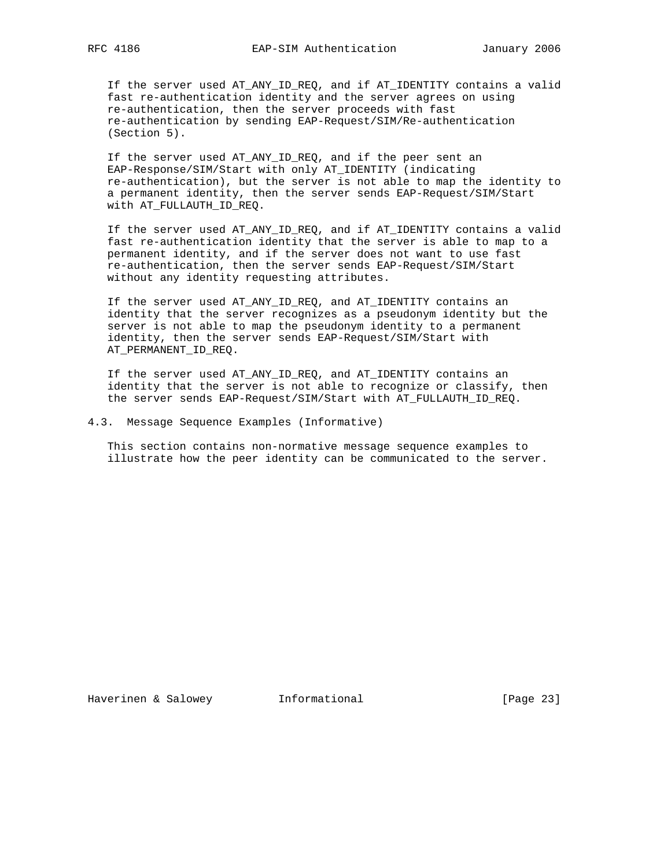If the server used AT\_ANY\_ID\_REQ, and if AT\_IDENTITY contains a valid fast re-authentication identity and the server agrees on using re-authentication, then the server proceeds with fast re-authentication by sending EAP-Request/SIM/Re-authentication (Section 5).

 If the server used AT\_ANY\_ID\_REQ, and if the peer sent an EAP-Response/SIM/Start with only AT\_IDENTITY (indicating re-authentication), but the server is not able to map the identity to a permanent identity, then the server sends EAP-Request/SIM/Start with AT\_FULLAUTH\_ID\_REQ.

 If the server used AT\_ANY\_ID\_REQ, and if AT\_IDENTITY contains a valid fast re-authentication identity that the server is able to map to a permanent identity, and if the server does not want to use fast re-authentication, then the server sends EAP-Request/SIM/Start without any identity requesting attributes.

 If the server used AT\_ANY\_ID\_REQ, and AT\_IDENTITY contains an identity that the server recognizes as a pseudonym identity but the server is not able to map the pseudonym identity to a permanent identity, then the server sends EAP-Request/SIM/Start with AT\_PERMANENT\_ID\_REQ.

 If the server used AT\_ANY\_ID\_REQ, and AT\_IDENTITY contains an identity that the server is not able to recognize or classify, then the server sends EAP-Request/SIM/Start with AT\_FULLAUTH\_ID\_REQ.

4.3. Message Sequence Examples (Informative)

 This section contains non-normative message sequence examples to illustrate how the peer identity can be communicated to the server.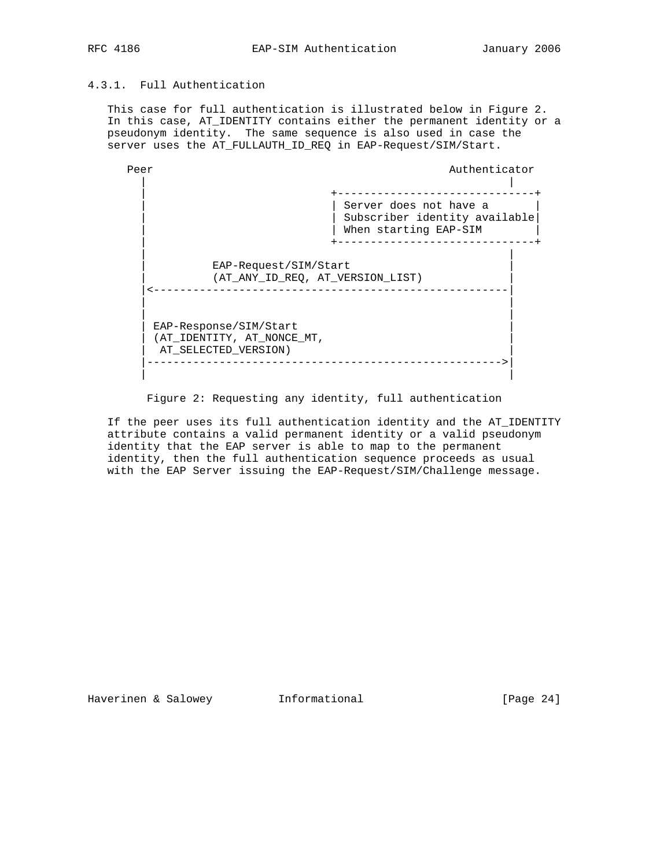# 4.3.1. Full Authentication

 This case for full authentication is illustrated below in Figure 2. In this case, AT\_IDENTITY contains either the permanent identity or a pseudonym identity. The same sequence is also used in case the server uses the AT\_FULLAUTH\_ID\_REQ in EAP-Request/SIM/Start.



Figure 2: Requesting any identity, full authentication

 If the peer uses its full authentication identity and the AT\_IDENTITY attribute contains a valid permanent identity or a valid pseudonym identity that the EAP server is able to map to the permanent identity, then the full authentication sequence proceeds as usual with the EAP Server issuing the EAP-Request/SIM/Challenge message.

Haverinen & Salowey **Informational Informational** [Page 24]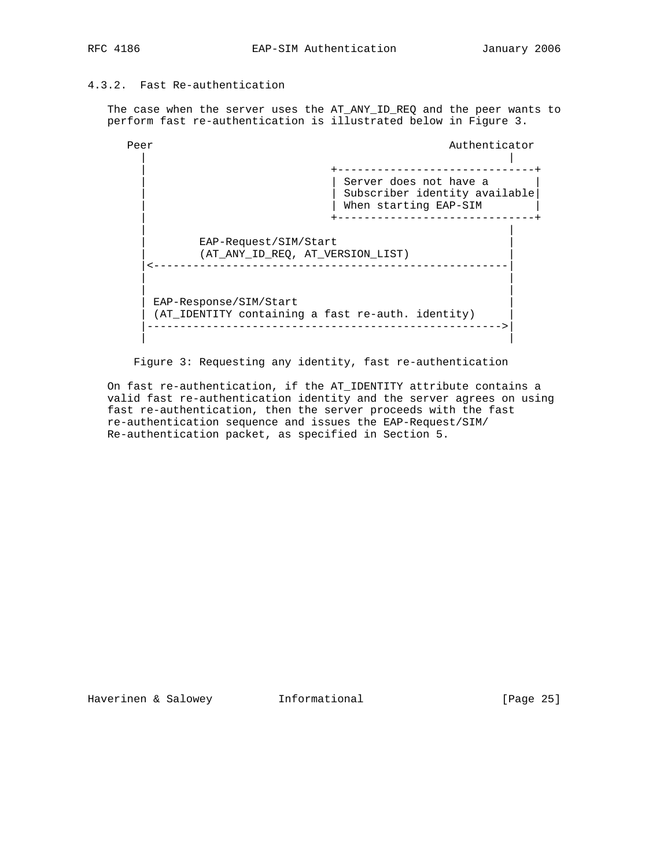# 4.3.2. Fast Re-authentication

 The case when the server uses the AT\_ANY\_ID\_REQ and the peer wants to perform fast re-authentication is illustrated below in Figure 3.

Peer Authenticator Authenticator | | +-------------------------------- | | Server does not have a | | Subscriber identity available| | When starting EAP-SIM | +------------------------------+ | | EAP-Request/SIM/Start | (AT\_ANY\_ID\_REQ, AT\_VERSION\_LIST) | |<------------------------------------------------------| | | | | EAP-Response/SIM/Start (AT\_IDENTITY containing a fast re-auth. identity) |------------------------------------------------------>| | |

Figure 3: Requesting any identity, fast re-authentication

 On fast re-authentication, if the AT\_IDENTITY attribute contains a valid fast re-authentication identity and the server agrees on using fast re-authentication, then the server proceeds with the fast re-authentication sequence and issues the EAP-Request/SIM/ Re-authentication packet, as specified in Section 5.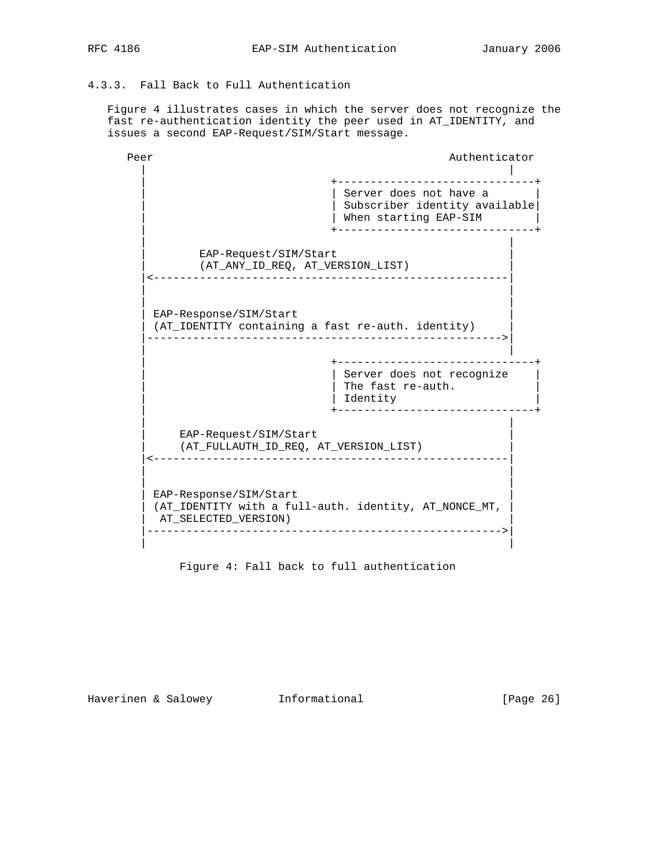# 4.3.3. Fall Back to Full Authentication

 Figure 4 illustrates cases in which the server does not recognize the fast re-authentication identity the peer used in AT\_IDENTITY, and issues a second EAP-Request/SIM/Start message.

Peer Authenticator Authenticator | | | +------------------------------+ | Server does not have a | Subscriber identity available | When starting EAP-SIM | | +------------------------------+ | | EAP-Request/SIM/Start | (AT\_ANY\_ID\_REQ, AT\_VERSION\_LIST) | |<------------------------------------------------------| | | | | EAP-Response/SIM/Start (AT\_IDENTITY containing a fast re-auth. identity) |------------------------------------------------------>| | | | +------------------------------+ | | Server does not recognize | | | The fast re-auth. |  $\vert$  identity  $\vert$  identity  $\vert$  | +------------------------------+ | | EAP-Request/SIM/Start | (AT\_FULLAUTH\_ID\_REQ, AT\_VERSION\_LIST) | |<------------------------------------------------------| | | | | EAP-Response/SIM/Start (AT\_IDENTITY with a full-auth. identity, AT\_NONCE\_MT, | AT\_SELECTED\_VERSION) | |------------------------------------------------------>| | |

Figure 4: Fall back to full authentication

Haverinen & Salowey **Informational** [Page 26]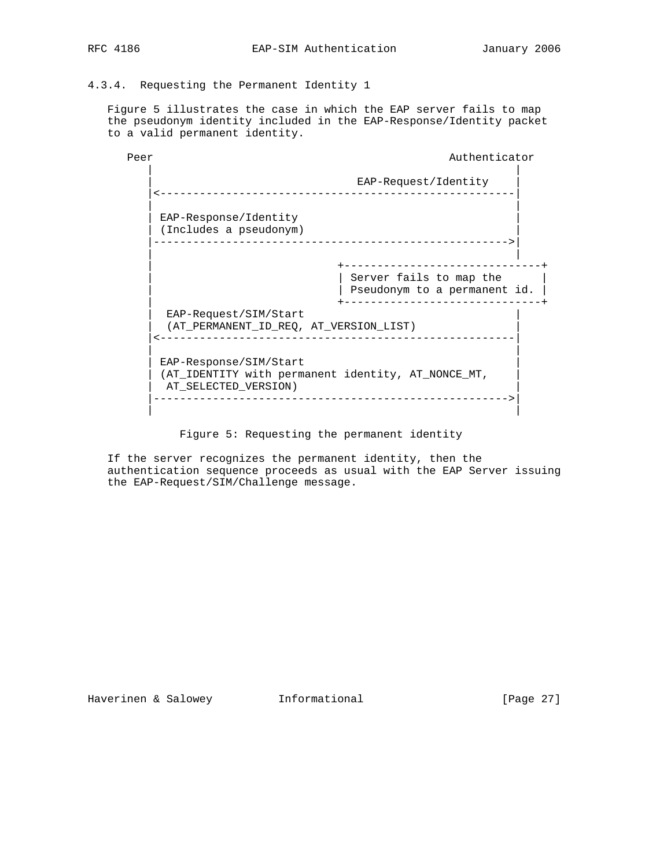# 4.3.4. Requesting the Permanent Identity 1

 Figure 5 illustrates the case in which the EAP server fails to map the pseudonym identity included in the EAP-Response/Identity packet to a valid permanent identity.

| Peer | Authenticator                                                                                        |
|------|------------------------------------------------------------------------------------------------------|
|      | EAP-Request/Identity<br><u>__________________</u>                                                    |
|      | EAP-Response/Identity<br>(Includes a pseudonym)                                                      |
|      | Server fails to map the<br>Pseudonym to a permanent id.                                              |
|      | EAP-Request/SIM/Start<br>(AT_PERMANENT_ID_REQ, AT_VERSION_LIST)                                      |
|      | EAP-Response/SIM/Start<br>(AT_IDENTITY with permanent identity, AT_NONCE_MT,<br>AT SELECTED VERSION) |

Figure 5: Requesting the permanent identity

 If the server recognizes the permanent identity, then the authentication sequence proceeds as usual with the EAP Server issuing the EAP-Request/SIM/Challenge message.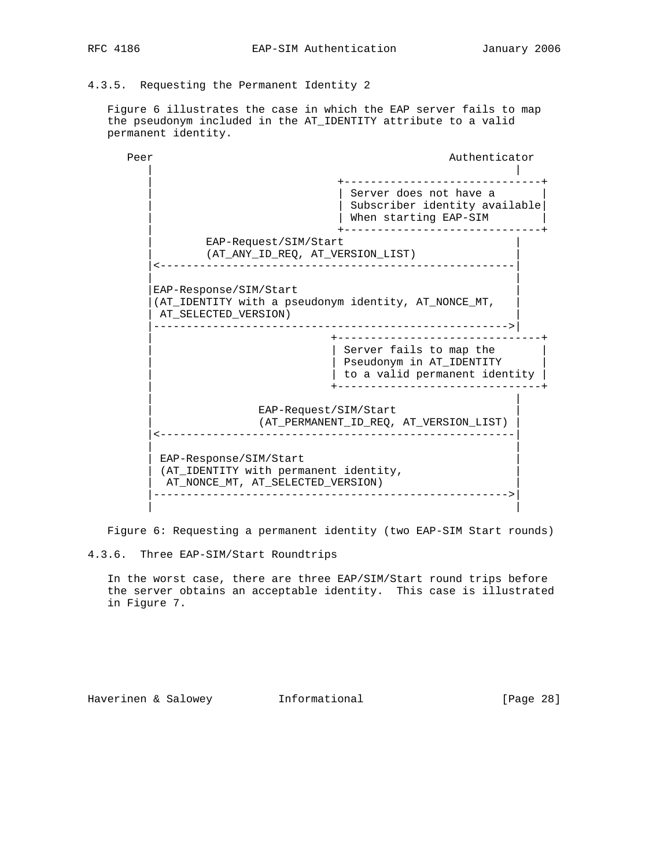4.3.5. Requesting the Permanent Identity 2

 Figure 6 illustrates the case in which the EAP server fails to map the pseudonym included in the AT\_IDENTITY attribute to a valid permanent identity.

Peer Authenticator Authenticator | | | +------------------------------+ | | Server does not have a | | Subscriber identity available| | When starting EAP-SIM | +------------------------------+ EAP-Request/SIM/Start (AT\_ANY\_ID\_REQ, AT\_VERSION LIST) |<------------------------------------------------------| | | EAP-Response/SIM/Start |(AT\_IDENTITY with a pseudonym identity, AT\_NONCE\_MT, | | AT\_SELECTED\_VERSION) | |------------------------------------------------------>| | +-------------------------------+ | Server fails to map the | | Pseudonym in AT\_IDENTITY |  $|$  to a valid permanent identity  $|$  | +-------------------------------+ | | EAP-Request/SIM/Start | (AT\_PERMANENT\_ID\_REQ, AT\_VERSION\_LIST) | |<------------------------------------------------------| | | EAP-Response/SIM/Start (AT\_IDENTITY with permanent identity, AT\_NONCE\_MT, AT\_SELECTED\_VERSION) |------------------------------------------------------>| | |

Figure 6: Requesting a permanent identity (two EAP-SIM Start rounds)

4.3.6. Three EAP-SIM/Start Roundtrips

 In the worst case, there are three EAP/SIM/Start round trips before the server obtains an acceptable identity. This case is illustrated in Figure 7.

Haverinen & Salowey **Informational** [Page 28]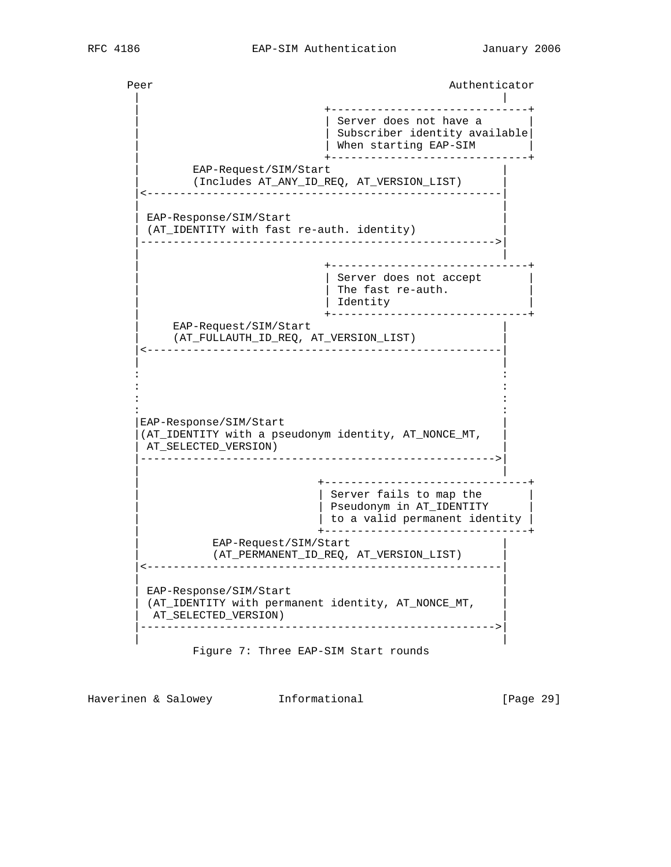Peer Authenticator Authenticator | | | +------------------------------+ | Server does not have a Subscriber identity available | When starting EAP-SIM | +------------------------------+ EAP-Request/SIM/Start | (Includes AT\_ANY\_ID\_REQ, AT\_VERSION\_LIST) | |<------------------------------------------------------| | | EAP-Response/SIM/Start (AT\_IDENTITY with fast re-auth. identity) |------------------------------------------------------>| | | | +------------------------------+ | | Server does not accept | | The fast re-auth. | Identity | +------------------------------+ EAP-Request/SIM/Start | (AT\_FULLAUTH\_ID\_REQ, AT\_VERSION\_LIST) | |<------------------------------------------------------| | | in the second control of the second control of the second control of the second control of the second control o in the second control of the second control of the second control of the second control of the second control o in the state of the state of the state of the state of the state of the state of the state of the state of the in the second control of the second control of the second control of the second control of the second control o EAP-Response/SIM/Start |(AT\_IDENTITY with a pseudonym identity, AT\_NONCE\_MT, | AT SELECTED VERSION) |------------------------------------------------------>| | | | +-------------------------------+ | Server fails to map the | | Pseudonym in AT\_IDENTITY |  $|$  to a valid permanent identity  $|$  | +-------------------------------+ EAP-Request/SIM/Start | (AT\_PERMANENT\_ID\_REQ, AT\_VERSION\_LIST) | |<------------------------------------------------------| | | EAP-Response/SIM/Start (AT\_IDENTITY with permanent identity, AT\_NONCE\_MT, AT\_SELECTED\_VERSION) |------------------------------------------------------>| | | Figure 7: Three EAP-SIM Start rounds

Haverinen & Salowey Informational [Page 29]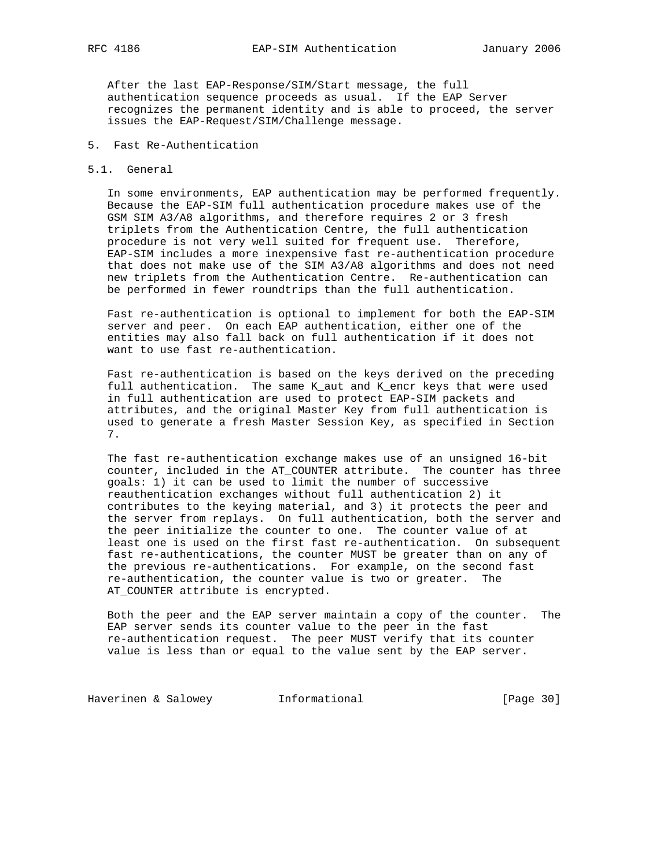After the last EAP-Response/SIM/Start message, the full authentication sequence proceeds as usual. If the EAP Server recognizes the permanent identity and is able to proceed, the server issues the EAP-Request/SIM/Challenge message.

## 5. Fast Re-Authentication

### 5.1. General

 In some environments, EAP authentication may be performed frequently. Because the EAP-SIM full authentication procedure makes use of the GSM SIM A3/A8 algorithms, and therefore requires 2 or 3 fresh triplets from the Authentication Centre, the full authentication procedure is not very well suited for frequent use. Therefore, EAP-SIM includes a more inexpensive fast re-authentication procedure that does not make use of the SIM A3/A8 algorithms and does not need new triplets from the Authentication Centre. Re-authentication can be performed in fewer roundtrips than the full authentication.

 Fast re-authentication is optional to implement for both the EAP-SIM server and peer. On each EAP authentication, either one of the entities may also fall back on full authentication if it does not want to use fast re-authentication.

 Fast re-authentication is based on the keys derived on the preceding full authentication. The same K\_aut and K\_encr keys that were used in full authentication are used to protect EAP-SIM packets and attributes, and the original Master Key from full authentication is used to generate a fresh Master Session Key, as specified in Section 7.

 The fast re-authentication exchange makes use of an unsigned 16-bit counter, included in the AT\_COUNTER attribute. The counter has three goals: 1) it can be used to limit the number of successive reauthentication exchanges without full authentication 2) it contributes to the keying material, and 3) it protects the peer and the server from replays. On full authentication, both the server and the peer initialize the counter to one. The counter value of at least one is used on the first fast re-authentication. On subsequent fast re-authentications, the counter MUST be greater than on any of the previous re-authentications. For example, on the second fast re-authentication, the counter value is two or greater. The AT\_COUNTER attribute is encrypted.

 Both the peer and the EAP server maintain a copy of the counter. The EAP server sends its counter value to the peer in the fast re-authentication request. The peer MUST verify that its counter value is less than or equal to the value sent by the EAP server.

Haverinen & Salowey **Informational Informational** [Page 30]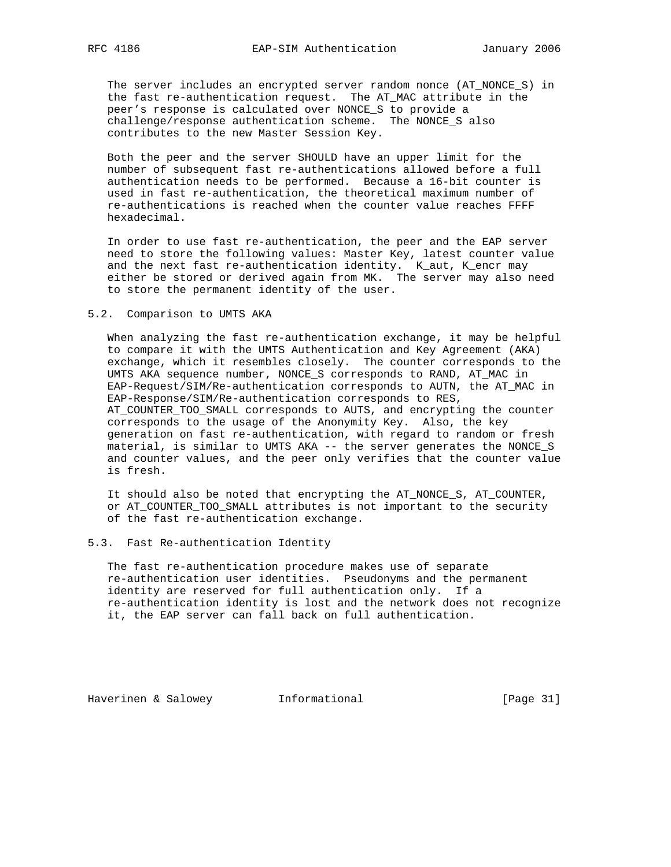The server includes an encrypted server random nonce (AT\_NONCE\_S) in the fast re-authentication request. The AT\_MAC attribute in the peer's response is calculated over NONCE\_S to provide a challenge/response authentication scheme. The NONCE\_S also contributes to the new Master Session Key.

 Both the peer and the server SHOULD have an upper limit for the number of subsequent fast re-authentications allowed before a full authentication needs to be performed. Because a 16-bit counter is used in fast re-authentication, the theoretical maximum number of re-authentications is reached when the counter value reaches FFFF hexadecimal.

 In order to use fast re-authentication, the peer and the EAP server need to store the following values: Master Key, latest counter value and the next fast re-authentication identity. K\_aut, K\_encr may either be stored or derived again from MK. The server may also need to store the permanent identity of the user.

#### 5.2. Comparison to UMTS AKA

 When analyzing the fast re-authentication exchange, it may be helpful to compare it with the UMTS Authentication and Key Agreement (AKA) exchange, which it resembles closely. The counter corresponds to the UMTS AKA sequence number, NONCE\_S corresponds to RAND, AT\_MAC in EAP-Request/SIM/Re-authentication corresponds to AUTN, the AT\_MAC in EAP-Response/SIM/Re-authentication corresponds to RES, AT\_COUNTER\_TOO\_SMALL corresponds to AUTS, and encrypting the counter corresponds to the usage of the Anonymity Key. Also, the key generation on fast re-authentication, with regard to random or fresh material, is similar to UMTS AKA -- the server generates the NONCE\_S and counter values, and the peer only verifies that the counter value is fresh.

 It should also be noted that encrypting the AT\_NONCE\_S, AT\_COUNTER, or AT\_COUNTER\_TOO\_SMALL attributes is not important to the security of the fast re-authentication exchange.

#### 5.3. Fast Re-authentication Identity

 The fast re-authentication procedure makes use of separate re-authentication user identities. Pseudonyms and the permanent identity are reserved for full authentication only. If a re-authentication identity is lost and the network does not recognize it, the EAP server can fall back on full authentication.

Haverinen & Salowey **Informational Informational** [Page 31]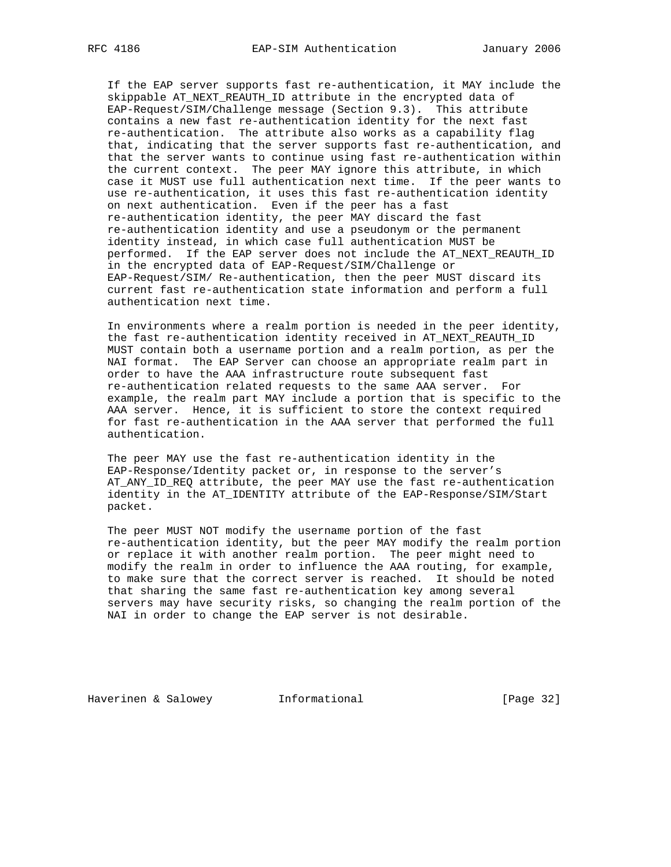If the EAP server supports fast re-authentication, it MAY include the skippable AT\_NEXT\_REAUTH\_ID attribute in the encrypted data of EAP-Request/SIM/Challenge message (Section 9.3). This attribute contains a new fast re-authentication identity for the next fast re-authentication. The attribute also works as a capability flag that, indicating that the server supports fast re-authentication, and that the server wants to continue using fast re-authentication within the current context. The peer MAY ignore this attribute, in which case it MUST use full authentication next time. If the peer wants to use re-authentication, it uses this fast re-authentication identity on next authentication. Even if the peer has a fast re-authentication identity, the peer MAY discard the fast re-authentication identity and use a pseudonym or the permanent identity instead, in which case full authentication MUST be performed. If the EAP server does not include the AT\_NEXT\_REAUTH\_ID in the encrypted data of EAP-Request/SIM/Challenge or EAP-Request/SIM/ Re-authentication, then the peer MUST discard its current fast re-authentication state information and perform a full authentication next time.

 In environments where a realm portion is needed in the peer identity, the fast re-authentication identity received in AT\_NEXT\_REAUTH\_ID MUST contain both a username portion and a realm portion, as per the NAI format. The EAP Server can choose an appropriate realm part in order to have the AAA infrastructure route subsequent fast re-authentication related requests to the same AAA server. For example, the realm part MAY include a portion that is specific to the AAA server. Hence, it is sufficient to store the context required for fast re-authentication in the AAA server that performed the full authentication.

 The peer MAY use the fast re-authentication identity in the EAP-Response/Identity packet or, in response to the server's AT\_ANY\_ID\_REQ attribute, the peer MAY use the fast re-authentication identity in the AT\_IDENTITY attribute of the EAP-Response/SIM/Start packet.

 The peer MUST NOT modify the username portion of the fast re-authentication identity, but the peer MAY modify the realm portion or replace it with another realm portion. The peer might need to modify the realm in order to influence the AAA routing, for example, to make sure that the correct server is reached. It should be noted that sharing the same fast re-authentication key among several servers may have security risks, so changing the realm portion of the NAI in order to change the EAP server is not desirable.

Haverinen & Salowey Informational [Page 32]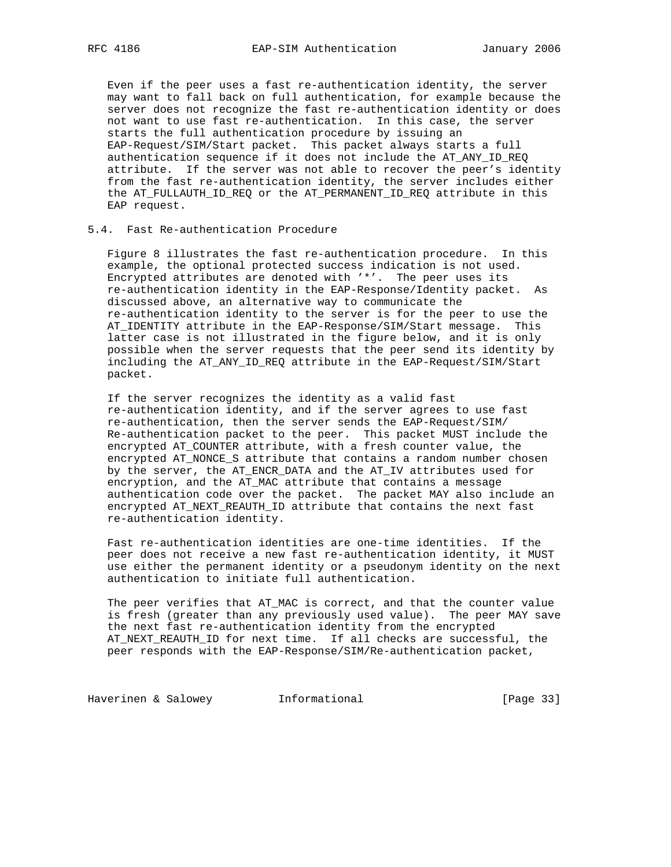Even if the peer uses a fast re-authentication identity, the server may want to fall back on full authentication, for example because the server does not recognize the fast re-authentication identity or does not want to use fast re-authentication. In this case, the server starts the full authentication procedure by issuing an EAP-Request/SIM/Start packet. This packet always starts a full authentication sequence if it does not include the AT\_ANY\_ID\_REQ attribute. If the server was not able to recover the peer's identity from the fast re-authentication identity, the server includes either the AT\_FULLAUTH\_ID\_REQ or the AT\_PERMANENT\_ID\_REQ attribute in this EAP request.

## 5.4. Fast Re-authentication Procedure

 Figure 8 illustrates the fast re-authentication procedure. In this example, the optional protected success indication is not used. Encrypted attributes are denoted with '\*'. The peer uses its re-authentication identity in the EAP-Response/Identity packet. As discussed above, an alternative way to communicate the re-authentication identity to the server is for the peer to use the AT\_IDENTITY attribute in the EAP-Response/SIM/Start message. This latter case is not illustrated in the figure below, and it is only possible when the server requests that the peer send its identity by including the AT\_ANY\_ID\_REQ attribute in the EAP-Request/SIM/Start packet.

 If the server recognizes the identity as a valid fast re-authentication identity, and if the server agrees to use fast re-authentication, then the server sends the EAP-Request/SIM/ Re-authentication packet to the peer. This packet MUST include the encrypted AT\_COUNTER attribute, with a fresh counter value, the encrypted AT\_NONCE\_S attribute that contains a random number chosen by the server, the AT\_ENCR\_DATA and the AT\_IV attributes used for encryption, and the AT\_MAC attribute that contains a message authentication code over the packet. The packet MAY also include an encrypted AT\_NEXT\_REAUTH\_ID attribute that contains the next fast re-authentication identity.

 Fast re-authentication identities are one-time identities. If the peer does not receive a new fast re-authentication identity, it MUST use either the permanent identity or a pseudonym identity on the next authentication to initiate full authentication.

 The peer verifies that AT\_MAC is correct, and that the counter value is fresh (greater than any previously used value). The peer MAY save the next fast re-authentication identity from the encrypted AT\_NEXT\_REAUTH\_ID for next time. If all checks are successful, the peer responds with the EAP-Response/SIM/Re-authentication packet,

Haverinen & Salowey **Informational Informational** [Page 33]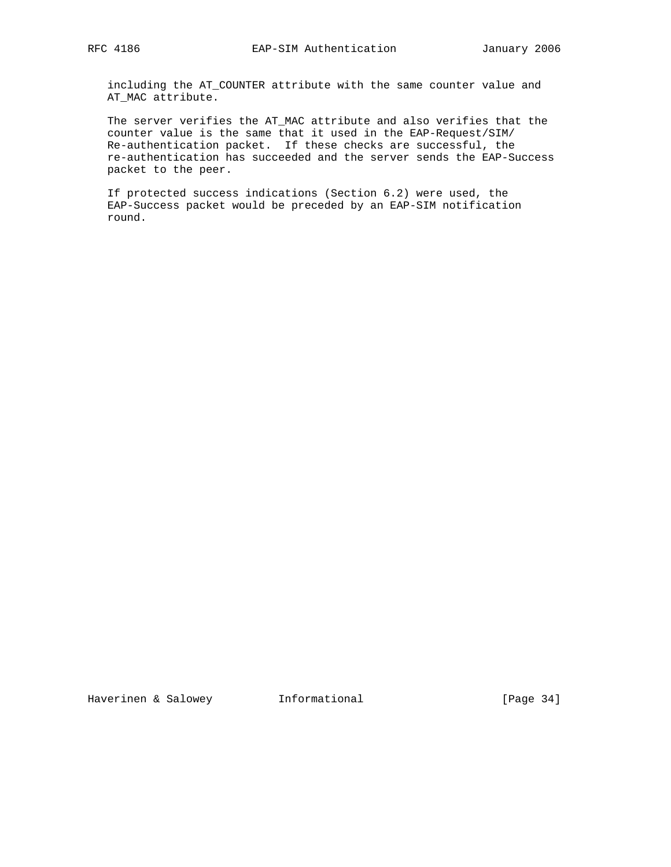including the AT\_COUNTER attribute with the same counter value and AT\_MAC attribute.

 The server verifies the AT\_MAC attribute and also verifies that the counter value is the same that it used in the EAP-Request/SIM/ Re-authentication packet. If these checks are successful, the re-authentication has succeeded and the server sends the EAP-Success packet to the peer.

 If protected success indications (Section 6.2) were used, the EAP-Success packet would be preceded by an EAP-SIM notification round.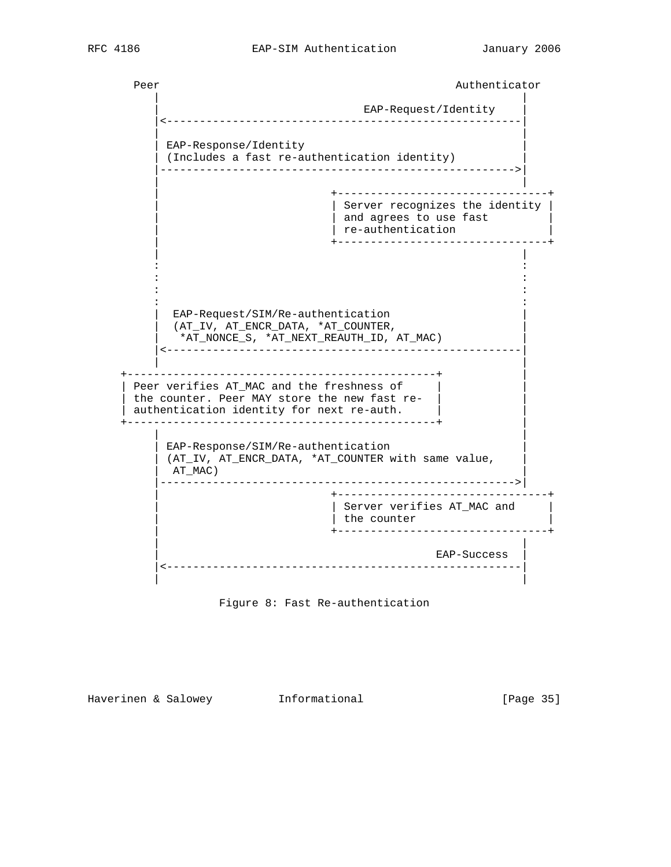```
Peer Authenticator Authenticator
 | |
                                    EAP-Request/Identity
             |<------------------------------------------------------|
 | |
         EAP-Response/Identity
         (Includes a fast re-authentication identity)
           |------------------------------------------------------>|
 | |
                                  | +--------------------------------+
 | | Server recognizes the identity |
| extending to the set of the set of the set of the set of the set of the set of the set of the set of the set of the set of the set of the set of the set of the set of the set of the set of the set of the set of the set o
                                 | re-authentication
                                  | +--------------------------------+
 | |
in the second control of the second control of the second control of the second control of the second control o
in the second control of the second control of the second control of the second control of the second control o
in the second control of the second control of the second control of the second control of the second control o
in the second control of the second control of the second control of the second control of the second control o
          EAP-Request/SIM/Re-authentication
           | (AT_IV, AT_ENCR_DATA, *AT_COUNTER, |
             | *AT_NONCE_S, *AT_NEXT_REAUTH_ID, AT_MAC) |
          |<------------------------------------------------------|
 | |
       +-----------------------------------------------+ |
     Peer verifies AT_MAC and the freshness of
     the counter. Peer MAY store the new fast re-
     | authentication identity for next re-auth. | |
        +-----------------------------------------------+ |
 | |
          EAP-Response/SIM/Re-authentication
         (AT_IV, AT_ENCR_DATA, *AT_COUNTER with same value,
           | AT_MAC) |
           |------------------------------------------------------>|
                                  | +--------------------------------+
                                  | | Server verifies AT_MAC and |
                                 | the counter
                                  | +--------------------------------+
 | |
                                               | EAP-Success |
           |<------------------------------------------------------|
 | |
```


Haverinen & Salowey **Informational** [Page 35]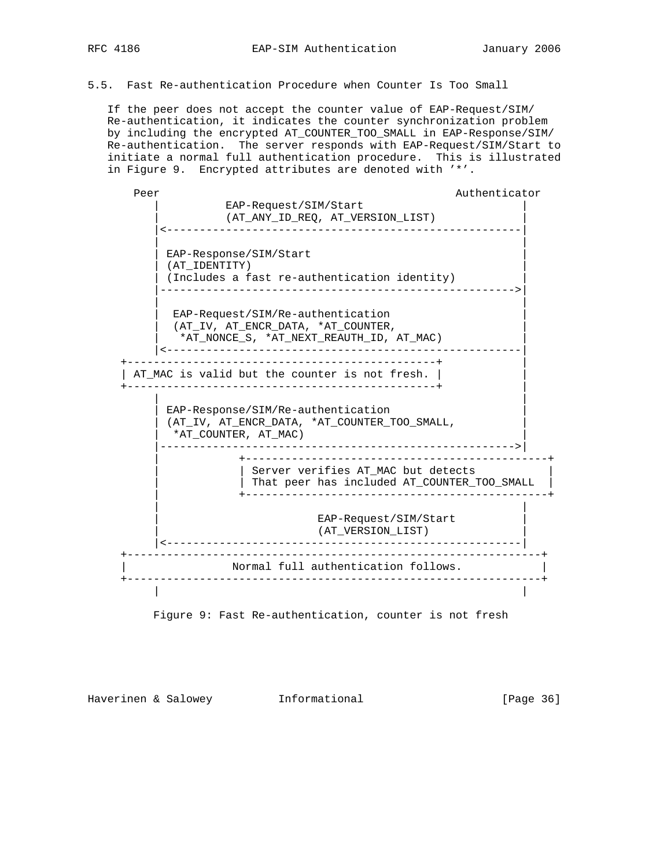5.5. Fast Re-authentication Procedure when Counter Is Too Small

 If the peer does not accept the counter value of EAP-Request/SIM/ Re-authentication, it indicates the counter synchronization problem by including the encrypted AT\_COUNTER\_TOO\_SMALL in EAP-Response/SIM/ Re-authentication. The server responds with EAP-Request/SIM/Start to initiate a normal full authentication procedure. This is illustrated in Figure 9. Encrypted attributes are denoted with '\*'.

Peer Authenticator Authenticator EAP-Request/SIM/Start | (AT\_ANY\_ID\_REQ, AT\_VERSION\_LIST) | |<------------------------------------------------------| | | EAP-Response/SIM/Start | (AT\_IDENTITY) | (Includes a fast re-authentication identity) |------------------------------------------------------>| | | EAP-Request/SIM/Re-authentication | (AT\_IV, AT\_ENCR\_DATA, \*AT\_COUNTER, | | \*AT\_NONCE\_S, \*AT\_NEXT\_REAUTH\_ID, AT\_MAC) | |<------------------------------------------------------| +-----------------------------------------------+ | | AT\_MAC is valid but the counter is not fresh. | | +-----------------------------------------------+ | | | | EAP-Response/SIM/Re-authentication | | (AT\_IV, AT\_ENCR\_DATA, \*AT\_COUNTER\_TOO\_SMALL, | \*AT\_COUNTER, AT\_MAC) |------------------------------------------------------>| | +----------------------------------------------+ | Server verifies AT MAC but detects | That peer has included AT\_COUNTER\_TOO\_SMALL | | +----------------------------------------------+ | | EAP-Request/SIM/Start | (AT\_VERSION\_LIST) | |<------------------------------------------------------| +---------------------------------------------------------------+ Normal full authentication follows. +---------------------------------------------------------------+ | |

Figure 9: Fast Re-authentication, counter is not fresh

Haverinen & Salowey **Informational Informational** [Page 36]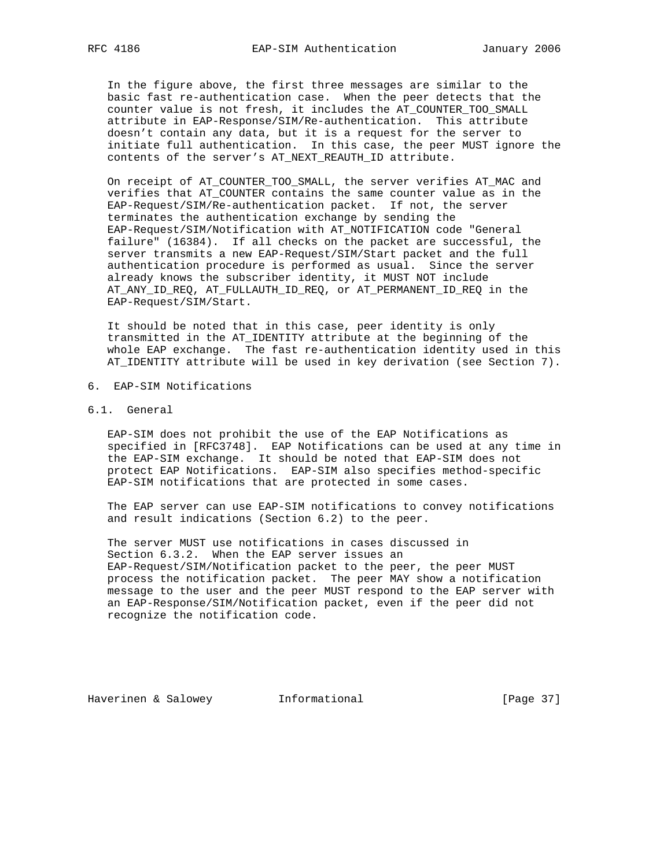In the figure above, the first three messages are similar to the basic fast re-authentication case. When the peer detects that the counter value is not fresh, it includes the AT\_COUNTER\_TOO\_SMALL attribute in EAP-Response/SIM/Re-authentication. This attribute doesn't contain any data, but it is a request for the server to initiate full authentication. In this case, the peer MUST ignore the contents of the server's AT\_NEXT\_REAUTH\_ID attribute.

 On receipt of AT\_COUNTER\_TOO\_SMALL, the server verifies AT\_MAC and verifies that AT\_COUNTER contains the same counter value as in the EAP-Request/SIM/Re-authentication packet. If not, the server terminates the authentication exchange by sending the EAP-Request/SIM/Notification with AT\_NOTIFICATION code "General failure" (16384). If all checks on the packet are successful, the server transmits a new EAP-Request/SIM/Start packet and the full authentication procedure is performed as usual. Since the server already knows the subscriber identity, it MUST NOT include AT\_ANY\_ID\_REQ, AT\_FULLAUTH\_ID\_REQ, or AT\_PERMANENT\_ID\_REQ in the EAP-Request/SIM/Start.

 It should be noted that in this case, peer identity is only transmitted in the AT\_IDENTITY attribute at the beginning of the whole EAP exchange. The fast re-authentication identity used in this AT\_IDENTITY attribute will be used in key derivation (see Section 7).

- 6. EAP-SIM Notifications
- 6.1. General

 EAP-SIM does not prohibit the use of the EAP Notifications as specified in [RFC3748]. EAP Notifications can be used at any time in the EAP-SIM exchange. It should be noted that EAP-SIM does not protect EAP Notifications. EAP-SIM also specifies method-specific EAP-SIM notifications that are protected in some cases.

 The EAP server can use EAP-SIM notifications to convey notifications and result indications (Section 6.2) to the peer.

 The server MUST use notifications in cases discussed in Section 6.3.2. When the EAP server issues an EAP-Request/SIM/Notification packet to the peer, the peer MUST process the notification packet. The peer MAY show a notification message to the user and the peer MUST respond to the EAP server with an EAP-Response/SIM/Notification packet, even if the peer did not recognize the notification code.

Haverinen & Salowey **Informational** [Page 37]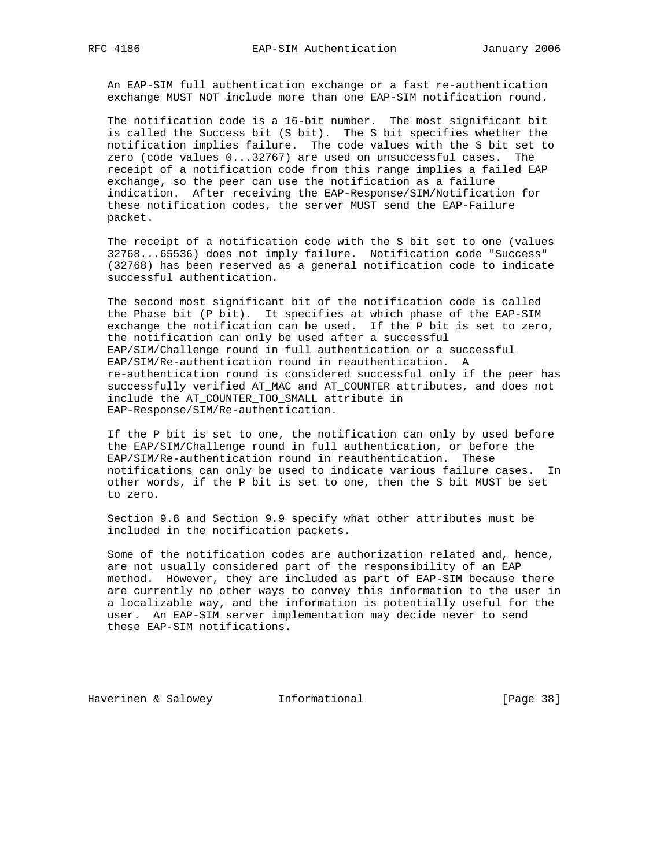An EAP-SIM full authentication exchange or a fast re-authentication exchange MUST NOT include more than one EAP-SIM notification round.

 The notification code is a 16-bit number. The most significant bit is called the Success bit (S bit). The S bit specifies whether the notification implies failure. The code values with the S bit set to zero (code values 0...32767) are used on unsuccessful cases. The receipt of a notification code from this range implies a failed EAP exchange, so the peer can use the notification as a failure indication. After receiving the EAP-Response/SIM/Notification for these notification codes, the server MUST send the EAP-Failure packet.

 The receipt of a notification code with the S bit set to one (values 32768...65536) does not imply failure. Notification code "Success" (32768) has been reserved as a general notification code to indicate successful authentication.

 The second most significant bit of the notification code is called the Phase bit (P bit). It specifies at which phase of the EAP-SIM exchange the notification can be used. If the P bit is set to zero, the notification can only be used after a successful EAP/SIM/Challenge round in full authentication or a successful EAP/SIM/Re-authentication round in reauthentication. A re-authentication round is considered successful only if the peer has successfully verified AT\_MAC and AT\_COUNTER attributes, and does not include the AT\_COUNTER\_TOO\_SMALL attribute in EAP-Response/SIM/Re-authentication.

 If the P bit is set to one, the notification can only by used before the EAP/SIM/Challenge round in full authentication, or before the EAP/SIM/Re-authentication round in reauthentication. These notifications can only be used to indicate various failure cases. In other words, if the P bit is set to one, then the S bit MUST be set to zero.

 Section 9.8 and Section 9.9 specify what other attributes must be included in the notification packets.

 Some of the notification codes are authorization related and, hence, are not usually considered part of the responsibility of an EAP method. However, they are included as part of EAP-SIM because there are currently no other ways to convey this information to the user in a localizable way, and the information is potentially useful for the user. An EAP-SIM server implementation may decide never to send these EAP-SIM notifications.

Haverinen & Salowey Informational [Page 38]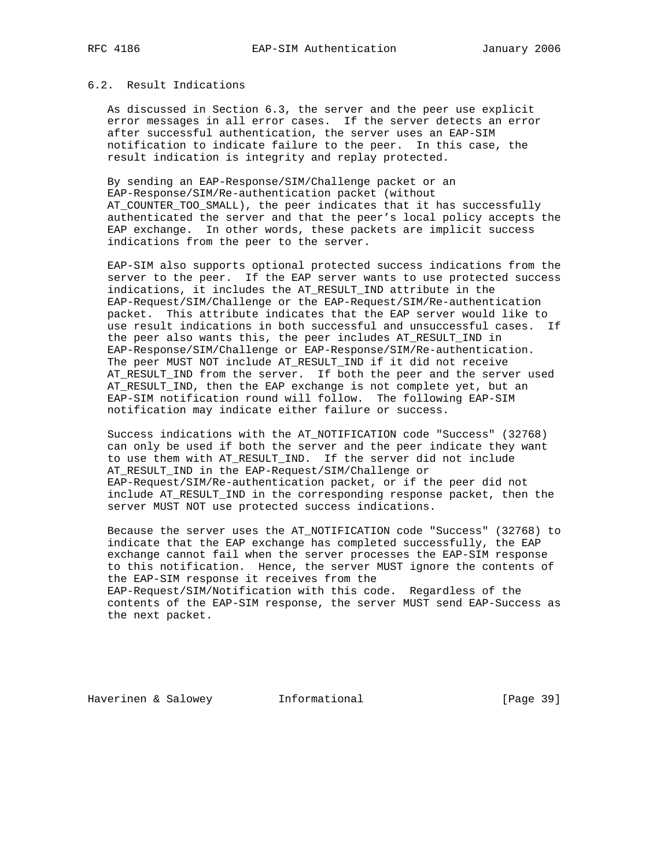## 6.2. Result Indications

 As discussed in Section 6.3, the server and the peer use explicit error messages in all error cases. If the server detects an error after successful authentication, the server uses an EAP-SIM notification to indicate failure to the peer. In this case, the result indication is integrity and replay protected.

 By sending an EAP-Response/SIM/Challenge packet or an EAP-Response/SIM/Re-authentication packet (without AT\_COUNTER\_TOO\_SMALL), the peer indicates that it has successfully authenticated the server and that the peer's local policy accepts the EAP exchange. In other words, these packets are implicit success indications from the peer to the server.

 EAP-SIM also supports optional protected success indications from the server to the peer. If the EAP server wants to use protected success indications, it includes the AT\_RESULT\_IND attribute in the EAP-Request/SIM/Challenge or the EAP-Request/SIM/Re-authentication packet. This attribute indicates that the EAP server would like to use result indications in both successful and unsuccessful cases. If the peer also wants this, the peer includes AT\_RESULT\_IND in EAP-Response/SIM/Challenge or EAP-Response/SIM/Re-authentication. The peer MUST NOT include AT\_RESULT\_IND if it did not receive AT\_RESULT\_IND from the server. If both the peer and the server used AT\_RESULT\_IND, then the EAP exchange is not complete yet, but an EAP-SIM notification round will follow. The following EAP-SIM notification may indicate either failure or success.

 Success indications with the AT\_NOTIFICATION code "Success" (32768) can only be used if both the server and the peer indicate they want to use them with AT\_RESULT\_IND. If the server did not include AT\_RESULT\_IND in the EAP-Request/SIM/Challenge or EAP-Request/SIM/Re-authentication packet, or if the peer did not include AT\_RESULT\_IND in the corresponding response packet, then the server MUST NOT use protected success indications.

 Because the server uses the AT\_NOTIFICATION code "Success" (32768) to indicate that the EAP exchange has completed successfully, the EAP exchange cannot fail when the server processes the EAP-SIM response to this notification. Hence, the server MUST ignore the contents of the EAP-SIM response it receives from the EAP-Request/SIM/Notification with this code. Regardless of the contents of the EAP-SIM response, the server MUST send EAP-Success as the next packet.

Haverinen & Salowey **Informational Informational** [Page 39]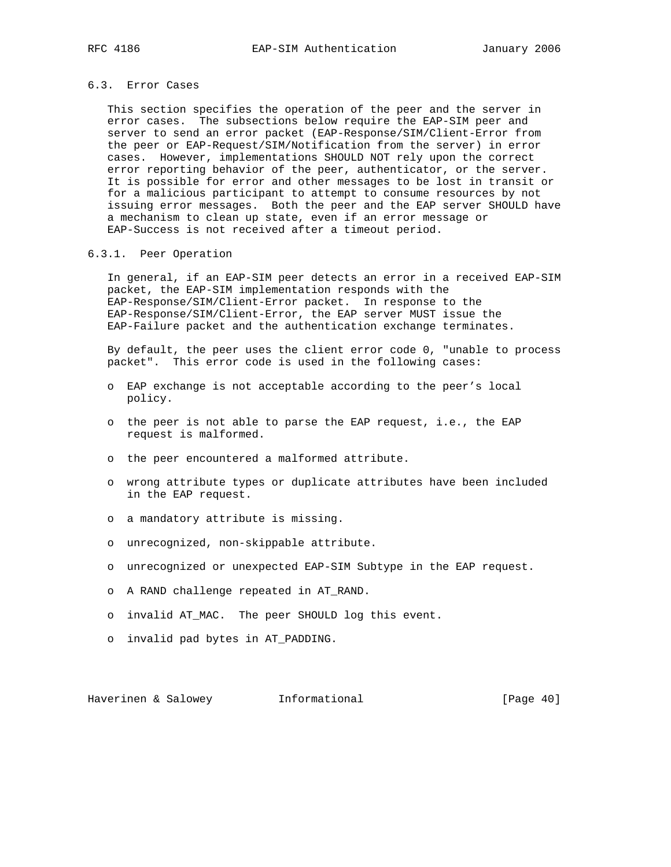## 6.3. Error Cases

 This section specifies the operation of the peer and the server in error cases. The subsections below require the EAP-SIM peer and server to send an error packet (EAP-Response/SIM/Client-Error from the peer or EAP-Request/SIM/Notification from the server) in error cases. However, implementations SHOULD NOT rely upon the correct error reporting behavior of the peer, authenticator, or the server. It is possible for error and other messages to be lost in transit or for a malicious participant to attempt to consume resources by not issuing error messages. Both the peer and the EAP server SHOULD have a mechanism to clean up state, even if an error message or EAP-Success is not received after a timeout period.

## 6.3.1. Peer Operation

 In general, if an EAP-SIM peer detects an error in a received EAP-SIM packet, the EAP-SIM implementation responds with the EAP-Response/SIM/Client-Error packet. In response to the EAP-Response/SIM/Client-Error, the EAP server MUST issue the EAP-Failure packet and the authentication exchange terminates.

 By default, the peer uses the client error code 0, "unable to process packet". This error code is used in the following cases:

- o EAP exchange is not acceptable according to the peer's local policy.
- o the peer is not able to parse the EAP request, i.e., the EAP request is malformed.
- o the peer encountered a malformed attribute.
- o wrong attribute types or duplicate attributes have been included in the EAP request.
- o a mandatory attribute is missing.
- o unrecognized, non-skippable attribute.
- o unrecognized or unexpected EAP-SIM Subtype in the EAP request.
- o A RAND challenge repeated in AT\_RAND.
- o invalid AT\_MAC. The peer SHOULD log this event.
- o invalid pad bytes in AT\_PADDING.

Haverinen & Salowey **Informational** [Page 40]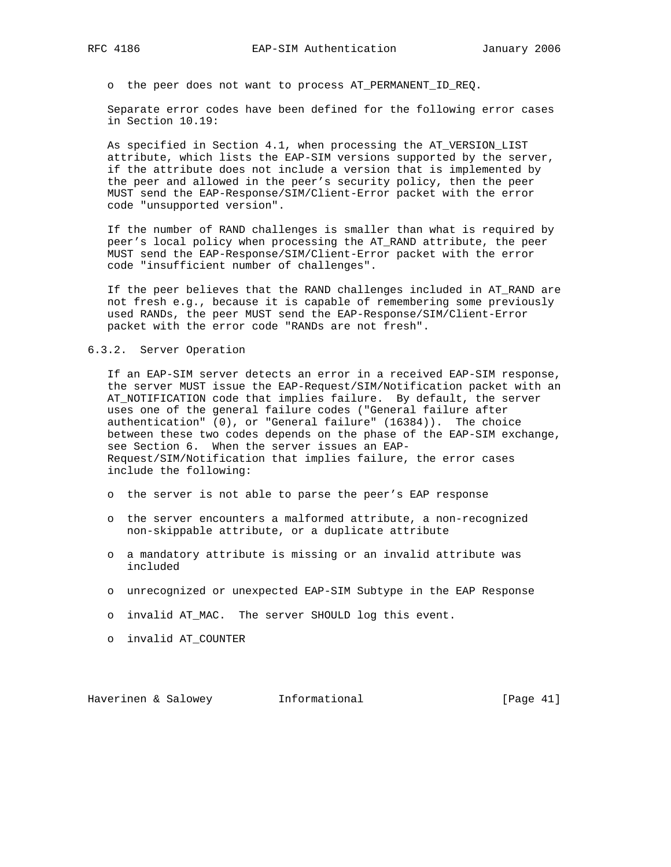o the peer does not want to process AT\_PERMANENT\_ID\_REQ.

 Separate error codes have been defined for the following error cases in Section 10.19:

 As specified in Section 4.1, when processing the AT\_VERSION\_LIST attribute, which lists the EAP-SIM versions supported by the server, if the attribute does not include a version that is implemented by the peer and allowed in the peer's security policy, then the peer MUST send the EAP-Response/SIM/Client-Error packet with the error code "unsupported version".

 If the number of RAND challenges is smaller than what is required by peer's local policy when processing the AT\_RAND attribute, the peer MUST send the EAP-Response/SIM/Client-Error packet with the error code "insufficient number of challenges".

 If the peer believes that the RAND challenges included in AT\_RAND are not fresh e.g., because it is capable of remembering some previously used RANDs, the peer MUST send the EAP-Response/SIM/Client-Error packet with the error code "RANDs are not fresh".

### 6.3.2. Server Operation

 If an EAP-SIM server detects an error in a received EAP-SIM response, the server MUST issue the EAP-Request/SIM/Notification packet with an AT\_NOTIFICATION code that implies failure. By default, the server uses one of the general failure codes ("General failure after authentication" (0), or "General failure" (16384)). The choice between these two codes depends on the phase of the EAP-SIM exchange, see Section 6. When the server issues an EAP- Request/SIM/Notification that implies failure, the error cases include the following:

- o the server is not able to parse the peer's EAP response
- o the server encounters a malformed attribute, a non-recognized non-skippable attribute, or a duplicate attribute
- o a mandatory attribute is missing or an invalid attribute was included
- o unrecognized or unexpected EAP-SIM Subtype in the EAP Response
- o invalid AT\_MAC. The server SHOULD log this event.
- o invalid AT\_COUNTER

Haverinen & Salowey Informational [Page 41]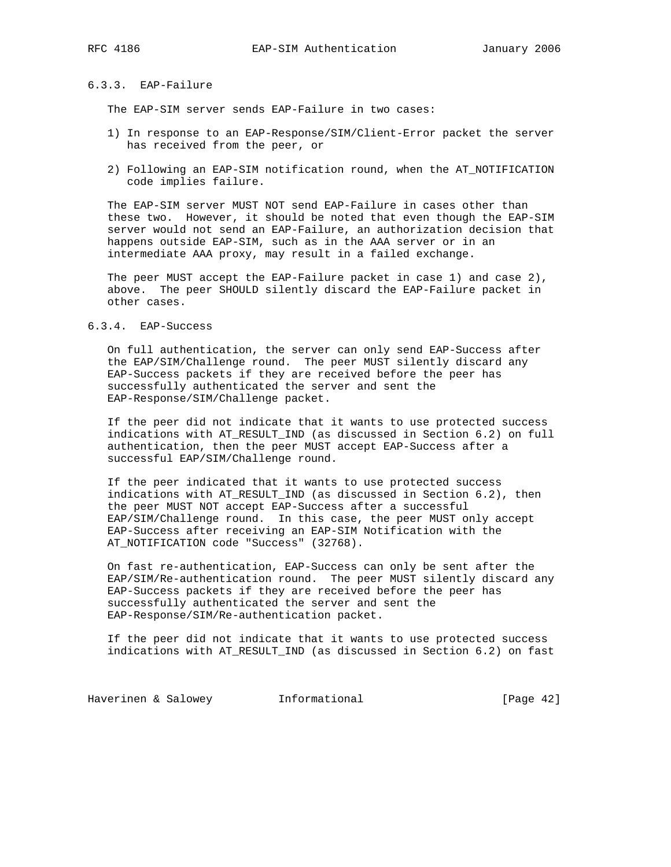## 6.3.3. EAP-Failure

The EAP-SIM server sends EAP-Failure in two cases:

- 1) In response to an EAP-Response/SIM/Client-Error packet the server has received from the peer, or
- 2) Following an EAP-SIM notification round, when the AT\_NOTIFICATION code implies failure.

 The EAP-SIM server MUST NOT send EAP-Failure in cases other than these two. However, it should be noted that even though the EAP-SIM server would not send an EAP-Failure, an authorization decision that happens outside EAP-SIM, such as in the AAA server or in an intermediate AAA proxy, may result in a failed exchange.

 The peer MUST accept the EAP-Failure packet in case 1) and case 2), above. The peer SHOULD silently discard the EAP-Failure packet in other cases.

#### 6.3.4. EAP-Success

 On full authentication, the server can only send EAP-Success after the EAP/SIM/Challenge round. The peer MUST silently discard any EAP-Success packets if they are received before the peer has successfully authenticated the server and sent the EAP-Response/SIM/Challenge packet.

 If the peer did not indicate that it wants to use protected success indications with AT\_RESULT\_IND (as discussed in Section 6.2) on full authentication, then the peer MUST accept EAP-Success after a successful EAP/SIM/Challenge round.

 If the peer indicated that it wants to use protected success indications with AT\_RESULT\_IND (as discussed in Section 6.2), then the peer MUST NOT accept EAP-Success after a successful EAP/SIM/Challenge round. In this case, the peer MUST only accept EAP-Success after receiving an EAP-SIM Notification with the AT\_NOTIFICATION code "Success" (32768).

 On fast re-authentication, EAP-Success can only be sent after the EAP/SIM/Re-authentication round. The peer MUST silently discard any EAP-Success packets if they are received before the peer has successfully authenticated the server and sent the EAP-Response/SIM/Re-authentication packet.

 If the peer did not indicate that it wants to use protected success indications with AT\_RESULT\_IND (as discussed in Section 6.2) on fast

Haverinen & Salowey **Informational Informational** [Page 42]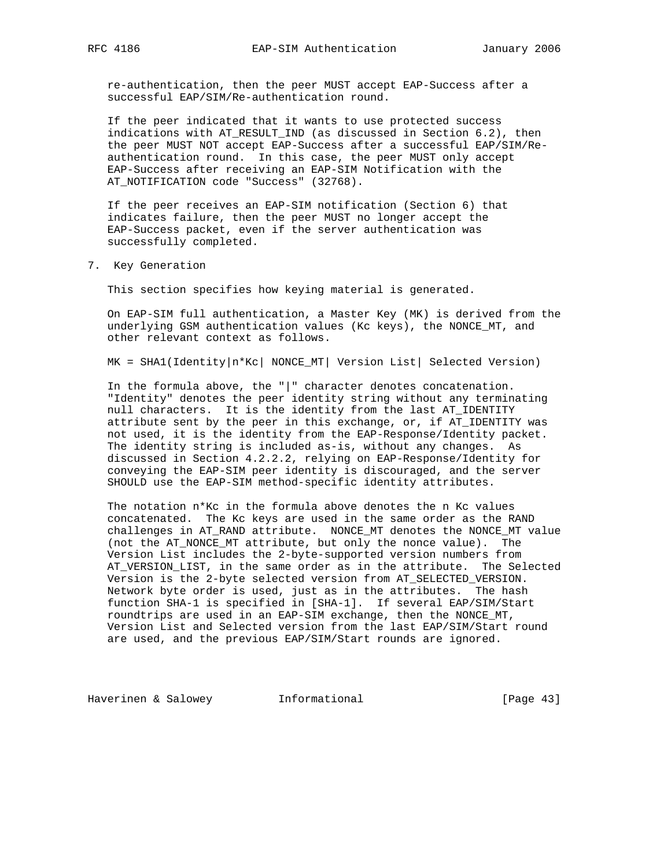re-authentication, then the peer MUST accept EAP-Success after a successful EAP/SIM/Re-authentication round.

 If the peer indicated that it wants to use protected success indications with AT\_RESULT\_IND (as discussed in Section 6.2), then the peer MUST NOT accept EAP-Success after a successful EAP/SIM/Re authentication round. In this case, the peer MUST only accept EAP-Success after receiving an EAP-SIM Notification with the AT\_NOTIFICATION code "Success" (32768).

 If the peer receives an EAP-SIM notification (Section 6) that indicates failure, then the peer MUST no longer accept the EAP-Success packet, even if the server authentication was successfully completed.

7. Key Generation

This section specifies how keying material is generated.

 On EAP-SIM full authentication, a Master Key (MK) is derived from the underlying GSM authentication values (Kc keys), the NONCE\_MT, and other relevant context as follows.

MK = SHA1(Identity|n\*Kc| NONCE\_MT| Version List| Selected Version)

 In the formula above, the "|" character denotes concatenation. "Identity" denotes the peer identity string without any terminating null characters. It is the identity from the last AT\_IDENTITY attribute sent by the peer in this exchange, or, if AT\_IDENTITY was not used, it is the identity from the EAP-Response/Identity packet. The identity string is included as-is, without any changes. As discussed in Section 4.2.2.2, relying on EAP-Response/Identity for conveying the EAP-SIM peer identity is discouraged, and the server SHOULD use the EAP-SIM method-specific identity attributes.

The notation  $n*$ Kc in the formula above denotes the n Kc values concatenated. The Kc keys are used in the same order as the RAND challenges in AT\_RAND attribute. NONCE\_MT denotes the NONCE\_MT value (not the AT\_NONCE\_MT attribute, but only the nonce value). The Version List includes the 2-byte-supported version numbers from AT\_VERSION\_LIST, in the same order as in the attribute. The Selected Version is the 2-byte selected version from AT\_SELECTED\_VERSION. Network byte order is used, just as in the attributes. The hash function SHA-1 is specified in [SHA-1]. If several EAP/SIM/Start roundtrips are used in an EAP-SIM exchange, then the NONCE\_MT, Version List and Selected version from the last EAP/SIM/Start round are used, and the previous EAP/SIM/Start rounds are ignored.

Haverinen & Salowey **Informational** [Page 43]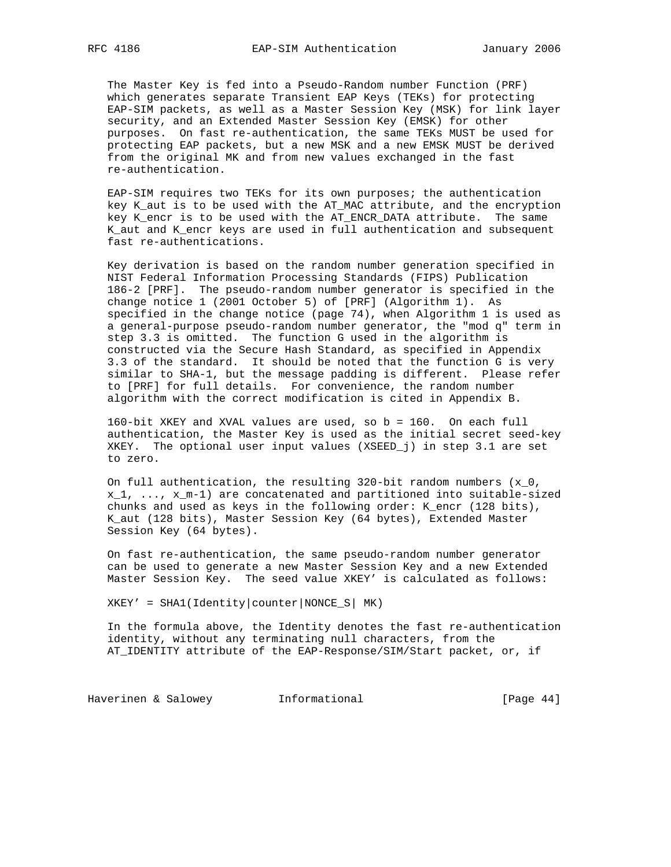The Master Key is fed into a Pseudo-Random number Function (PRF) which generates separate Transient EAP Keys (TEKs) for protecting EAP-SIM packets, as well as a Master Session Key (MSK) for link layer security, and an Extended Master Session Key (EMSK) for other purposes. On fast re-authentication, the same TEKs MUST be used for protecting EAP packets, but a new MSK and a new EMSK MUST be derived from the original MK and from new values exchanged in the fast re-authentication.

 EAP-SIM requires two TEKs for its own purposes; the authentication key K\_aut is to be used with the AT\_MAC attribute, and the encryption key K\_encr is to be used with the AT\_ENCR\_DATA attribute. The same K\_aut and K\_encr keys are used in full authentication and subsequent fast re-authentications.

 Key derivation is based on the random number generation specified in NIST Federal Information Processing Standards (FIPS) Publication 186-2 [PRF]. The pseudo-random number generator is specified in the change notice 1 (2001 October 5) of [PRF] (Algorithm 1). As specified in the change notice (page 74), when Algorithm 1 is used as a general-purpose pseudo-random number generator, the "mod q" term in step 3.3 is omitted. The function G used in the algorithm is constructed via the Secure Hash Standard, as specified in Appendix 3.3 of the standard. It should be noted that the function G is very similar to SHA-1, but the message padding is different. Please refer to [PRF] for full details. For convenience, the random number algorithm with the correct modification is cited in Appendix B.

 160-bit XKEY and XVAL values are used, so b = 160. On each full authentication, the Master Key is used as the initial secret seed-key XKEY. The optional user input values (XSEED\_j) in step 3.1 are set to zero.

On full authentication, the resulting 320-bit random numbers  $(x_0, t_0)$  x\_1, ..., x\_m-1) are concatenated and partitioned into suitable-sized chunks and used as keys in the following order: K\_encr (128 bits), K\_aut (128 bits), Master Session Key (64 bytes), Extended Master Session Key (64 bytes).

 On fast re-authentication, the same pseudo-random number generator can be used to generate a new Master Session Key and a new Extended Master Session Key. The seed value XKEY' is calculated as follows:

 $XKEY' = SHA (Identity|counter|NONCE_S| MK)$ 

 In the formula above, the Identity denotes the fast re-authentication identity, without any terminating null characters, from the AT\_IDENTITY attribute of the EAP-Response/SIM/Start packet, or, if

Haverinen & Salowey **Informational** [Page 44]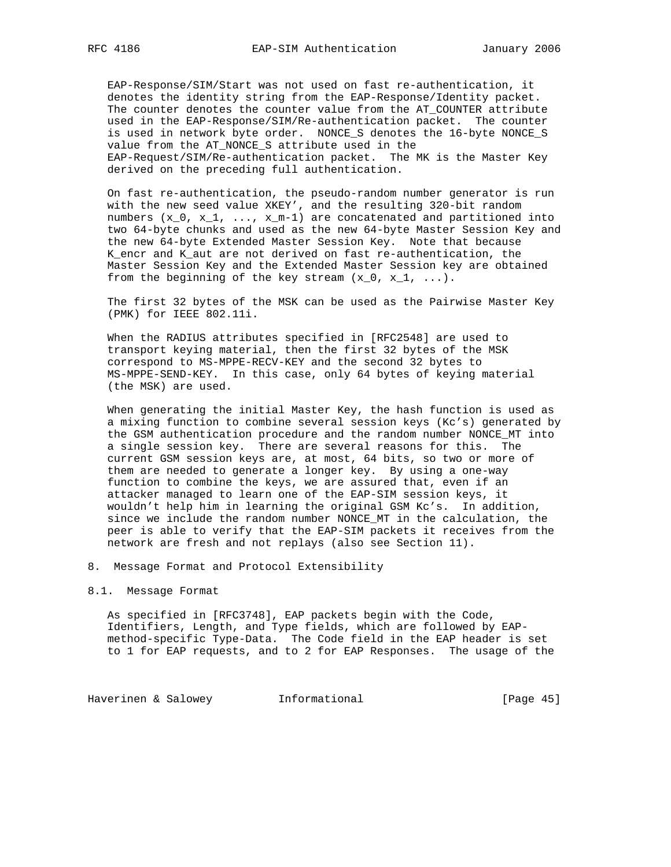EAP-Response/SIM/Start was not used on fast re-authentication, it denotes the identity string from the EAP-Response/Identity packet. The counter denotes the counter value from the AT\_COUNTER attribute used in the EAP-Response/SIM/Re-authentication packet. The counter is used in network byte order. NONCE\_S denotes the 16-byte NONCE\_S value from the AT\_NONCE\_S attribute used in the EAP-Request/SIM/Re-authentication packet. The MK is the Master Key derived on the preceding full authentication.

 On fast re-authentication, the pseudo-random number generator is run with the new seed value XKEY', and the resulting 320-bit random numbers  $(x_0, x_1, ..., x_m-1)$  are concatenated and partitioned into two 64-byte chunks and used as the new 64-byte Master Session Key and the new 64-byte Extended Master Session Key. Note that because K\_encr and K\_aut are not derived on fast re-authentication, the Master Session Key and the Extended Master Session key are obtained from the beginning of the key stream  $(x_0, x_1, \ldots)$ .

 The first 32 bytes of the MSK can be used as the Pairwise Master Key (PMK) for IEEE 802.11i.

 When the RADIUS attributes specified in [RFC2548] are used to transport keying material, then the first 32 bytes of the MSK correspond to MS-MPPE-RECV-KEY and the second 32 bytes to MS-MPPE-SEND-KEY. In this case, only 64 bytes of keying material (the MSK) are used.

 When generating the initial Master Key, the hash function is used as a mixing function to combine several session keys (Kc's) generated by the GSM authentication procedure and the random number NONCE\_MT into a single session key. There are several reasons for this. The current GSM session keys are, at most, 64 bits, so two or more of them are needed to generate a longer key. By using a one-way function to combine the keys, we are assured that, even if an attacker managed to learn one of the EAP-SIM session keys, it wouldn't help him in learning the original GSM Kc's. In addition, since we include the random number NONCE\_MT in the calculation, the peer is able to verify that the EAP-SIM packets it receives from the network are fresh and not replays (also see Section 11).

8. Message Format and Protocol Extensibility

#### 8.1. Message Format

 As specified in [RFC3748], EAP packets begin with the Code, Identifiers, Length, and Type fields, which are followed by EAP method-specific Type-Data. The Code field in the EAP header is set to 1 for EAP requests, and to 2 for EAP Responses. The usage of the

Haverinen & Salowey **Informational Informational** [Page 45]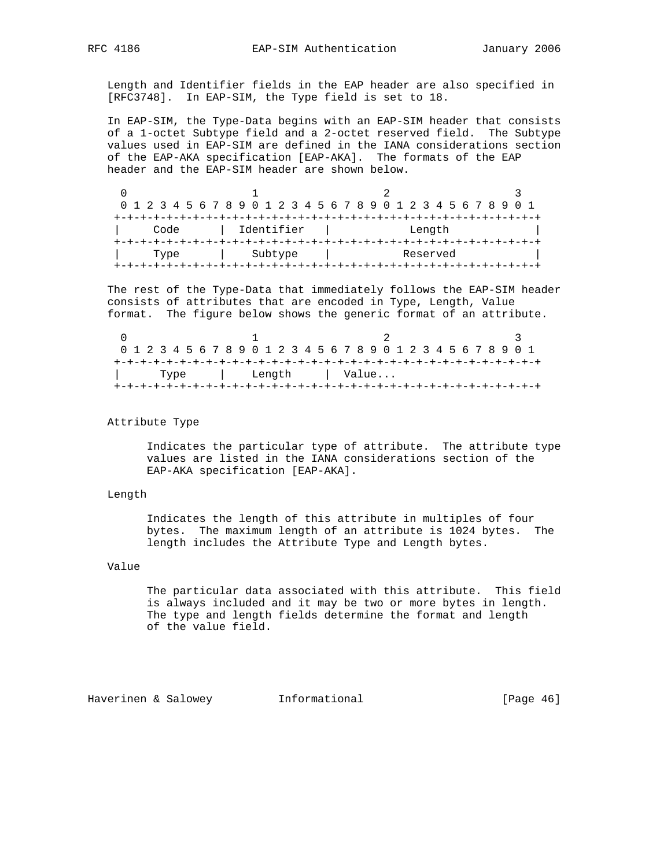Length and Identifier fields in the EAP header are also specified in [RFC3748]. In EAP-SIM, the Type field is set to 18.

 In EAP-SIM, the Type-Data begins with an EAP-SIM header that consists of a 1-octet Subtype field and a 2-octet reserved field. The Subtype values used in EAP-SIM are defined in the IANA considerations section of the EAP-AKA specification [EAP-AKA]. The formats of the EAP header and the EAP-SIM header are shown below.

|                    | 0 1 2 3 4 5 6 7 8 9 0 1 2 3 4 5 6 7 8 9 0 1 2 3 4 5 6 7 8 9 |  |      |  |  |  |  |  |  |  |  |         |  |  |  |  |  |          |  |  |  |  |
|--------------------|-------------------------------------------------------------|--|------|--|--|--|--|--|--|--|--|---------|--|--|--|--|--|----------|--|--|--|--|
|                    |                                                             |  |      |  |  |  |  |  |  |  |  |         |  |  |  |  |  |          |  |  |  |  |
| Identifier<br>Code |                                                             |  |      |  |  |  |  |  |  |  |  |         |  |  |  |  |  | Length   |  |  |  |  |
|                    |                                                             |  |      |  |  |  |  |  |  |  |  |         |  |  |  |  |  |          |  |  |  |  |
|                    |                                                             |  | Type |  |  |  |  |  |  |  |  | Subtype |  |  |  |  |  | Reserved |  |  |  |  |
|                    |                                                             |  |      |  |  |  |  |  |  |  |  |         |  |  |  |  |  |          |  |  |  |  |

 The rest of the Type-Data that immediately follows the EAP-SIM header consists of attributes that are encoded in Type, Length, Value format. The figure below shows the generic format of an attribute.

|  |  |      |  |  |  | 0 1 2 3 4 5 6 7 8 9 0 1 2 3 4 5 6 7 8 9 0 1 2 3 4 5 6 7 8 9 0 1 |  |  |  |  |  |  |  |  |  |  |
|--|--|------|--|--|--|-----------------------------------------------------------------|--|--|--|--|--|--|--|--|--|--|
|  |  |      |  |  |  |                                                                 |  |  |  |  |  |  |  |  |  |  |
|  |  | Type |  |  |  | Length   Value                                                  |  |  |  |  |  |  |  |  |  |  |
|  |  |      |  |  |  |                                                                 |  |  |  |  |  |  |  |  |  |  |

#### Attribute Type

 Indicates the particular type of attribute. The attribute type values are listed in the IANA considerations section of the EAP-AKA specification [EAP-AKA].

#### Length

 Indicates the length of this attribute in multiples of four bytes. The maximum length of an attribute is 1024 bytes. The length includes the Attribute Type and Length bytes.

## Value

 The particular data associated with this attribute. This field is always included and it may be two or more bytes in length. The type and length fields determine the format and length of the value field.

Haverinen & Salowey **Informational Informational** [Page 46]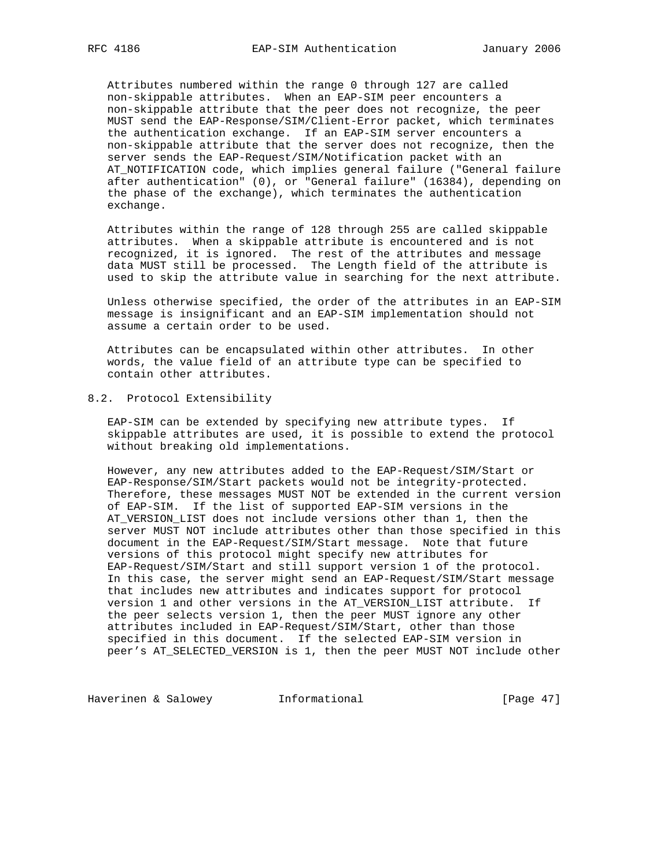Attributes numbered within the range 0 through 127 are called non-skippable attributes. When an EAP-SIM peer encounters a non-skippable attribute that the peer does not recognize, the peer MUST send the EAP-Response/SIM/Client-Error packet, which terminates the authentication exchange. If an EAP-SIM server encounters a non-skippable attribute that the server does not recognize, then the server sends the EAP-Request/SIM/Notification packet with an AT\_NOTIFICATION code, which implies general failure ("General failure after authentication" (0), or "General failure" (16384), depending on the phase of the exchange), which terminates the authentication exchange.

 Attributes within the range of 128 through 255 are called skippable attributes. When a skippable attribute is encountered and is not recognized, it is ignored. The rest of the attributes and message data MUST still be processed. The Length field of the attribute is used to skip the attribute value in searching for the next attribute.

 Unless otherwise specified, the order of the attributes in an EAP-SIM message is insignificant and an EAP-SIM implementation should not assume a certain order to be used.

 Attributes can be encapsulated within other attributes. In other words, the value field of an attribute type can be specified to contain other attributes.

## 8.2. Protocol Extensibility

 EAP-SIM can be extended by specifying new attribute types. If skippable attributes are used, it is possible to extend the protocol without breaking old implementations.

 However, any new attributes added to the EAP-Request/SIM/Start or EAP-Response/SIM/Start packets would not be integrity-protected. Therefore, these messages MUST NOT be extended in the current version of EAP-SIM. If the list of supported EAP-SIM versions in the AT\_VERSION\_LIST does not include versions other than 1, then the server MUST NOT include attributes other than those specified in this document in the EAP-Request/SIM/Start message. Note that future versions of this protocol might specify new attributes for EAP-Request/SIM/Start and still support version 1 of the protocol. In this case, the server might send an EAP-Request/SIM/Start message that includes new attributes and indicates support for protocol version 1 and other versions in the AT\_VERSION\_LIST attribute. If the peer selects version 1, then the peer MUST ignore any other attributes included in EAP-Request/SIM/Start, other than those specified in this document. If the selected EAP-SIM version in peer's AT\_SELECTED\_VERSION is 1, then the peer MUST NOT include other

Haverinen & Salowey **Informational Informational** [Page 47]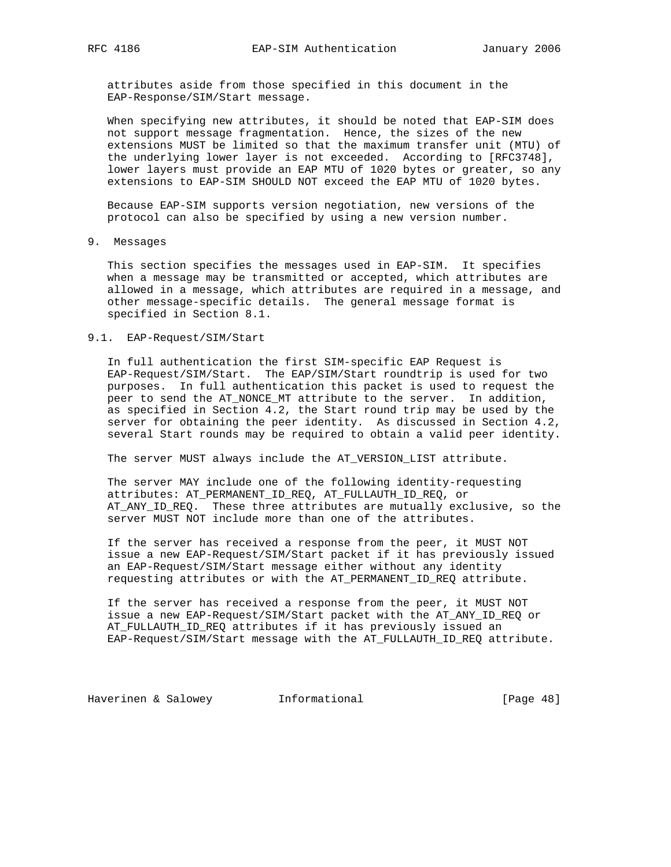attributes aside from those specified in this document in the EAP-Response/SIM/Start message.

 When specifying new attributes, it should be noted that EAP-SIM does not support message fragmentation. Hence, the sizes of the new extensions MUST be limited so that the maximum transfer unit (MTU) of the underlying lower layer is not exceeded. According to [RFC3748], lower layers must provide an EAP MTU of 1020 bytes or greater, so any extensions to EAP-SIM SHOULD NOT exceed the EAP MTU of 1020 bytes.

 Because EAP-SIM supports version negotiation, new versions of the protocol can also be specified by using a new version number.

9. Messages

 This section specifies the messages used in EAP-SIM. It specifies when a message may be transmitted or accepted, which attributes are allowed in a message, which attributes are required in a message, and other message-specific details. The general message format is specified in Section 8.1.

#### 9.1. EAP-Request/SIM/Start

 In full authentication the first SIM-specific EAP Request is EAP-Request/SIM/Start. The EAP/SIM/Start roundtrip is used for two purposes. In full authentication this packet is used to request the peer to send the AT\_NONCE\_MT attribute to the server. In addition, as specified in Section 4.2, the Start round trip may be used by the server for obtaining the peer identity. As discussed in Section 4.2, several Start rounds may be required to obtain a valid peer identity.

The server MUST always include the AT\_VERSION\_LIST attribute.

 The server MAY include one of the following identity-requesting attributes: AT\_PERMANENT\_ID\_REQ, AT\_FULLAUTH\_ID\_REQ, or AT\_ANY\_ID\_REQ. These three attributes are mutually exclusive, so the server MUST NOT include more than one of the attributes.

 If the server has received a response from the peer, it MUST NOT issue a new EAP-Request/SIM/Start packet if it has previously issued an EAP-Request/SIM/Start message either without any identity requesting attributes or with the AT\_PERMANENT\_ID\_REQ attribute.

 If the server has received a response from the peer, it MUST NOT issue a new EAP-Request/SIM/Start packet with the AT\_ANY\_ID\_REQ or AT\_FULLAUTH\_ID\_REQ attributes if it has previously issued an EAP-Request/SIM/Start message with the AT\_FULLAUTH\_ID\_REQ attribute.

Haverinen & Salowey **Informational** [Page 48]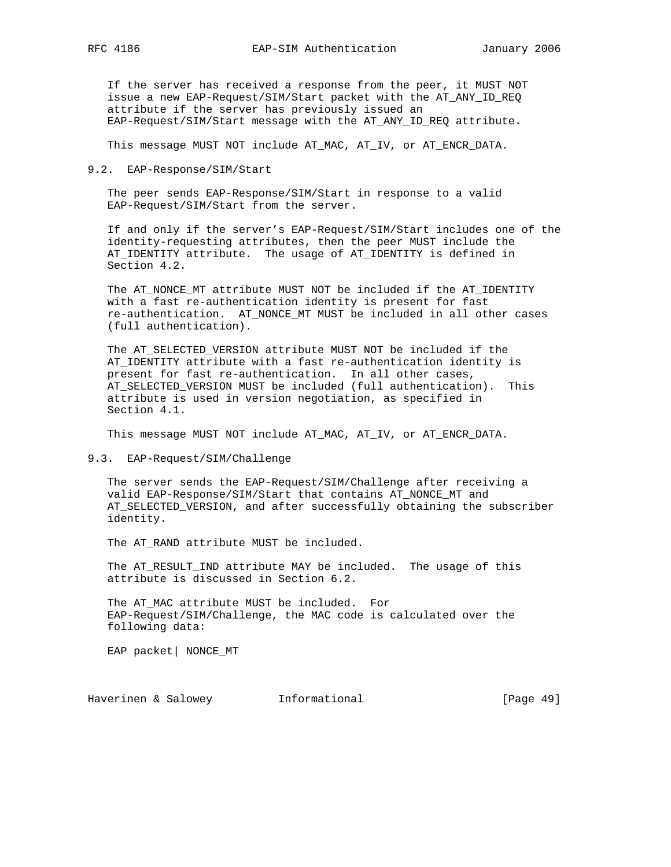If the server has received a response from the peer, it MUST NOT issue a new EAP-Request/SIM/Start packet with the AT\_ANY\_ID\_REQ attribute if the server has previously issued an EAP-Request/SIM/Start message with the AT\_ANY\_ID\_REQ attribute.

This message MUST NOT include AT\_MAC, AT\_IV, or AT\_ENCR\_DATA.

#### 9.2. EAP-Response/SIM/Start

 The peer sends EAP-Response/SIM/Start in response to a valid EAP-Request/SIM/Start from the server.

 If and only if the server's EAP-Request/SIM/Start includes one of the identity-requesting attributes, then the peer MUST include the AT\_IDENTITY attribute. The usage of AT\_IDENTITY is defined in Section 4.2.

 The AT\_NONCE\_MT attribute MUST NOT be included if the AT\_IDENTITY with a fast re-authentication identity is present for fast re-authentication. AT\_NONCE\_MT MUST be included in all other cases (full authentication).

 The AT\_SELECTED\_VERSION attribute MUST NOT be included if the AT\_IDENTITY attribute with a fast re-authentication identity is present for fast re-authentication. In all other cases, AT\_SELECTED\_VERSION MUST be included (full authentication). This attribute is used in version negotiation, as specified in Section 4.1.

This message MUST NOT include AT\_MAC, AT\_IV, or AT\_ENCR\_DATA.

9.3. EAP-Request/SIM/Challenge

 The server sends the EAP-Request/SIM/Challenge after receiving a valid EAP-Response/SIM/Start that contains AT\_NONCE\_MT and AT\_SELECTED\_VERSION, and after successfully obtaining the subscriber identity.

The AT\_RAND attribute MUST be included.

 The AT\_RESULT\_IND attribute MAY be included. The usage of this attribute is discussed in Section 6.2.

 The AT\_MAC attribute MUST be included. For EAP-Request/SIM/Challenge, the MAC code is calculated over the following data:

EAP packet| NONCE\_MT

Haverinen & Salowey **Informational Informational** [Page 49]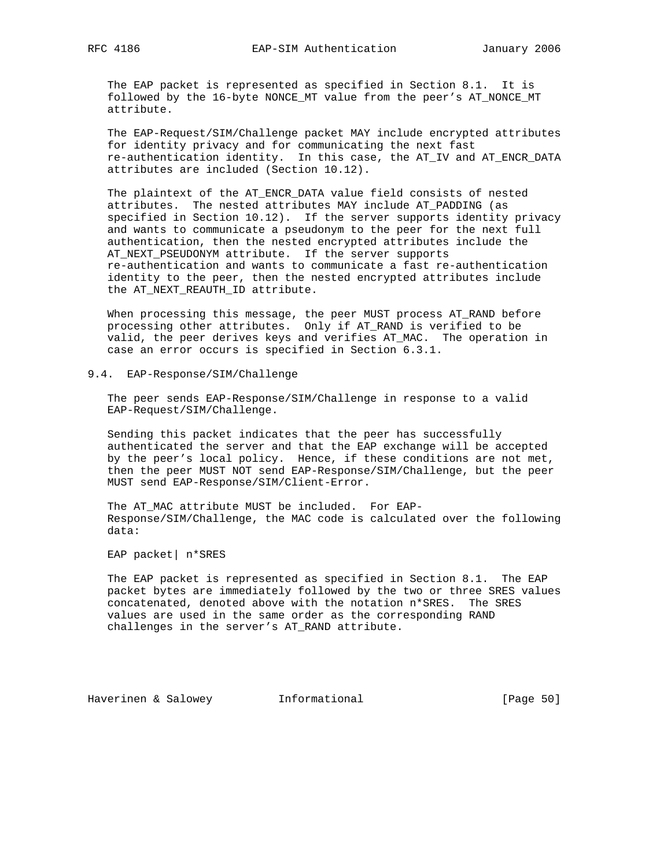The EAP packet is represented as specified in Section 8.1. It is followed by the 16-byte NONCE\_MT value from the peer's AT\_NONCE\_MT attribute.

 The EAP-Request/SIM/Challenge packet MAY include encrypted attributes for identity privacy and for communicating the next fast re-authentication identity. In this case, the AT\_IV and AT\_ENCR\_DATA attributes are included (Section 10.12).

 The plaintext of the AT\_ENCR\_DATA value field consists of nested attributes. The nested attributes MAY include AT\_PADDING (as specified in Section 10.12). If the server supports identity privacy and wants to communicate a pseudonym to the peer for the next full authentication, then the nested encrypted attributes include the AT\_NEXT\_PSEUDONYM attribute. If the server supports re-authentication and wants to communicate a fast re-authentication identity to the peer, then the nested encrypted attributes include the AT\_NEXT\_REAUTH\_ID attribute.

 When processing this message, the peer MUST process AT\_RAND before processing other attributes. Only if AT\_RAND is verified to be valid, the peer derives keys and verifies AT\_MAC. The operation in case an error occurs is specified in Section 6.3.1.

9.4. EAP-Response/SIM/Challenge

 The peer sends EAP-Response/SIM/Challenge in response to a valid EAP-Request/SIM/Challenge.

 Sending this packet indicates that the peer has successfully authenticated the server and that the EAP exchange will be accepted by the peer's local policy. Hence, if these conditions are not met, then the peer MUST NOT send EAP-Response/SIM/Challenge, but the peer MUST send EAP-Response/SIM/Client-Error.

 The AT\_MAC attribute MUST be included. For EAP- Response/SIM/Challenge, the MAC code is calculated over the following data:

EAP packet| n\*SRES

 The EAP packet is represented as specified in Section 8.1. The EAP packet bytes are immediately followed by the two or three SRES values concatenated, denoted above with the notation n\*SRES. The SRES values are used in the same order as the corresponding RAND challenges in the server's AT\_RAND attribute.

Haverinen & Salowey Informational [Page 50]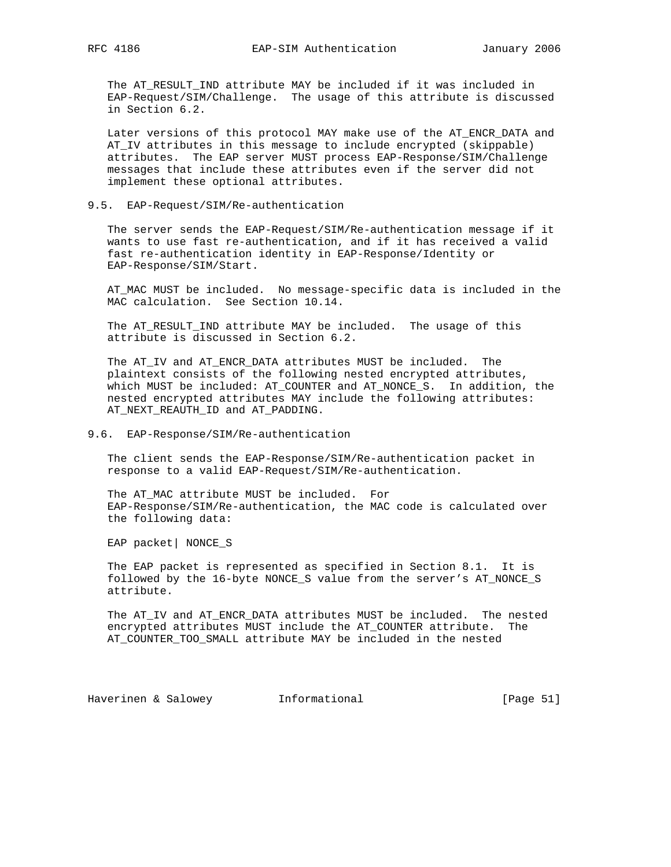The AT\_RESULT\_IND attribute MAY be included if it was included in EAP-Request/SIM/Challenge. The usage of this attribute is discussed in Section 6.2.

 Later versions of this protocol MAY make use of the AT\_ENCR\_DATA and AT\_IV attributes in this message to include encrypted (skippable) attributes. The EAP server MUST process EAP-Response/SIM/Challenge messages that include these attributes even if the server did not implement these optional attributes.

### 9.5. EAP-Request/SIM/Re-authentication

 The server sends the EAP-Request/SIM/Re-authentication message if it wants to use fast re-authentication, and if it has received a valid fast re-authentication identity in EAP-Response/Identity or EAP-Response/SIM/Start.

 AT\_MAC MUST be included. No message-specific data is included in the MAC calculation. See Section 10.14.

 The AT\_RESULT\_IND attribute MAY be included. The usage of this attribute is discussed in Section 6.2.

 The AT\_IV and AT\_ENCR\_DATA attributes MUST be included. The plaintext consists of the following nested encrypted attributes, which MUST be included: AT\_COUNTER and AT\_NONCE\_S. In addition, the nested encrypted attributes MAY include the following attributes: AT\_NEXT\_REAUTH\_ID and AT\_PADDING.

### 9.6. EAP-Response/SIM/Re-authentication

 The client sends the EAP-Response/SIM/Re-authentication packet in response to a valid EAP-Request/SIM/Re-authentication.

 The AT\_MAC attribute MUST be included. For EAP-Response/SIM/Re-authentication, the MAC code is calculated over the following data:

EAP packet| NONCE\_S

 The EAP packet is represented as specified in Section 8.1. It is followed by the 16-byte NONCE\_S value from the server's AT\_NONCE\_S attribute.

 The AT\_IV and AT\_ENCR\_DATA attributes MUST be included. The nested encrypted attributes MUST include the AT\_COUNTER attribute. The AT\_COUNTER\_TOO\_SMALL attribute MAY be included in the nested

Haverinen & Salowey **Informational Informational** [Page 51]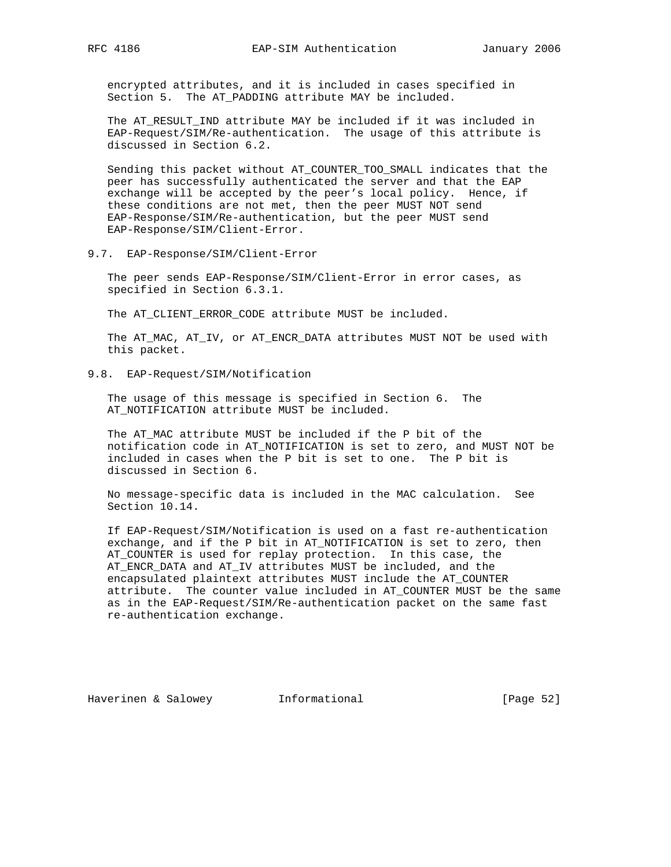encrypted attributes, and it is included in cases specified in Section 5. The AT\_PADDING attribute MAY be included.

 The AT\_RESULT\_IND attribute MAY be included if it was included in EAP-Request/SIM/Re-authentication. The usage of this attribute is discussed in Section 6.2.

 Sending this packet without AT\_COUNTER\_TOO\_SMALL indicates that the peer has successfully authenticated the server and that the EAP exchange will be accepted by the peer's local policy. Hence, if these conditions are not met, then the peer MUST NOT send EAP-Response/SIM/Re-authentication, but the peer MUST send EAP-Response/SIM/Client-Error.

9.7. EAP-Response/SIM/Client-Error

 The peer sends EAP-Response/SIM/Client-Error in error cases, as specified in Section 6.3.1.

The AT\_CLIENT\_ERROR\_CODE attribute MUST be included.

 The AT\_MAC, AT\_IV, or AT\_ENCR\_DATA attributes MUST NOT be used with this packet.

9.8. EAP-Request/SIM/Notification

 The usage of this message is specified in Section 6. The AT NOTIFICATION attribute MUST be included.

 The AT\_MAC attribute MUST be included if the P bit of the notification code in AT\_NOTIFICATION is set to zero, and MUST NOT be included in cases when the P bit is set to one. The P bit is discussed in Section 6.

 No message-specific data is included in the MAC calculation. See Section 10.14.

 If EAP-Request/SIM/Notification is used on a fast re-authentication exchange, and if the P bit in AT\_NOTIFICATION is set to zero, then AT\_COUNTER is used for replay protection. In this case, the AT\_ENCR\_DATA and AT\_IV attributes MUST be included, and the encapsulated plaintext attributes MUST include the AT\_COUNTER attribute. The counter value included in AT\_COUNTER MUST be the same as in the EAP-Request/SIM/Re-authentication packet on the same fast re-authentication exchange.

Haverinen & Salowey **Informational** [Page 52]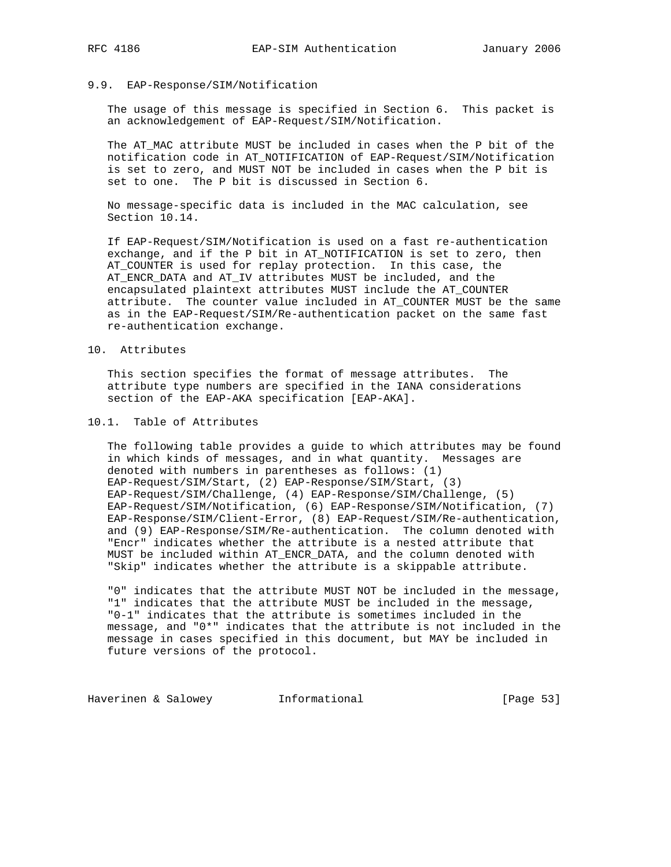#### 9.9. EAP-Response/SIM/Notification

 The usage of this message is specified in Section 6. This packet is an acknowledgement of EAP-Request/SIM/Notification.

 The AT\_MAC attribute MUST be included in cases when the P bit of the notification code in AT\_NOTIFICATION of EAP-Request/SIM/Notification is set to zero, and MUST NOT be included in cases when the P bit is set to one. The P bit is discussed in Section 6.

 No message-specific data is included in the MAC calculation, see Section 10.14.

 If EAP-Request/SIM/Notification is used on a fast re-authentication exchange, and if the P bit in AT\_NOTIFICATION is set to zero, then AT\_COUNTER is used for replay protection. In this case, the AT\_ENCR\_DATA and AT\_IV attributes MUST be included, and the encapsulated plaintext attributes MUST include the AT\_COUNTER attribute. The counter value included in AT\_COUNTER MUST be the same as in the EAP-Request/SIM/Re-authentication packet on the same fast re-authentication exchange.

#### 10. Attributes

 This section specifies the format of message attributes. The attribute type numbers are specified in the IANA considerations section of the EAP-AKA specification [EAP-AKA].

# 10.1. Table of Attributes

 The following table provides a guide to which attributes may be found in which kinds of messages, and in what quantity. Messages are denoted with numbers in parentheses as follows: (1) EAP-Request/SIM/Start, (2) EAP-Response/SIM/Start, (3) EAP-Request/SIM/Challenge, (4) EAP-Response/SIM/Challenge, (5) EAP-Request/SIM/Notification, (6) EAP-Response/SIM/Notification, (7) EAP-Response/SIM/Client-Error, (8) EAP-Request/SIM/Re-authentication, and (9) EAP-Response/SIM/Re-authentication. The column denoted with "Encr" indicates whether the attribute is a nested attribute that MUST be included within AT\_ENCR\_DATA, and the column denoted with "Skip" indicates whether the attribute is a skippable attribute.

 "0" indicates that the attribute MUST NOT be included in the message, "1" indicates that the attribute MUST be included in the message, "0-1" indicates that the attribute is sometimes included in the message, and "0\*" indicates that the attribute is not included in the message in cases specified in this document, but MAY be included in future versions of the protocol.

Haverinen & Salowey **Informational Informational** [Page 53]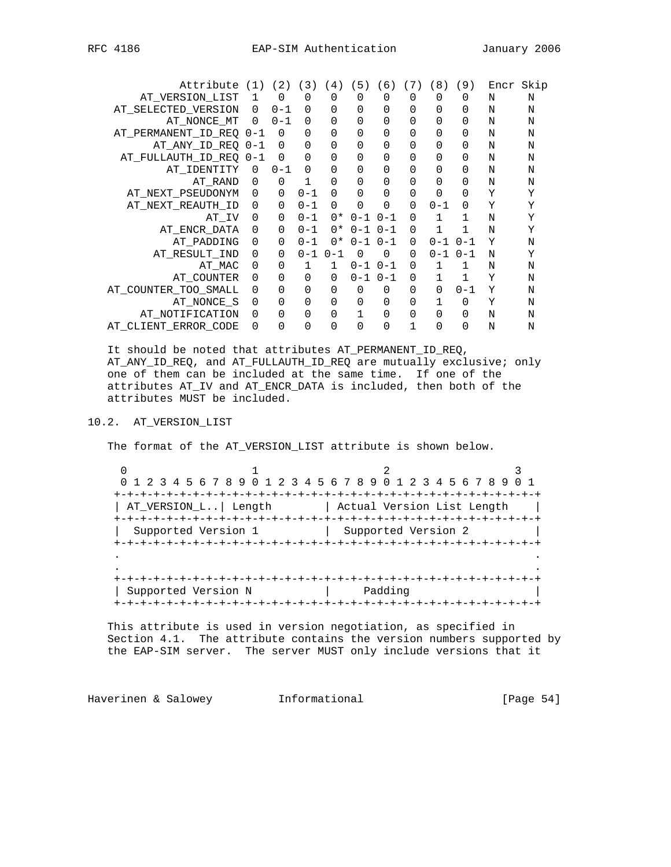| Attribute               | (1)      | (2)         | $\left(\begin{array}{c}3\end{array}\right)$ | 4)       | 5)          | (6)         | (7)      | 8)      | (9)          | Encr | Skip |
|-------------------------|----------|-------------|---------------------------------------------|----------|-------------|-------------|----------|---------|--------------|------|------|
| AT VERSION LIST         | 1        | $\mathbf 0$ | 0                                           | 0        | 0           | $\mathbf 0$ | $\Omega$ | 0       | $\Omega$     | N    | N    |
| AT_SELECTED_VERSION     | 0        | $0 - 1$     | 0                                           | 0        | 0           | 0           | 0        | 0       | $\Omega$     | N    | N    |
| AT NONCE MT             | $\Omega$ | $0 - 1$     | 0                                           | 0        | 0           | 0           | 0        | 0       | $\Omega$     | N    | N    |
| AT_PERMANENT_ID_REQ 0-1 |          | 0           | 0                                           | 0        | 0           | 0           | 0        | 0       | 0            | N    | N    |
| AT ANY ID REQ           | 0-1      | $\Omega$    | 0                                           | 0        | 0           | 0           | 0        | 0       | 0            | N    | N    |
| AT FULLAUTH ID REQ      | $0 - 1$  | $\Omega$    | 0                                           | 0        | 0           | 0           | 0        | 0       | $\Omega$     | N    | N    |
| AT IDENTITY             | 0        | $0 - 1$     | 0                                           | 0        | 0           | 0           | 0        | 0       | $\Omega$     | N    | N    |
| AT RAND                 | 0        | $\Omega$    | 1                                           | 0        | 0           | 0           | 0        | 0       | $\Omega$     | N    | Ν    |
| AT_NEXT_PSEUDONYM       | 0        | $\mathbf 0$ | $0 - 1$                                     | 0        | 0           | 0           | 0        | 0       | $\Omega$     | Υ    | Υ    |
| AT NEXT REAUTH ID       | 0        | 0           | $0 - 1$                                     | $\Omega$ | 0           | 0           | $\Omega$ | $0 - 1$ | $\Omega$     | Υ    | Υ    |
| AT IV                   | 0        | 0           | $0 - 1$                                     | $0*$     | $0 - 1$     | $0 - 1$     | $\Omega$ |         | $\mathbf{1}$ | N    | Υ    |
| AT ENCR DATA            | 0        | $\Omega$    | $0 - 1$                                     | $0*$     | $0 - 1$     | $0 - 1$     | $\Omega$ | 1       | $\mathbf 1$  | N    | Υ    |
| AT PADDING              | 0        | 0           | $0 - 1$                                     | $0*$     | $0 - 1$     | $0 - 1$     | $\Omega$ | $0 - 1$ | $0 - 1$      | Υ    | N    |
| AT RESULT IND           | 0        | $\Omega$    | $0 - 1$                                     | $0 - 1$  | $\mathbf 0$ | 0           | $\Omega$ | $0 - 1$ | $0 - 1$      | N    | Υ    |
| AT MAC                  | $\Omega$ | $\Omega$    | 1                                           | 1        | $0 - 1$     | $0 - 1$     | $\Omega$ | 1       | 1            | N    | N    |
| AT COUNTER              | $\Omega$ | $\Omega$    | $\Omega$                                    | $\Omega$ | $0 - 1$     | $0 - 1$     | $\Omega$ | 1       | 1            | Υ    | N    |
| AT COUNTER TOO SMALL    | 0        | $\Omega$    | 0                                           | 0        | 0           | 0           | 0        | 0       | $0 - 1$      | Υ    | N    |
| AT NONCE S              | 0        | 0           | 0                                           | 0        | 0           | 0           | 0        |         | $\mathbf 0$  | Υ    | N    |
| AT NOTIFICATION         | 0        | $\Omega$    | 0                                           | 0        |             | 0           | 0        | 0       | $\Omega$     | N    | N    |
| AT_CLIENT_ERROR_CODE    | 0        | $\Omega$    | 0                                           | 0        | 0           | 0           |          | 0       | $\Omega$     | N    | N    |
|                         |          |             |                                             |          |             |             |          |         |              |      |      |

 It should be noted that attributes AT\_PERMANENT\_ID\_REQ, AT\_ANY\_ID\_REQ, and AT\_FULLAUTH\_ID\_REQ are mutually exclusive; only one of them can be included at the same time. If one of the attributes AT\_IV and AT\_ENCR\_DATA is included, then both of the attributes MUST be included.

# 10.2. AT\_VERSION\_LIST

The format of the AT\_VERSION\_LIST attribute is shown below.

 $0$  and  $1$  and  $2$  3 0 1 2 3 4 5 6 7 8 9 0 1 2 3 4 5 6 7 8 9 0 1 2 3 4 5 6 7 8 9 0 1 +-+-+-+-+-+-+-+-+-+-+-+-+-+-+-+-+-+-+-+-+-+-+-+-+-+-+-+-+-+-+-+-+ | AT\_VERSION\_L..| Length | Actual Version List Length | +-+-+-+-+-+-+-+-+-+-+-+-+-+-+-+-+-+-+-+-+-+-+-+-+-+-+-+-+-+-+-+-+ Supported Version 1 | Supported Version 2 +-+-+-+-+-+-+-+-+-+-+-+-+-+-+-+-+-+-+-+-+-+-+-+-+-+-+-+-+-+-+-+-+ . . . . +-+-+-+-+-+-+-+-+-+-+-+-+-+-+-+-+-+-+-+-+-+-+-+-+-+-+-+-+-+-+-+-+ | Supported Version N | Padding +-+-+-+-+-+-+-+-+-+-+-+-+-+-+-+-+-+-+-+-+-+-+-+-+-+-+-+-+-+-+-+-+

 This attribute is used in version negotiation, as specified in Section 4.1. The attribute contains the version numbers supported by the EAP-SIM server. The server MUST only include versions that it

Haverinen & Salowey **Informational** [Page 54]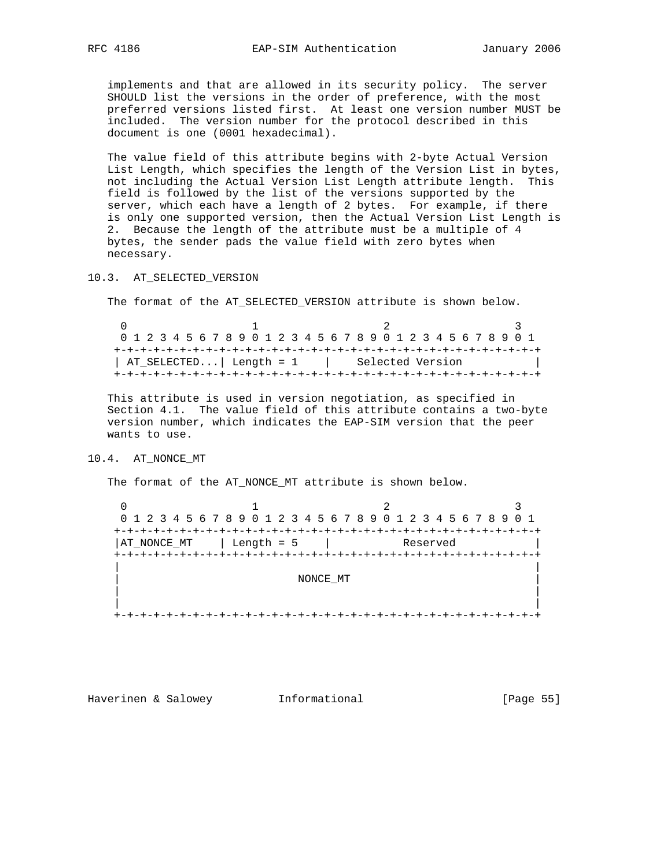implements and that are allowed in its security policy. The server SHOULD list the versions in the order of preference, with the most preferred versions listed first. At least one version number MUST be included. The version number for the protocol described in this document is one (0001 hexadecimal).

 The value field of this attribute begins with 2-byte Actual Version List Length, which specifies the length of the Version List in bytes, not including the Actual Version List Length attribute length. This field is followed by the list of the versions supported by the server, which each have a length of 2 bytes. For example, if there is only one supported version, then the Actual Version List Length is 2. Because the length of the attribute must be a multiple of 4 bytes, the sender pads the value field with zero bytes when necessary.

10.3. AT\_SELECTED\_VERSION

The format of the AT\_SELECTED\_VERSION attribute is shown below.

|                                                                 | 0 1 2 3 4 5 6 7 8 9 0 1 2 3 4 5 6 7 8 9 0 1 2 3 4 5 6 7 8 9 0 1 |  |  |  |  |  |  |  |  |  |  |  |  |  |  |  |
|-----------------------------------------------------------------|-----------------------------------------------------------------|--|--|--|--|--|--|--|--|--|--|--|--|--|--|--|
|                                                                 |                                                                 |  |  |  |  |  |  |  |  |  |  |  |  |  |  |  |
| $\vert$ AT_SELECTED $\vert$ Length = 1 $\vert$ Selected Version |                                                                 |  |  |  |  |  |  |  |  |  |  |  |  |  |  |  |
|                                                                 |                                                                 |  |  |  |  |  |  |  |  |  |  |  |  |  |  |  |

 This attribute is used in version negotiation, as specified in Section 4.1. The value field of this attribute contains a two-byte version number, which indicates the EAP-SIM version that the peer wants to use.

## 10.4. AT\_NONCE\_MT

The format of the AT\_NONCE\_MT attribute is shown below.

| 0 1 2 3 4 5 6 7 8 9 0 1 2 3 4 5 6 7 8 9 0 1 2 3 4 5 6 7 8 9 0 1 |            |          |  |
|-----------------------------------------------------------------|------------|----------|--|
|                                                                 |            |          |  |
| AT_NONCE_MT                                                     | Length = 5 | Reserved |  |
|                                                                 |            |          |  |
|                                                                 |            |          |  |
|                                                                 | NONCE MT   |          |  |
|                                                                 |            |          |  |
|                                                                 |            |          |  |
|                                                                 |            |          |  |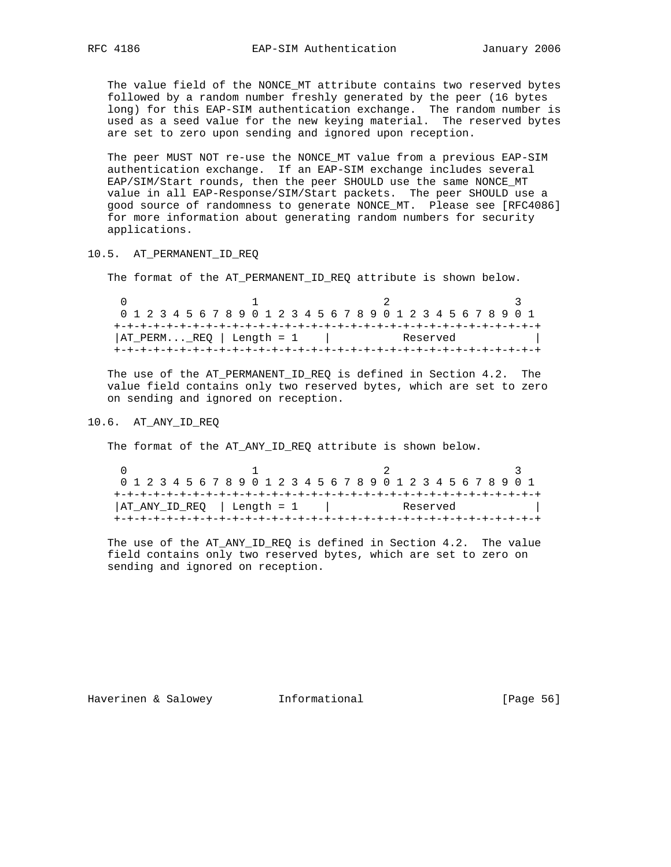The value field of the NONCE\_MT attribute contains two reserved bytes followed by a random number freshly generated by the peer (16 bytes long) for this EAP-SIM authentication exchange. The random number is used as a seed value for the new keying material. The reserved bytes are set to zero upon sending and ignored upon reception.

 The peer MUST NOT re-use the NONCE\_MT value from a previous EAP-SIM authentication exchange. If an EAP-SIM exchange includes several EAP/SIM/Start rounds, then the peer SHOULD use the same NONCE\_MT value in all EAP-Response/SIM/Start packets. The peer SHOULD use a good source of randomness to generate NONCE\_MT. Please see [RFC4086] for more information about generating random numbers for security applications.

### 10.5. AT\_PERMANENT\_ID\_REQ

The format of the AT\_PERMANENT\_ID\_REQ attribute is shown below.

| 0 1 2 3 4 5 6 7 8 9 0 1 2 3 4 5 6 7 8 9 0 1 2 3 4 5 6 7 8 9 0 1 |  |  |  |  |  |          |  |  |  |
|-----------------------------------------------------------------|--|--|--|--|--|----------|--|--|--|
| $ AT_PERMERQ $ Length = 1                                       |  |  |  |  |  | Reserved |  |  |  |

 The use of the AT\_PERMANENT\_ID\_REQ is defined in Section 4.2. The value field contains only two reserved bytes, which are set to zero on sending and ignored on reception.

#### 10.6. AT\_ANY\_ID\_REQ

The format of the AT\_ANY\_ID\_REQ attribute is shown below.

|                               | 0 1 2 3 4 5 6 7 8 9 0 1 2 3 4 5 6 7 8 9 0 1 2 3 4 5 6 7 8 9 0 1 |  |  |  |  |  |  |  |  |  |  |          |  |  |  |  |
|-------------------------------|-----------------------------------------------------------------|--|--|--|--|--|--|--|--|--|--|----------|--|--|--|--|
|                               |                                                                 |  |  |  |  |  |  |  |  |  |  |          |  |  |  |  |
| $ AT_MNY_ID_REQ$   Length = 1 |                                                                 |  |  |  |  |  |  |  |  |  |  | Reserved |  |  |  |  |
|                               |                                                                 |  |  |  |  |  |  |  |  |  |  |          |  |  |  |  |

 The use of the AT\_ANY\_ID\_REQ is defined in Section 4.2. The value field contains only two reserved bytes, which are set to zero on sending and ignored on reception.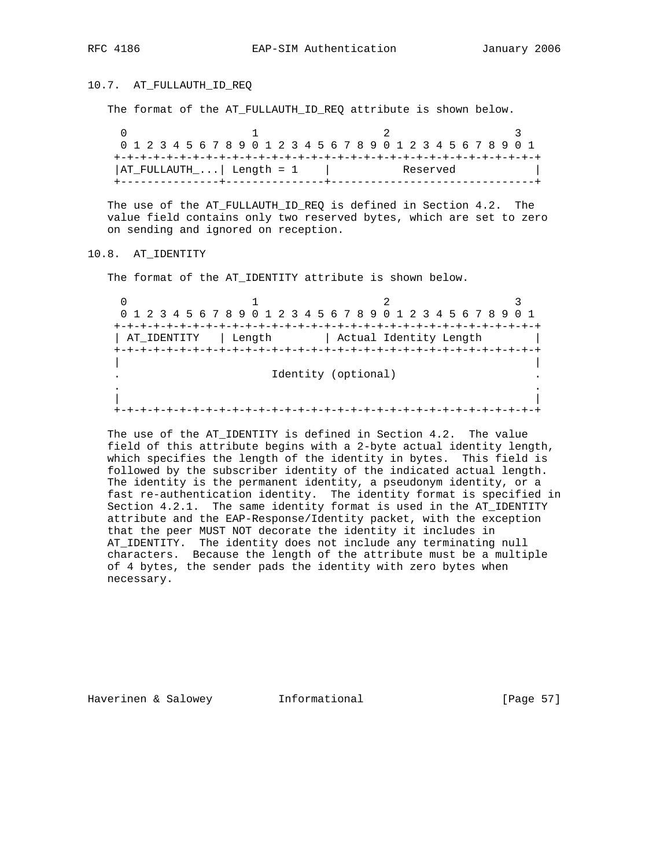### 10.7. AT\_FULLAUTH\_ID\_REQ

The format of the AT\_FULLAUTH\_ID\_REQ attribute is shown below.

|  |  |  |  |  | 0 1 2 3 4 5 6 7 8 9 0 1 2 3 4 5 6 7 8 9 0 1 2 3 4 5 6 7 8 9 0 1 |  |  |  |  |  |          |  |  |  |  |  |
|--|--|--|--|--|-----------------------------------------------------------------|--|--|--|--|--|----------|--|--|--|--|--|
|  |  |  |  |  |                                                                 |  |  |  |  |  |          |  |  |  |  |  |
|  |  |  |  |  | $ AT_FULLAUTH_ $ Length = 1                                     |  |  |  |  |  | Reserved |  |  |  |  |  |
|  |  |  |  |  |                                                                 |  |  |  |  |  |          |  |  |  |  |  |

 The use of the AT\_FULLAUTH\_ID\_REQ is defined in Section 4.2. The value field contains only two reserved bytes, which are set to zero on sending and ignored on reception.

10.8. AT\_IDENTITY

The format of the AT\_IDENTITY attribute is shown below.

 $0$  1 2 3 0 1 2 3 4 5 6 7 8 9 0 1 2 3 4 5 6 7 8 9 0 1 2 3 4 5 6 7 8 9 0 1 +-+-+-+-+-+-+-+-+-+-+-+-+-+-+-+-+-+-+-+-+-+-+-+-+-+-+-+-+-+-+-+-+ | AT\_IDENTITY | Length | Actual Identity Length | +-+-+-+-+-+-+-+-+-+-+-+-+-+-+-+-+-+-+-+-+-+-+-+-+-+-+-+-+-+-+-+-+ | | Identity (optional) . . | | +-+-+-+-+-+-+-+-+-+-+-+-+-+-+-+-+-+-+-+-+-+-+-+-+-+-+-+-+-+-+-+-+

 The use of the AT\_IDENTITY is defined in Section 4.2. The value field of this attribute begins with a 2-byte actual identity length, which specifies the length of the identity in bytes. This field is followed by the subscriber identity of the indicated actual length. The identity is the permanent identity, a pseudonym identity, or a fast re-authentication identity. The identity format is specified in Section 4.2.1. The same identity format is used in the AT\_IDENTITY attribute and the EAP-Response/Identity packet, with the exception that the peer MUST NOT decorate the identity it includes in AT\_IDENTITY. The identity does not include any terminating null characters. Because the length of the attribute must be a multiple of 4 bytes, the sender pads the identity with zero bytes when necessary.

Haverinen & Salowey **Informational** [Page 57]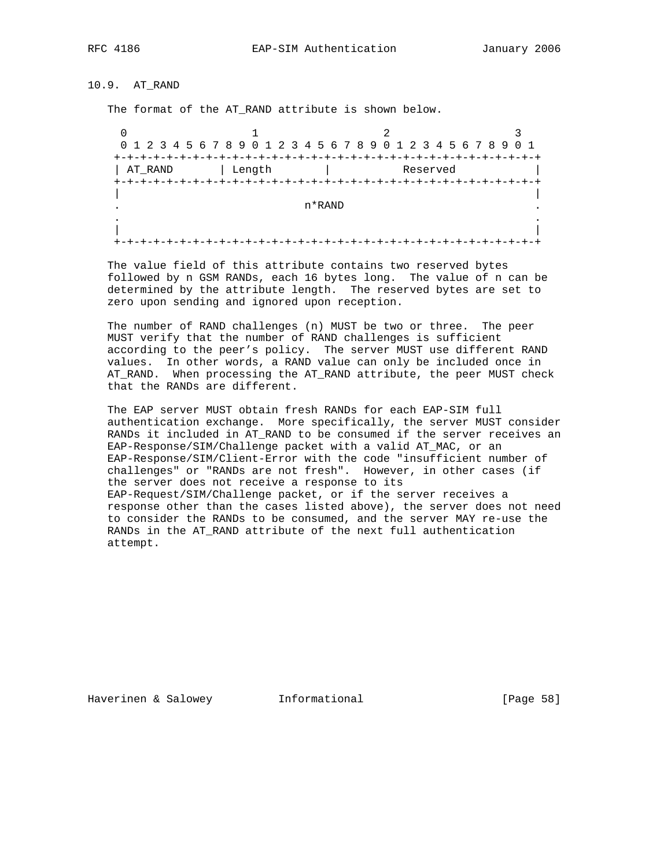10.9. AT\_RAND

The format of the AT\_RAND attribute is shown below.

 $0$  1 2 3 0 1 2 3 4 5 6 7 8 9 0 1 2 3 4 5 6 7 8 9 0 1 2 3 4 5 6 7 8 9 0 1 +-+-+-+-+-+-+-+-+-+-+-+-+-+-+-+-+-+-+-+-+-+-+-+-+-+-+-+-+-+-+-+-+ | AT\_RAND | Length | Reserved +-+-+-+-+-+-+-+-+-+-+-+-+-+-+-+-+-+-+-+-+-+-+-+-+-+-+-+-+-+-+-+-+ | | . The contract of  $\mathbf{n}^*\text{RAND}$  . . | | +-+-+-+-+-+-+-+-+-+-+-+-+-+-+-+-+-+-+-+-+-+-+-+-+-+-+-+-+-+-+-+-+

 The value field of this attribute contains two reserved bytes followed by n GSM RANDs, each 16 bytes long. The value of n can be determined by the attribute length. The reserved bytes are set to zero upon sending and ignored upon reception.

 The number of RAND challenges (n) MUST be two or three. The peer MUST verify that the number of RAND challenges is sufficient according to the peer's policy. The server MUST use different RAND values. In other words, a RAND value can only be included once in AT\_RAND. When processing the AT\_RAND attribute, the peer MUST check that the RANDs are different.

 The EAP server MUST obtain fresh RANDs for each EAP-SIM full authentication exchange. More specifically, the server MUST consider RANDs it included in AT\_RAND to be consumed if the server receives an EAP-Response/SIM/Challenge packet with a valid AT\_MAC, or an EAP-Response/SIM/Client-Error with the code "insufficient number of challenges" or "RANDs are not fresh". However, in other cases (if the server does not receive a response to its EAP-Request/SIM/Challenge packet, or if the server receives a response other than the cases listed above), the server does not need to consider the RANDs to be consumed, and the server MAY re-use the RANDs in the AT\_RAND attribute of the next full authentication attempt.

Haverinen & Salowey **Informational Informational** [Page 58]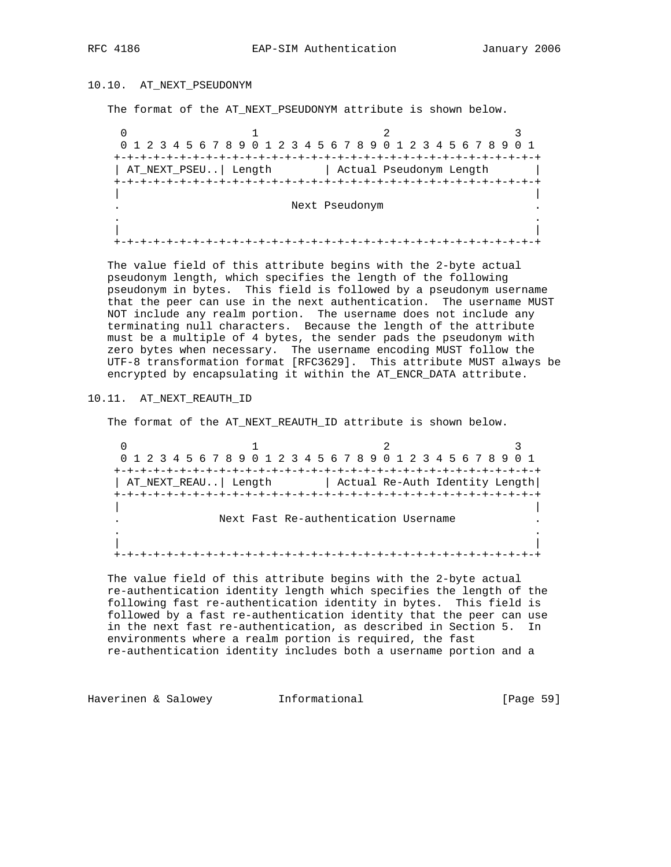## 10.10. AT\_NEXT\_PSEUDONYM

The format of the AT\_NEXT\_PSEUDONYM attribute is shown below.

 $0$  1 2 3 0 1 2 3 4 5 6 7 8 9 0 1 2 3 4 5 6 7 8 9 0 1 2 3 4 5 6 7 8 9 0 1 +-+-+-+-+-+-+-+-+-+-+-+-+-+-+-+-+-+-+-+-+-+-+-+-+-+-+-+-+-+-+-+-+ | AT\_NEXT\_PSEU..| Length | Actual Pseudonym Length | +-+-+-+-+-+-+-+-+-+-+-+-+-+-+-+-+-+-+-+-+-+-+-+-+-+-+-+-+-+-+-+-+ | | . Next Pseudonym . . . | | +-+-+-+-+-+-+-+-+-+-+-+-+-+-+-+-+-+-+-+-+-+-+-+-+-+-+-+-+-+-+-+-+

 The value field of this attribute begins with the 2-byte actual pseudonym length, which specifies the length of the following pseudonym in bytes. This field is followed by a pseudonym username that the peer can use in the next authentication. The username MUST NOT include any realm portion. The username does not include any terminating null characters. Because the length of the attribute must be a multiple of 4 bytes, the sender pads the pseudonym with zero bytes when necessary. The username encoding MUST follow the UTF-8 transformation format [RFC3629]. This attribute MUST always be encrypted by encapsulating it within the AT\_ENCR\_DATA attribute.

# 10.11. AT\_NEXT\_REAUTH\_ID

The format of the AT\_NEXT\_REAUTH\_ID attribute is shown below.

 $0$  1 2 3 0 1 2 3 4 5 6 7 8 9 0 1 2 3 4 5 6 7 8 9 0 1 2 3 4 5 6 7 8 9 0 1 +-+-+-+-+-+-+-+-+-+-+-+-+-+-+-+-+-+-+-+-+-+-+-+-+-+-+-+-+-+-+-+-+ | AT\_NEXT\_REAU..| Length | Actual Re-Auth Identity Length| +-+-+-+-+-+-+-+-+-+-+-+-+-+-+-+-+-+-+-+-+-+-+-+-+-+-+-+-+-+-+-+-+ | | Next Fast Re-authentication Username . . | | +-+-+-+-+-+-+-+-+-+-+-+-+-+-+-+-+-+-+-+-+-+-+-+-+-+-+-+-+-+-+-+-+

 The value field of this attribute begins with the 2-byte actual re-authentication identity length which specifies the length of the following fast re-authentication identity in bytes. This field is followed by a fast re-authentication identity that the peer can use in the next fast re-authentication, as described in Section 5. In environments where a realm portion is required, the fast re-authentication identity includes both a username portion and a

Haverinen & Salowey **Informational Informational** [Page 59]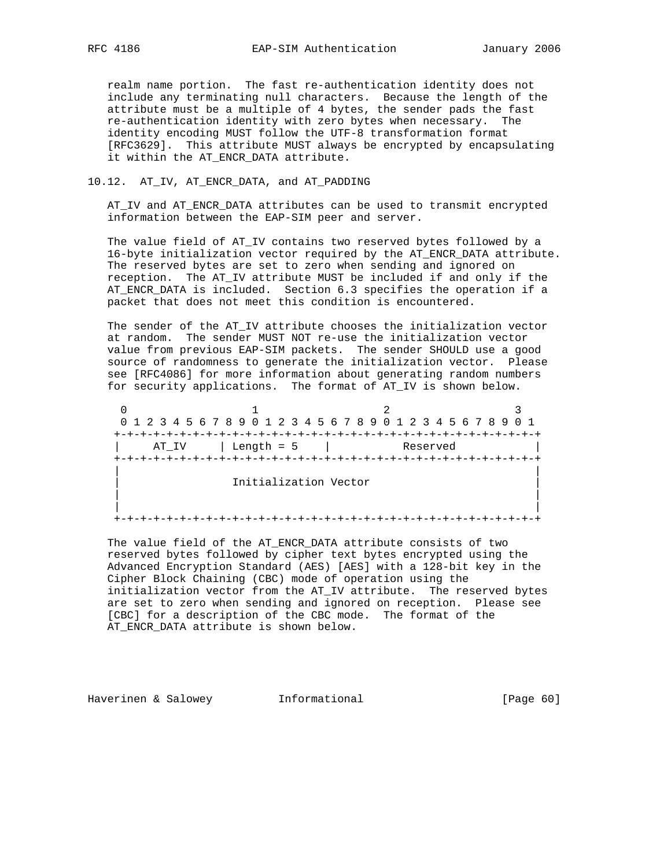realm name portion. The fast re-authentication identity does not include any terminating null characters. Because the length of the attribute must be a multiple of 4 bytes, the sender pads the fast re-authentication identity with zero bytes when necessary. The identity encoding MUST follow the UTF-8 transformation format [RFC3629]. This attribute MUST always be encrypted by encapsulating it within the AT\_ENCR\_DATA attribute.

#### 10.12. AT\_IV, AT\_ENCR\_DATA, and AT\_PADDING

 AT\_IV and AT\_ENCR\_DATA attributes can be used to transmit encrypted information between the EAP-SIM peer and server.

 The value field of AT\_IV contains two reserved bytes followed by a 16-byte initialization vector required by the AT\_ENCR\_DATA attribute. The reserved bytes are set to zero when sending and ignored on reception. The AT\_IV attribute MUST be included if and only if the AT\_ENCR\_DATA is included. Section 6.3 specifies the operation if a packet that does not meet this condition is encountered.

 The sender of the AT\_IV attribute chooses the initialization vector at random. The sender MUST NOT re-use the initialization vector value from previous EAP-SIM packets. The sender SHOULD use a good source of randomness to generate the initialization vector. Please see [RFC4086] for more information about generating random numbers for security applications. The format of AT\_IV is shown below.

 $0$  1 2 3 0 1 2 3 4 5 6 7 8 9 0 1 2 3 4 5 6 7 8 9 0 1 2 3 4 5 6 7 8 9 0 1 +-+-+-+-+-+-+-+-+-+-+-+-+-+-+-+-+-+-+-+-+-+-+-+-+-+-+-+-+-+-+-+-+ | AT\_IV | Length = 5 | Reserved | +-+-+-+-+-+-+-+-+-+-+-+-+-+-+-+-+-+-+-+-+-+-+-+-+-+-+-+-+-+-+-+-+ | | Initialization Vector | | | | +-+-+-+-+-+-+-+-+-+-+-+-+-+-+-+-+-+-+-+-+-+-+-+-+-+-+-+-+-+-+-+-+

 The value field of the AT\_ENCR\_DATA attribute consists of two reserved bytes followed by cipher text bytes encrypted using the Advanced Encryption Standard (AES) [AES] with a 128-bit key in the Cipher Block Chaining (CBC) mode of operation using the initialization vector from the AT\_IV attribute. The reserved bytes are set to zero when sending and ignored on reception. Please see [CBC] for a description of the CBC mode. The format of the AT\_ENCR\_DATA attribute is shown below.

Haverinen & Salowey **Informational Informational** [Page 60]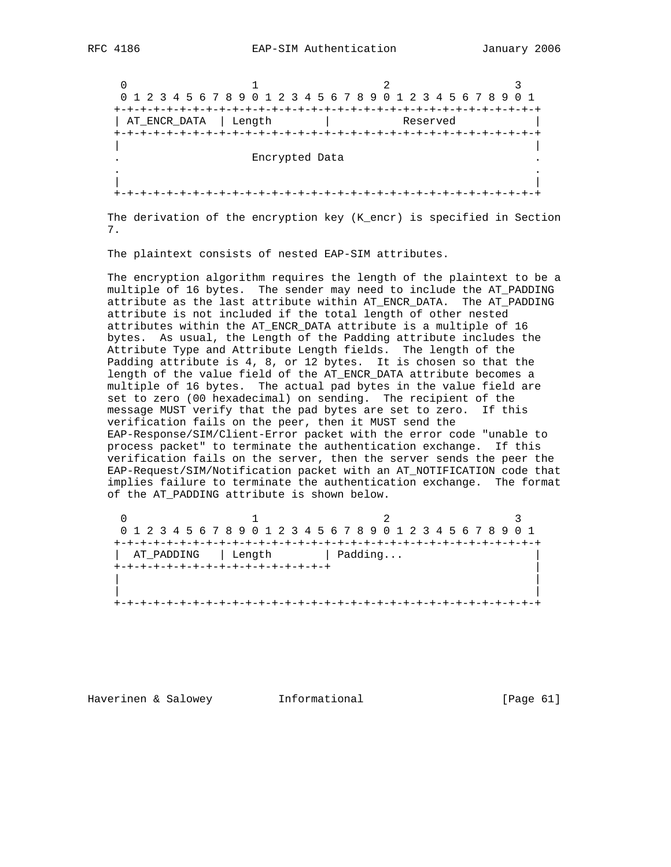$0$  1 2 3 0 1 2 3 4 5 6 7 8 9 0 1 2 3 4 5 6 7 8 9 0 1 2 3 4 5 6 7 8 9 0 1 +-+-+-+-+-+-+-+-+-+-+-+-+-+-+-+-+-+-+-+-+-+-+-+-+-+-+-+-+-+-+-+-+ | AT\_ENCR\_DATA | Length | Reserved | +-+-+-+-+-+-+-+-+-+-+-+-+-+-+-+-+-+-+-+-+-+-+-+-+-+-+-+-+-+-+-+-+ | | . Encrypted Data . . . | | +-+-+-+-+-+-+-+-+-+-+-+-+-+-+-+-+-+-+-+-+-+-+-+-+-+-+-+-+-+-+-+-+

 The derivation of the encryption key (K\_encr) is specified in Section 7.

The plaintext consists of nested EAP-SIM attributes.

 The encryption algorithm requires the length of the plaintext to be a multiple of 16 bytes. The sender may need to include the AT\_PADDING attribute as the last attribute within AT\_ENCR\_DATA. The AT\_PADDING attribute is not included if the total length of other nested attributes within the AT\_ENCR\_DATA attribute is a multiple of 16 bytes. As usual, the Length of the Padding attribute includes the Attribute Type and Attribute Length fields. The length of the Padding attribute is 4, 8, or 12 bytes. It is chosen so that the length of the value field of the AT\_ENCR\_DATA attribute becomes a multiple of 16 bytes. The actual pad bytes in the value field are set to zero (00 hexadecimal) on sending. The recipient of the message MUST verify that the pad bytes are set to zero. If this verification fails on the peer, then it MUST send the EAP-Response/SIM/Client-Error packet with the error code "unable to process packet" to terminate the authentication exchange. If this verification fails on the server, then the server sends the peer the EAP-Request/SIM/Notification packet with an AT\_NOTIFICATION code that implies failure to terminate the authentication exchange. The format of the AT\_PADDING attribute is shown below.

|            |        | 0 1 2 3 4 5 6 7 8 9 0 1 2 3 4 5 6 7 8 9 0 1 2 3 4 5 6 7 8 9 0 1 |  |
|------------|--------|-----------------------------------------------------------------|--|
|            |        |                                                                 |  |
| AT PADDING | Length | Padding                                                         |  |
|            |        |                                                                 |  |
|            |        |                                                                 |  |
|            |        |                                                                 |  |

Haverinen & Salowey **Informational Informational** [Page 61]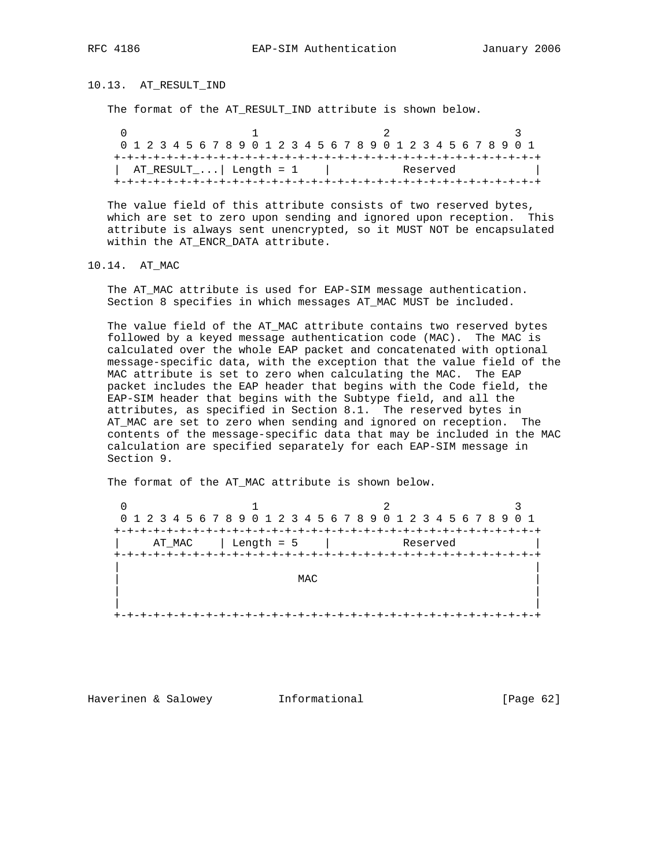# 10.13. AT\_RESULT\_IND

The format of the AT\_RESULT\_IND attribute is shown below.

|  | 0 1 2 3 4 5 6 7 8 9 0 1 2 3 4 5 6 7 8 9 0 1 2 3 4 5 6 7 8 9 0 1 |  |  |  |  |  |  |  |  |  |  |          |  |  |  |  |
|--|-----------------------------------------------------------------|--|--|--|--|--|--|--|--|--|--|----------|--|--|--|--|
|  |                                                                 |  |  |  |  |  |  |  |  |  |  |          |  |  |  |  |
|  | $AT\_RESULT\_$ Length = 1                                       |  |  |  |  |  |  |  |  |  |  | Reserved |  |  |  |  |
|  |                                                                 |  |  |  |  |  |  |  |  |  |  |          |  |  |  |  |

 The value field of this attribute consists of two reserved bytes, which are set to zero upon sending and ignored upon reception. This attribute is always sent unencrypted, so it MUST NOT be encapsulated within the AT\_ENCR\_DATA attribute.

10.14. AT\_MAC

 The AT\_MAC attribute is used for EAP-SIM message authentication. Section 8 specifies in which messages AT\_MAC MUST be included.

 The value field of the AT\_MAC attribute contains two reserved bytes followed by a keyed message authentication code (MAC). The MAC is calculated over the whole EAP packet and concatenated with optional message-specific data, with the exception that the value field of the MAC attribute is set to zero when calculating the MAC. The EAP packet includes the EAP header that begins with the Code field, the EAP-SIM header that begins with the Subtype field, and all the attributes, as specified in Section 8.1. The reserved bytes in AT\_MAC are set to zero when sending and ignored on reception. The contents of the message-specific data that may be included in the MAC calculation are specified separately for each EAP-SIM message in Section 9.

The format of the AT\_MAC attribute is shown below.

|        | 0 1 2 3 4 5 6 7 8 9 0 1 2 3 4 5 6 7 8 9 0 1 2 3 4 5 6 7 8 9 0 1 |          |  |
|--------|-----------------------------------------------------------------|----------|--|
|        |                                                                 |          |  |
| AT_MAC | Length = 5                                                      | Reserved |  |
|        |                                                                 |          |  |
|        |                                                                 |          |  |
|        | MAC                                                             |          |  |
|        |                                                                 |          |  |
|        |                                                                 |          |  |
|        |                                                                 |          |  |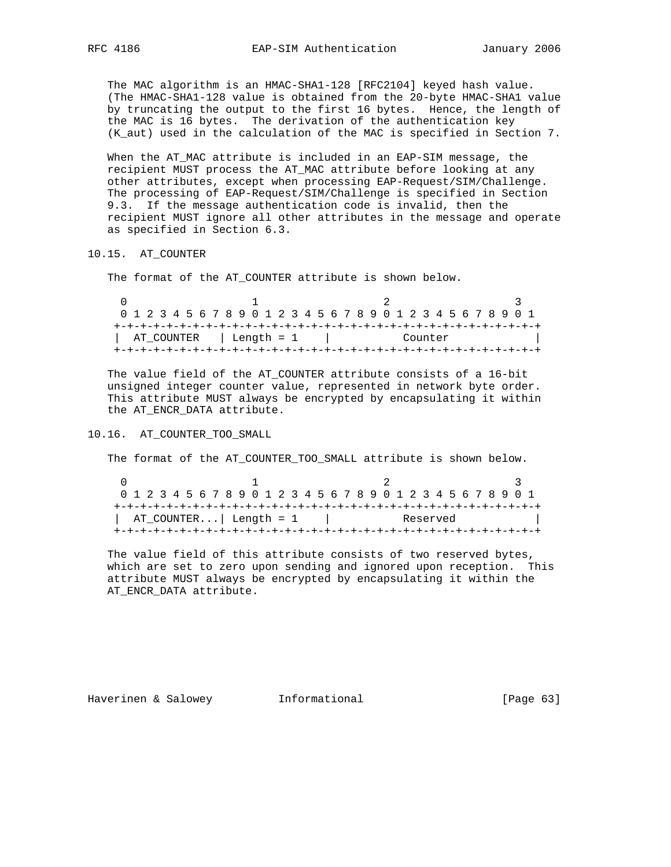The MAC algorithm is an HMAC-SHA1-128 [RFC2104] keyed hash value. (The HMAC-SHA1-128 value is obtained from the 20-byte HMAC-SHA1 value by truncating the output to the first 16 bytes. Hence, the length of the MAC is 16 bytes. The derivation of the authentication key (K\_aut) used in the calculation of the MAC is specified in Section 7.

 When the AT\_MAC attribute is included in an EAP-SIM message, the recipient MUST process the AT\_MAC attribute before looking at any other attributes, except when processing EAP-Request/SIM/Challenge. The processing of EAP-Request/SIM/Challenge is specified in Section 9.3. If the message authentication code is invalid, then the recipient MUST ignore all other attributes in the message and operate as specified in Section 6.3.

#### 10.15. AT\_COUNTER

The format of the AT\_COUNTER attribute is shown below.

|                         | 0 1 2 3 4 5 6 7 8 9 0 1 2 3 4 5 6 7 8 9 0 1 2 3 4 5 6 7 8 9 0 1 |  |  |  |  |  |  |  |  |  |  |         |  |  |  |  |
|-------------------------|-----------------------------------------------------------------|--|--|--|--|--|--|--|--|--|--|---------|--|--|--|--|
|                         |                                                                 |  |  |  |  |  |  |  |  |  |  |         |  |  |  |  |
| AT COUNTER   Length = 1 |                                                                 |  |  |  |  |  |  |  |  |  |  | Counter |  |  |  |  |
|                         |                                                                 |  |  |  |  |  |  |  |  |  |  |         |  |  |  |  |

 The value field of the AT\_COUNTER attribute consists of a 16-bit unsigned integer counter value, represented in network byte order. This attribute MUST always be encrypted by encapsulating it within the AT\_ENCR\_DATA attribute.

### 10.16. AT\_COUNTER\_TOO\_SMALL

The format of the AT\_COUNTER\_TOO\_SMALL attribute is shown below.

| 0 1 2 3 4 5 6 7 8 9 0 1 2 3 4 5 6 7 8 9 0 1 2 3 4 5 6 7 8 9 0 1 |  |  |  |  |  |  |  |  |  |  |  |  |  |  |          |  |  |  |  |  |  |  |  |  |  |  |  |  |  |  |
|-----------------------------------------------------------------|--|--|--|--|--|--|--|--|--|--|--|--|--|--|----------|--|--|--|--|--|--|--|--|--|--|--|--|--|--|--|
|                                                                 |  |  |  |  |  |  |  |  |  |  |  |  |  |  |          |  |  |  |  |  |  |  |  |  |  |  |  |  |  |  |
| AT_COUNTER  Length = 1                                          |  |  |  |  |  |  |  |  |  |  |  |  |  |  | Reserved |  |  |  |  |  |  |  |  |  |  |  |  |  |  |  |
|                                                                 |  |  |  |  |  |  |  |  |  |  |  |  |  |  |          |  |  |  |  |  |  |  |  |  |  |  |  |  |  |  |

 The value field of this attribute consists of two reserved bytes, which are set to zero upon sending and ignored upon reception. This attribute MUST always be encrypted by encapsulating it within the AT\_ENCR\_DATA attribute.

Haverinen & Salowey **Informational** [Page 63]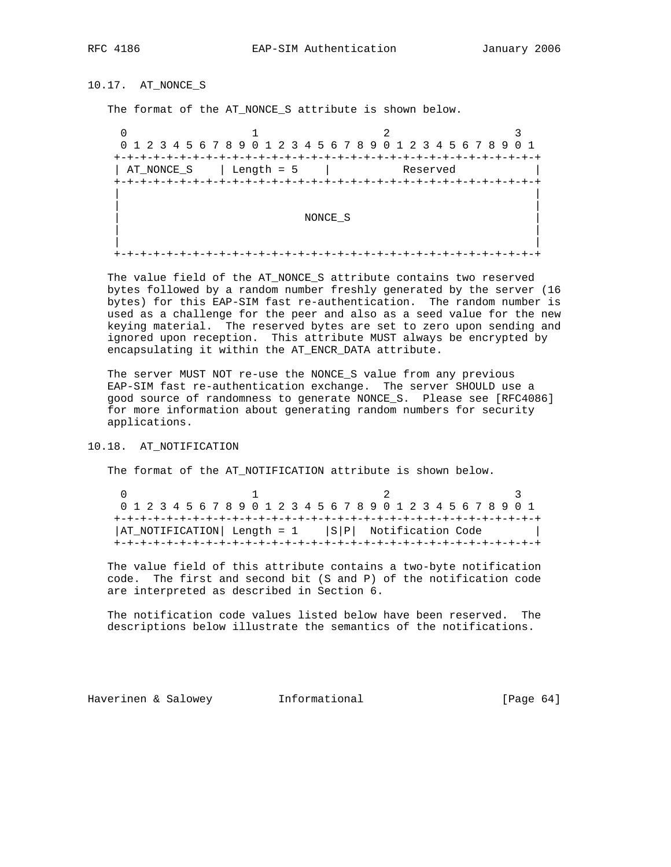10.17. AT\_NONCE\_S

The format of the AT\_NONCE\_S attribute is shown below.

 $0$  1 2 3 0 1 2 3 4 5 6 7 8 9 0 1 2 3 4 5 6 7 8 9 0 1 2 3 4 5 6 7 8 9 0 1 +-+-+-+-+-+-+-+-+-+-+-+-+-+-+-+-+-+-+-+-+-+-+-+-+-+-+-+-+-+-+-+-+ | AT\_NONCE\_S | Length = 5 | Reserved | +-+-+-+-+-+-+-+-+-+-+-+-+-+-+-+-+-+-+-+-+-+-+-+-+-+-+-+-+-+-+-+-+ | | | | | NONCE\_S | | | | +-+-+-+-+-+-+-+-+-+-+-+-+-+-+-+-+-+-+-+-+-+-+-+-+-+-+-+-+-+-+-+-+

 The value field of the AT\_NONCE\_S attribute contains two reserved bytes followed by a random number freshly generated by the server (16 bytes) for this EAP-SIM fast re-authentication. The random number is used as a challenge for the peer and also as a seed value for the new keying material. The reserved bytes are set to zero upon sending and ignored upon reception. This attribute MUST always be encrypted by encapsulating it within the AT\_ENCR\_DATA attribute.

 The server MUST NOT re-use the NONCE\_S value from any previous EAP-SIM fast re-authentication exchange. The server SHOULD use a good source of randomness to generate NONCE\_S. Please see [RFC4086] for more information about generating random numbers for security applications.

### 10.18. AT\_NOTIFICATION

The format of the AT\_NOTIFICATION attribute is shown below.

 $0$  1 2 3 0 1 2 3 4 5 6 7 8 9 0 1 2 3 4 5 6 7 8 9 0 1 2 3 4 5 6 7 8 9 0 1 +-+-+-+-+-+-+-+-+-+-+-+-+-+-+-+-+-+-+-+-+-+-+-+-+-+-+-+-+-+-+-+-+  $|AT_MOTIFICATION| Length = 1$  |S|P| Notification Code +-+-+-+-+-+-+-+-+-+-+-+-+-+-+-+-+-+-+-+-+-+-+-+-+-+-+-+-+-+-+-+-+

 The value field of this attribute contains a two-byte notification code. The first and second bit (S and P) of the notification code are interpreted as described in Section 6.

 The notification code values listed below have been reserved. The descriptions below illustrate the semantics of the notifications.

Haverinen & Salowey **Informational Informational** [Page 64]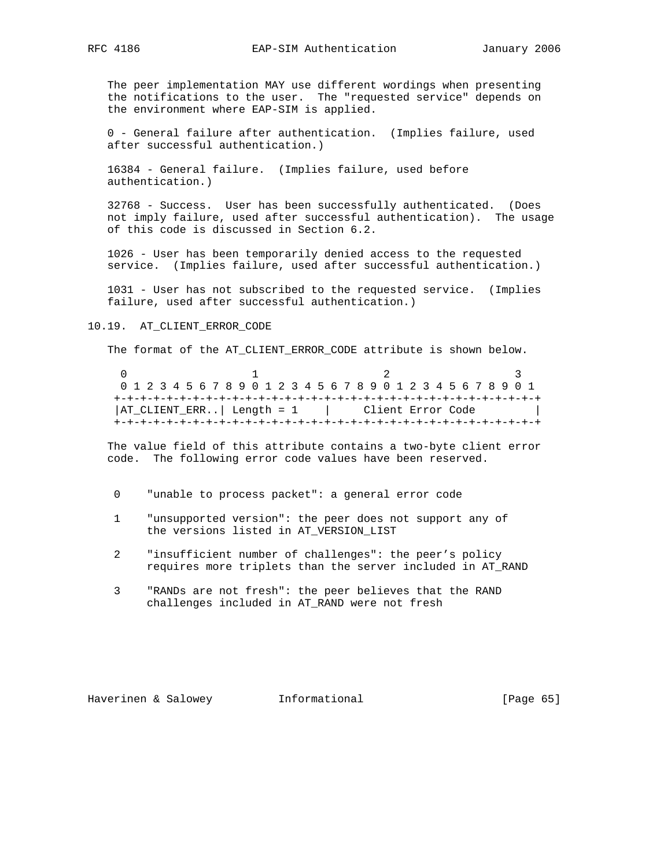The peer implementation MAY use different wordings when presenting the notifications to the user. The "requested service" depends on the environment where EAP-SIM is applied.

 0 - General failure after authentication. (Implies failure, used after successful authentication.)

 16384 - General failure. (Implies failure, used before authentication.)

 32768 - Success. User has been successfully authenticated. (Does not imply failure, used after successful authentication). The usage of this code is discussed in Section 6.2.

 1026 - User has been temporarily denied access to the requested service. (Implies failure, used after successful authentication.)

 1031 - User has not subscribed to the requested service. (Implies failure, used after successful authentication.)

#### 10.19. AT\_CLIENT\_ERROR\_CODE

The format of the AT\_CLIENT\_ERROR\_CODE attribute is shown below.

 $0$  1 2 3 0 1 2 3 4 5 6 7 8 9 0 1 2 3 4 5 6 7 8 9 0 1 2 3 4 5 6 7 8 9 0 1 +-+-+-+-+-+-+-+-+-+-+-+-+-+-+-+-+-+-+-+-+-+-+-+-+-+-+-+-+-+-+-+-+ | AT\_CLIENT\_ERR.. | Length = 1 | Client Error Code +-+-+-+-+-+-+-+-+-+-+-+-+-+-+-+-+-+-+-+-+-+-+-+-+-+-+-+-+-+-+-+-+

 The value field of this attribute contains a two-byte client error code. The following error code values have been reserved.

- 0 "unable to process packet": a general error code
- 1 "unsupported version": the peer does not support any of the versions listed in AT\_VERSION\_LIST
- 2 "insufficient number of challenges": the peer's policy requires more triplets than the server included in AT\_RAND
- 3 "RANDs are not fresh": the peer believes that the RAND challenges included in AT\_RAND were not fresh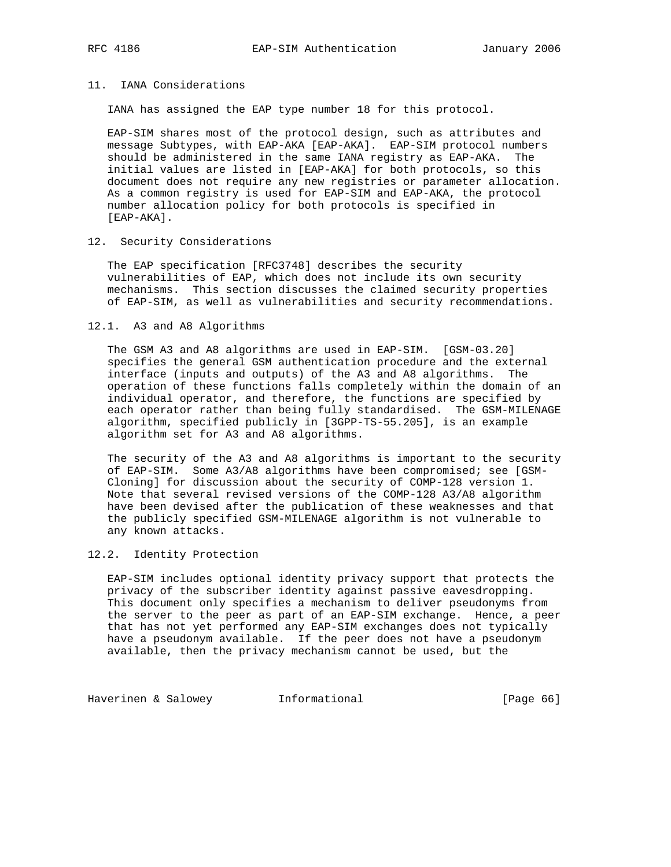## 11. IANA Considerations

IANA has assigned the EAP type number 18 for this protocol.

 EAP-SIM shares most of the protocol design, such as attributes and message Subtypes, with EAP-AKA [EAP-AKA]. EAP-SIM protocol numbers should be administered in the same IANA registry as EAP-AKA. The initial values are listed in [EAP-AKA] for both protocols, so this document does not require any new registries or parameter allocation. As a common registry is used for EAP-SIM and EAP-AKA, the protocol number allocation policy for both protocols is specified in [EAP-AKA].

#### 12. Security Considerations

 The EAP specification [RFC3748] describes the security vulnerabilities of EAP, which does not include its own security mechanisms. This section discusses the claimed security properties of EAP-SIM, as well as vulnerabilities and security recommendations.

#### 12.1. A3 and A8 Algorithms

 The GSM A3 and A8 algorithms are used in EAP-SIM. [GSM-03.20] specifies the general GSM authentication procedure and the external interface (inputs and outputs) of the A3 and A8 algorithms. The operation of these functions falls completely within the domain of an individual operator, and therefore, the functions are specified by each operator rather than being fully standardised. The GSM-MILENAGE algorithm, specified publicly in [3GPP-TS-55.205], is an example algorithm set for A3 and A8 algorithms.

 The security of the A3 and A8 algorithms is important to the security of EAP-SIM. Some A3/A8 algorithms have been compromised; see [GSM- Cloning] for discussion about the security of COMP-128 version 1. Note that several revised versions of the COMP-128 A3/A8 algorithm have been devised after the publication of these weaknesses and that the publicly specified GSM-MILENAGE algorithm is not vulnerable to any known attacks.

### 12.2. Identity Protection

 EAP-SIM includes optional identity privacy support that protects the privacy of the subscriber identity against passive eavesdropping. This document only specifies a mechanism to deliver pseudonyms from the server to the peer as part of an EAP-SIM exchange. Hence, a peer that has not yet performed any EAP-SIM exchanges does not typically have a pseudonym available. If the peer does not have a pseudonym available, then the privacy mechanism cannot be used, but the

Haverinen & Salowey **Informational Informational** [Page 66]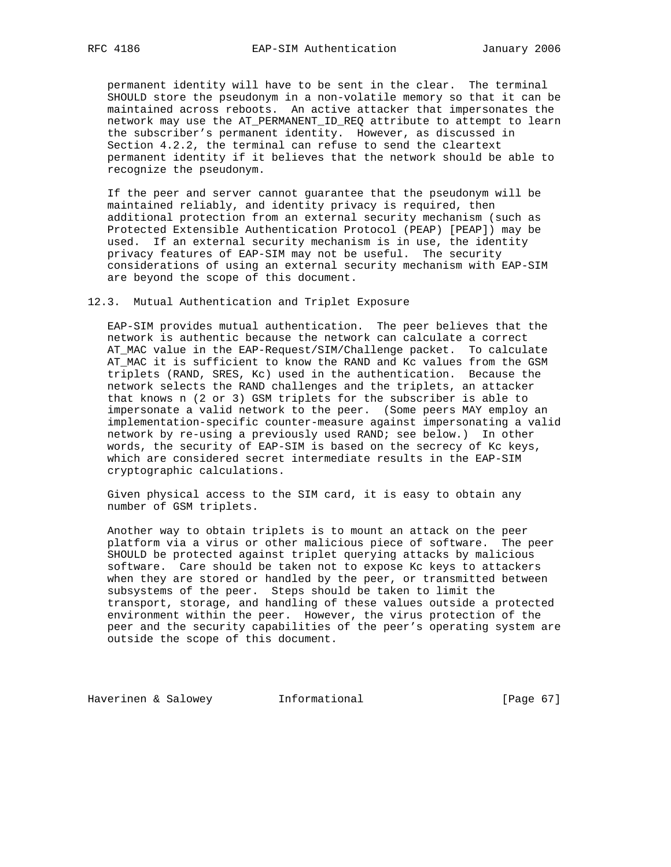permanent identity will have to be sent in the clear. The terminal SHOULD store the pseudonym in a non-volatile memory so that it can be maintained across reboots. An active attacker that impersonates the network may use the AT\_PERMANENT\_ID\_REQ attribute to attempt to learn the subscriber's permanent identity. However, as discussed in Section 4.2.2, the terminal can refuse to send the cleartext permanent identity if it believes that the network should be able to recognize the pseudonym.

 If the peer and server cannot guarantee that the pseudonym will be maintained reliably, and identity privacy is required, then additional protection from an external security mechanism (such as Protected Extensible Authentication Protocol (PEAP) [PEAP]) may be used. If an external security mechanism is in use, the identity privacy features of EAP-SIM may not be useful. The security considerations of using an external security mechanism with EAP-SIM are beyond the scope of this document.

12.3. Mutual Authentication and Triplet Exposure

 EAP-SIM provides mutual authentication. The peer believes that the network is authentic because the network can calculate a correct AT\_MAC value in the EAP-Request/SIM/Challenge packet. To calculate AT\_MAC it is sufficient to know the RAND and Kc values from the GSM triplets (RAND, SRES, Kc) used in the authentication. Because the network selects the RAND challenges and the triplets, an attacker that knows n (2 or 3) GSM triplets for the subscriber is able to impersonate a valid network to the peer. (Some peers MAY employ an implementation-specific counter-measure against impersonating a valid network by re-using a previously used RAND; see below.) In other words, the security of EAP-SIM is based on the secrecy of Kc keys, which are considered secret intermediate results in the EAP-SIM cryptographic calculations.

 Given physical access to the SIM card, it is easy to obtain any number of GSM triplets.

 Another way to obtain triplets is to mount an attack on the peer platform via a virus or other malicious piece of software. The peer SHOULD be protected against triplet querying attacks by malicious software. Care should be taken not to expose Kc keys to attackers when they are stored or handled by the peer, or transmitted between subsystems of the peer. Steps should be taken to limit the transport, storage, and handling of these values outside a protected environment within the peer. However, the virus protection of the peer and the security capabilities of the peer's operating system are outside the scope of this document.

Haverinen & Salowey **Informational** [Page 67]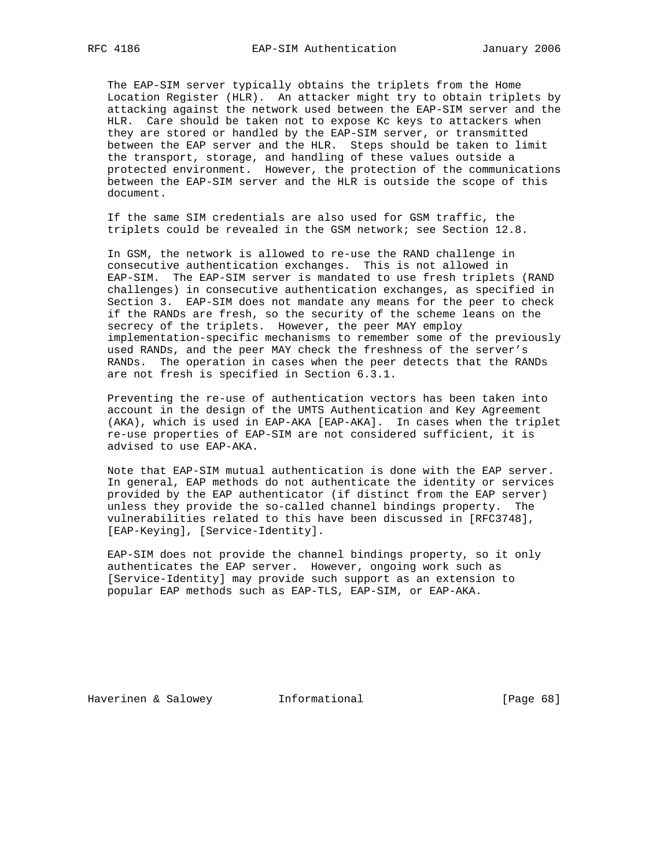The EAP-SIM server typically obtains the triplets from the Home Location Register (HLR). An attacker might try to obtain triplets by attacking against the network used between the EAP-SIM server and the HLR. Care should be taken not to expose Kc keys to attackers when they are stored or handled by the EAP-SIM server, or transmitted between the EAP server and the HLR. Steps should be taken to limit the transport, storage, and handling of these values outside a protected environment. However, the protection of the communications between the EAP-SIM server and the HLR is outside the scope of this document.

 If the same SIM credentials are also used for GSM traffic, the triplets could be revealed in the GSM network; see Section 12.8.

 In GSM, the network is allowed to re-use the RAND challenge in consecutive authentication exchanges. This is not allowed in EAP-SIM. The EAP-SIM server is mandated to use fresh triplets (RAND challenges) in consecutive authentication exchanges, as specified in Section 3. EAP-SIM does not mandate any means for the peer to check if the RANDs are fresh, so the security of the scheme leans on the secrecy of the triplets. However, the peer MAY employ implementation-specific mechanisms to remember some of the previously used RANDs, and the peer MAY check the freshness of the server's RANDs. The operation in cases when the peer detects that the RANDs are not fresh is specified in Section 6.3.1.

 Preventing the re-use of authentication vectors has been taken into account in the design of the UMTS Authentication and Key Agreement (AKA), which is used in EAP-AKA [EAP-AKA]. In cases when the triplet re-use properties of EAP-SIM are not considered sufficient, it is advised to use EAP-AKA.

 Note that EAP-SIM mutual authentication is done with the EAP server. In general, EAP methods do not authenticate the identity or services provided by the EAP authenticator (if distinct from the EAP server) unless they provide the so-called channel bindings property. The vulnerabilities related to this have been discussed in [RFC3748], [EAP-Keying], [Service-Identity].

 EAP-SIM does not provide the channel bindings property, so it only authenticates the EAP server. However, ongoing work such as [Service-Identity] may provide such support as an extension to popular EAP methods such as EAP-TLS, EAP-SIM, or EAP-AKA.

Haverinen & Salowey **Informational** [Page 68]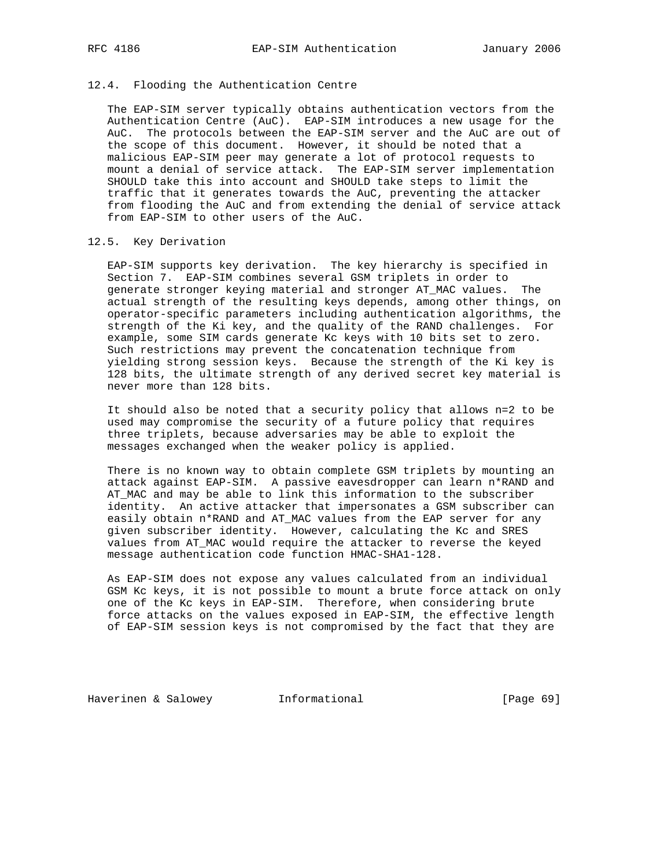### 12.4. Flooding the Authentication Centre

 The EAP-SIM server typically obtains authentication vectors from the Authentication Centre (AuC). EAP-SIM introduces a new usage for the AuC. The protocols between the EAP-SIM server and the AuC are out of the scope of this document. However, it should be noted that a malicious EAP-SIM peer may generate a lot of protocol requests to mount a denial of service attack. The EAP-SIM server implementation SHOULD take this into account and SHOULD take steps to limit the traffic that it generates towards the AuC, preventing the attacker from flooding the AuC and from extending the denial of service attack from EAP-SIM to other users of the AuC.

#### 12.5. Key Derivation

 EAP-SIM supports key derivation. The key hierarchy is specified in Section 7. EAP-SIM combines several GSM triplets in order to generate stronger keying material and stronger AT\_MAC values. The actual strength of the resulting keys depends, among other things, on operator-specific parameters including authentication algorithms, the strength of the Ki key, and the quality of the RAND challenges. For example, some SIM cards generate Kc keys with 10 bits set to zero. Such restrictions may prevent the concatenation technique from yielding strong session keys. Because the strength of the Ki key is 128 bits, the ultimate strength of any derived secret key material is never more than 128 bits.

 It should also be noted that a security policy that allows n=2 to be used may compromise the security of a future policy that requires three triplets, because adversaries may be able to exploit the messages exchanged when the weaker policy is applied.

 There is no known way to obtain complete GSM triplets by mounting an attack against EAP-SIM. A passive eavesdropper can learn n\*RAND and AT\_MAC and may be able to link this information to the subscriber identity. An active attacker that impersonates a GSM subscriber can easily obtain n\*RAND and AT\_MAC values from the EAP server for any given subscriber identity. However, calculating the Kc and SRES values from AT\_MAC would require the attacker to reverse the keyed message authentication code function HMAC-SHA1-128.

 As EAP-SIM does not expose any values calculated from an individual GSM Kc keys, it is not possible to mount a brute force attack on only one of the Kc keys in EAP-SIM. Therefore, when considering brute force attacks on the values exposed in EAP-SIM, the effective length of EAP-SIM session keys is not compromised by the fact that they are

Haverinen & Salowey **Informational** [Page 69]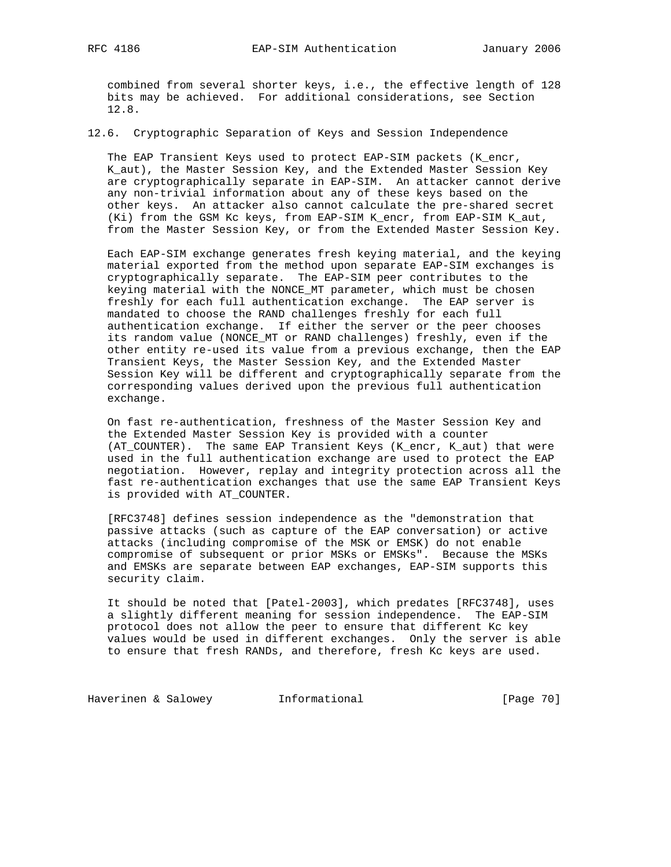combined from several shorter keys, i.e., the effective length of 128 bits may be achieved. For additional considerations, see Section 12.8.

12.6. Cryptographic Separation of Keys and Session Independence

 The EAP Transient Keys used to protect EAP-SIM packets (K\_encr, K\_aut), the Master Session Key, and the Extended Master Session Key are cryptographically separate in EAP-SIM. An attacker cannot derive any non-trivial information about any of these keys based on the other keys. An attacker also cannot calculate the pre-shared secret (Ki) from the GSM Kc keys, from EAP-SIM K\_encr, from EAP-SIM K\_aut, from the Master Session Key, or from the Extended Master Session Key.

 Each EAP-SIM exchange generates fresh keying material, and the keying material exported from the method upon separate EAP-SIM exchanges is cryptographically separate. The EAP-SIM peer contributes to the keying material with the NONCE\_MT parameter, which must be chosen freshly for each full authentication exchange. The EAP server is mandated to choose the RAND challenges freshly for each full authentication exchange. If either the server or the peer chooses its random value (NONCE\_MT or RAND challenges) freshly, even if the other entity re-used its value from a previous exchange, then the EAP Transient Keys, the Master Session Key, and the Extended Master Session Key will be different and cryptographically separate from the corresponding values derived upon the previous full authentication exchange.

 On fast re-authentication, freshness of the Master Session Key and the Extended Master Session Key is provided with a counter (AT\_COUNTER). The same EAP Transient Keys (K\_encr, K\_aut) that were used in the full authentication exchange are used to protect the EAP negotiation. However, replay and integrity protection across all the fast re-authentication exchanges that use the same EAP Transient Keys is provided with AT\_COUNTER.

 [RFC3748] defines session independence as the "demonstration that passive attacks (such as capture of the EAP conversation) or active attacks (including compromise of the MSK or EMSK) do not enable compromise of subsequent or prior MSKs or EMSKs". Because the MSKs and EMSKs are separate between EAP exchanges, EAP-SIM supports this security claim.

 It should be noted that [Patel-2003], which predates [RFC3748], uses a slightly different meaning for session independence. The EAP-SIM protocol does not allow the peer to ensure that different Kc key values would be used in different exchanges. Only the server is able to ensure that fresh RANDs, and therefore, fresh Kc keys are used.

Haverinen & Salowey **Informational Informational** [Page 70]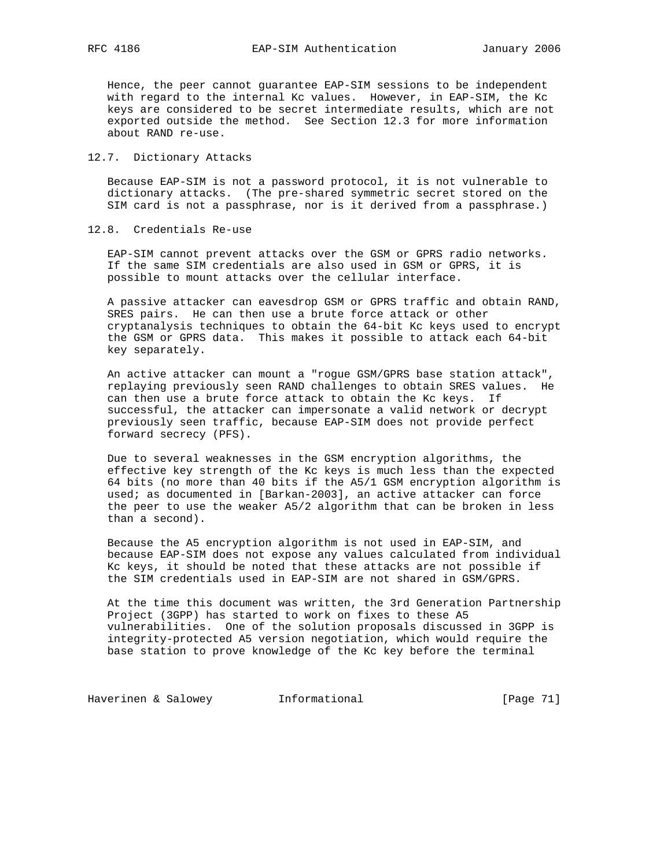Hence, the peer cannot guarantee EAP-SIM sessions to be independent with regard to the internal Kc values. However, in EAP-SIM, the Kc keys are considered to be secret intermediate results, which are not exported outside the method. See Section 12.3 for more information about RAND re-use.

### 12.7. Dictionary Attacks

 Because EAP-SIM is not a password protocol, it is not vulnerable to dictionary attacks. (The pre-shared symmetric secret stored on the SIM card is not a passphrase, nor is it derived from a passphrase.)

12.8. Credentials Re-use

 EAP-SIM cannot prevent attacks over the GSM or GPRS radio networks. If the same SIM credentials are also used in GSM or GPRS, it is possible to mount attacks over the cellular interface.

 A passive attacker can eavesdrop GSM or GPRS traffic and obtain RAND, SRES pairs. He can then use a brute force attack or other cryptanalysis techniques to obtain the 64-bit Kc keys used to encrypt the GSM or GPRS data. This makes it possible to attack each 64-bit key separately.

 An active attacker can mount a "rogue GSM/GPRS base station attack", replaying previously seen RAND challenges to obtain SRES values. He can then use a brute force attack to obtain the Kc keys. If successful, the attacker can impersonate a valid network or decrypt previously seen traffic, because EAP-SIM does not provide perfect forward secrecy (PFS).

 Due to several weaknesses in the GSM encryption algorithms, the effective key strength of the Kc keys is much less than the expected 64 bits (no more than 40 bits if the A5/1 GSM encryption algorithm is used; as documented in [Barkan-2003], an active attacker can force the peer to use the weaker A5/2 algorithm that can be broken in less than a second).

 Because the A5 encryption algorithm is not used in EAP-SIM, and because EAP-SIM does not expose any values calculated from individual Kc keys, it should be noted that these attacks are not possible if the SIM credentials used in EAP-SIM are not shared in GSM/GPRS.

 At the time this document was written, the 3rd Generation Partnership Project (3GPP) has started to work on fixes to these A5 vulnerabilities. One of the solution proposals discussed in 3GPP is integrity-protected A5 version negotiation, which would require the base station to prove knowledge of the Kc key before the terminal

Haverinen & Salowey **Informational Informational** [Page 71]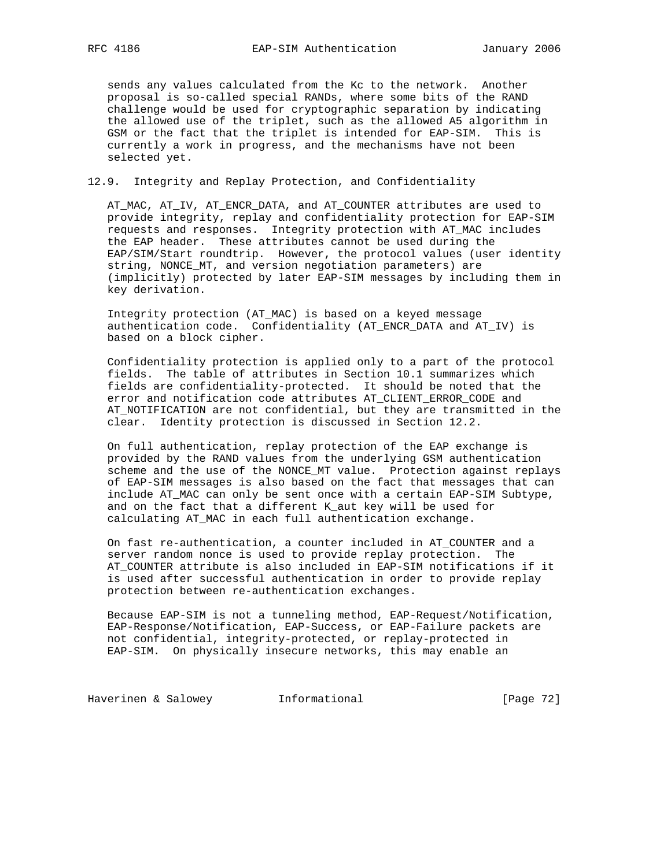sends any values calculated from the Kc to the network. Another proposal is so-called special RANDs, where some bits of the RAND challenge would be used for cryptographic separation by indicating the allowed use of the triplet, such as the allowed A5 algorithm in GSM or the fact that the triplet is intended for EAP-SIM. This is currently a work in progress, and the mechanisms have not been selected yet.

#### 12.9. Integrity and Replay Protection, and Confidentiality

 AT\_MAC, AT\_IV, AT\_ENCR\_DATA, and AT\_COUNTER attributes are used to provide integrity, replay and confidentiality protection for EAP-SIM requests and responses. Integrity protection with AT\_MAC includes the EAP header. These attributes cannot be used during the EAP/SIM/Start roundtrip. However, the protocol values (user identity string, NONCE MT, and version negotiation parameters) are (implicitly) protected by later EAP-SIM messages by including them in key derivation.

 Integrity protection (AT\_MAC) is based on a keyed message authentication code. Confidentiality (AT\_ENCR\_DATA and AT\_IV) is based on a block cipher.

 Confidentiality protection is applied only to a part of the protocol fields. The table of attributes in Section 10.1 summarizes which fields are confidentiality-protected. It should be noted that the error and notification code attributes AT\_CLIENT\_ERROR\_CODE and AT\_NOTIFICATION are not confidential, but they are transmitted in the clear. Identity protection is discussed in Section 12.2.

 On full authentication, replay protection of the EAP exchange is provided by the RAND values from the underlying GSM authentication scheme and the use of the NONCE\_MT value. Protection against replays of EAP-SIM messages is also based on the fact that messages that can include AT\_MAC can only be sent once with a certain EAP-SIM Subtype, and on the fact that a different K\_aut key will be used for calculating AT\_MAC in each full authentication exchange.

 On fast re-authentication, a counter included in AT\_COUNTER and a server random nonce is used to provide replay protection. The AT\_COUNTER attribute is also included in EAP-SIM notifications if it is used after successful authentication in order to provide replay protection between re-authentication exchanges.

 Because EAP-SIM is not a tunneling method, EAP-Request/Notification, EAP-Response/Notification, EAP-Success, or EAP-Failure packets are not confidential, integrity-protected, or replay-protected in EAP-SIM. On physically insecure networks, this may enable an

Haverinen & Salowey **Informational** [Page 72]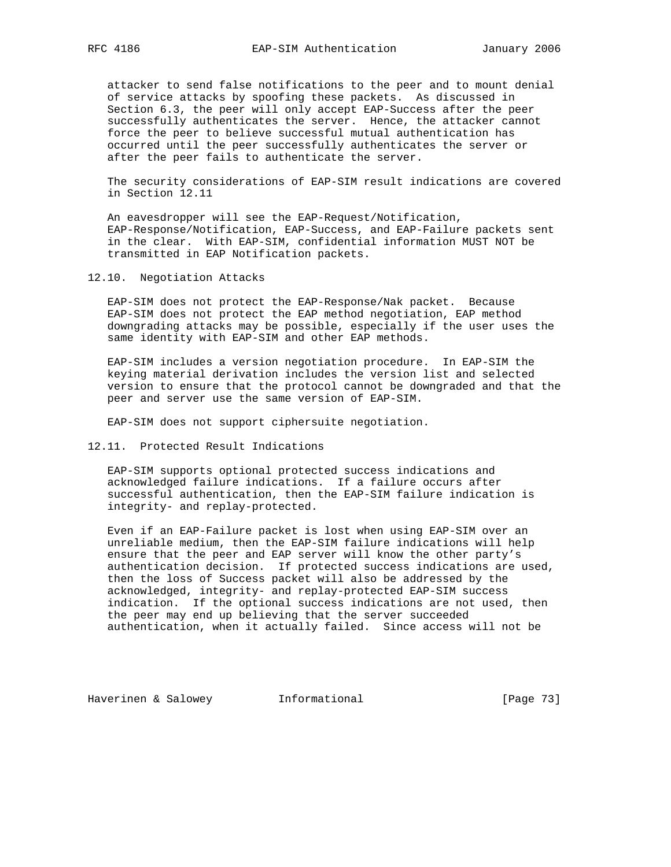attacker to send false notifications to the peer and to mount denial of service attacks by spoofing these packets. As discussed in Section 6.3, the peer will only accept EAP-Success after the peer successfully authenticates the server. Hence, the attacker cannot force the peer to believe successful mutual authentication has occurred until the peer successfully authenticates the server or after the peer fails to authenticate the server.

 The security considerations of EAP-SIM result indications are covered in Section 12.11

 An eavesdropper will see the EAP-Request/Notification, EAP-Response/Notification, EAP-Success, and EAP-Failure packets sent in the clear. With EAP-SIM, confidential information MUST NOT be transmitted in EAP Notification packets.

12.10. Negotiation Attacks

 EAP-SIM does not protect the EAP-Response/Nak packet. Because EAP-SIM does not protect the EAP method negotiation, EAP method downgrading attacks may be possible, especially if the user uses the same identity with EAP-SIM and other EAP methods.

 EAP-SIM includes a version negotiation procedure. In EAP-SIM the keying material derivation includes the version list and selected version to ensure that the protocol cannot be downgraded and that the peer and server use the same version of EAP-SIM.

EAP-SIM does not support ciphersuite negotiation.

12.11. Protected Result Indications

 EAP-SIM supports optional protected success indications and acknowledged failure indications. If a failure occurs after successful authentication, then the EAP-SIM failure indication is integrity- and replay-protected.

 Even if an EAP-Failure packet is lost when using EAP-SIM over an unreliable medium, then the EAP-SIM failure indications will help ensure that the peer and EAP server will know the other party's authentication decision. If protected success indications are used, then the loss of Success packet will also be addressed by the acknowledged, integrity- and replay-protected EAP-SIM success indication. If the optional success indications are not used, then the peer may end up believing that the server succeeded authentication, when it actually failed. Since access will not be

Haverinen & Salowey **Informational** [Page 73]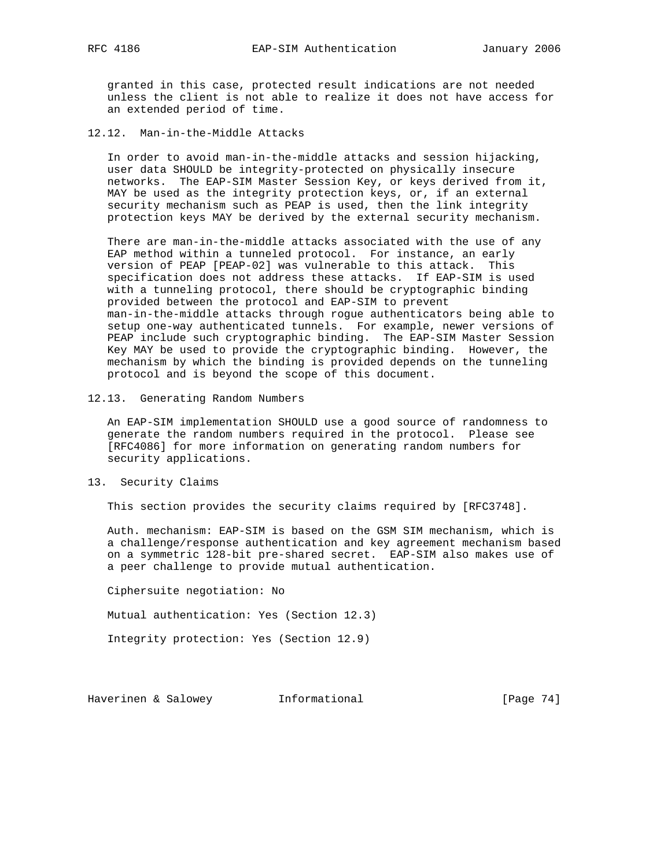granted in this case, protected result indications are not needed unless the client is not able to realize it does not have access for an extended period of time.

12.12. Man-in-the-Middle Attacks

 In order to avoid man-in-the-middle attacks and session hijacking, user data SHOULD be integrity-protected on physically insecure networks. The EAP-SIM Master Session Key, or keys derived from it, MAY be used as the integrity protection keys, or, if an external security mechanism such as PEAP is used, then the link integrity protection keys MAY be derived by the external security mechanism.

 There are man-in-the-middle attacks associated with the use of any EAP method within a tunneled protocol. For instance, an early version of PEAP [PEAP-02] was vulnerable to this attack. This specification does not address these attacks. If EAP-SIM is used with a tunneling protocol, there should be cryptographic binding provided between the protocol and EAP-SIM to prevent man-in-the-middle attacks through rogue authenticators being able to setup one-way authenticated tunnels. For example, newer versions of PEAP include such cryptographic binding. The EAP-SIM Master Session Key MAY be used to provide the cryptographic binding. However, the mechanism by which the binding is provided depends on the tunneling protocol and is beyond the scope of this document.

12.13. Generating Random Numbers

 An EAP-SIM implementation SHOULD use a good source of randomness to generate the random numbers required in the protocol. Please see [RFC4086] for more information on generating random numbers for security applications.

13. Security Claims

This section provides the security claims required by [RFC3748].

 Auth. mechanism: EAP-SIM is based on the GSM SIM mechanism, which is a challenge/response authentication and key agreement mechanism based on a symmetric 128-bit pre-shared secret. EAP-SIM also makes use of a peer challenge to provide mutual authentication.

Ciphersuite negotiation: No

Mutual authentication: Yes (Section 12.3)

Integrity protection: Yes (Section 12.9)

Haverinen & Salowey **Informational** [Page 74]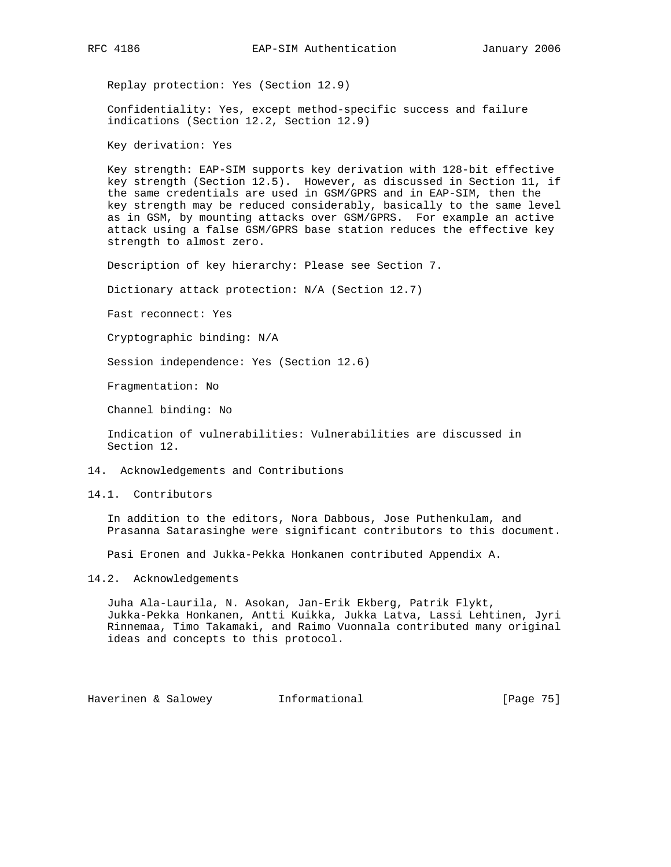Replay protection: Yes (Section 12.9)

 Confidentiality: Yes, except method-specific success and failure indications (Section 12.2, Section 12.9)

Key derivation: Yes

 Key strength: EAP-SIM supports key derivation with 128-bit effective key strength (Section 12.5). However, as discussed in Section 11, if the same credentials are used in GSM/GPRS and in EAP-SIM, then the key strength may be reduced considerably, basically to the same level as in GSM, by mounting attacks over GSM/GPRS. For example an active attack using a false GSM/GPRS base station reduces the effective key strength to almost zero.

Description of key hierarchy: Please see Section 7.

Dictionary attack protection: N/A (Section 12.7)

Fast reconnect: Yes

Cryptographic binding: N/A

Session independence: Yes (Section 12.6)

Fragmentation: No

Channel binding: No

 Indication of vulnerabilities: Vulnerabilities are discussed in Section 12.

14. Acknowledgements and Contributions

14.1. Contributors

 In addition to the editors, Nora Dabbous, Jose Puthenkulam, and Prasanna Satarasinghe were significant contributors to this document.

Pasi Eronen and Jukka-Pekka Honkanen contributed Appendix A.

14.2. Acknowledgements

 Juha Ala-Laurila, N. Asokan, Jan-Erik Ekberg, Patrik Flykt, Jukka-Pekka Honkanen, Antti Kuikka, Jukka Latva, Lassi Lehtinen, Jyri Rinnemaa, Timo Takamaki, and Raimo Vuonnala contributed many original ideas and concepts to this protocol.

Haverinen & Salowey **Informational** [Page 75]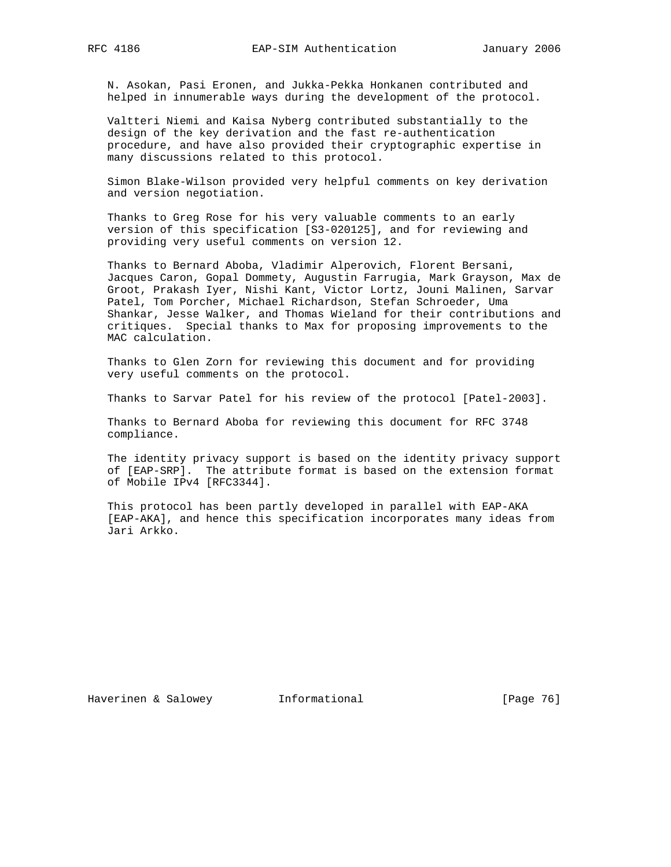N. Asokan, Pasi Eronen, and Jukka-Pekka Honkanen contributed and helped in innumerable ways during the development of the protocol.

 Valtteri Niemi and Kaisa Nyberg contributed substantially to the design of the key derivation and the fast re-authentication procedure, and have also provided their cryptographic expertise in many discussions related to this protocol.

 Simon Blake-Wilson provided very helpful comments on key derivation and version negotiation.

 Thanks to Greg Rose for his very valuable comments to an early version of this specification [S3-020125], and for reviewing and providing very useful comments on version 12.

 Thanks to Bernard Aboba, Vladimir Alperovich, Florent Bersani, Jacques Caron, Gopal Dommety, Augustin Farrugia, Mark Grayson, Max de Groot, Prakash Iyer, Nishi Kant, Victor Lortz, Jouni Malinen, Sarvar Patel, Tom Porcher, Michael Richardson, Stefan Schroeder, Uma Shankar, Jesse Walker, and Thomas Wieland for their contributions and critiques. Special thanks to Max for proposing improvements to the MAC calculation.

 Thanks to Glen Zorn for reviewing this document and for providing very useful comments on the protocol.

Thanks to Sarvar Patel for his review of the protocol [Patel-2003].

 Thanks to Bernard Aboba for reviewing this document for RFC 3748 compliance.

 The identity privacy support is based on the identity privacy support of [EAP-SRP]. The attribute format is based on the extension format of Mobile IPv4 [RFC3344].

 This protocol has been partly developed in parallel with EAP-AKA [EAP-AKA], and hence this specification incorporates many ideas from Jari Arkko.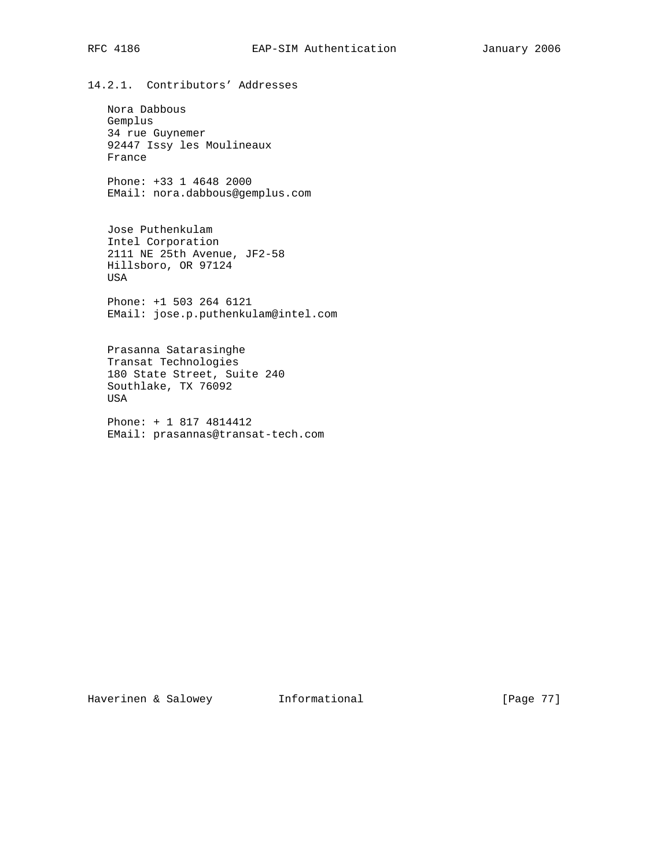14.2.1. Contributors' Addresses

 Nora Dabbous Gemplus 34 rue Guynemer 92447 Issy les Moulineaux France

 Phone: +33 1 4648 2000 EMail: nora.dabbous@gemplus.com

 Jose Puthenkulam Intel Corporation 2111 NE 25th Avenue, JF2-58 Hillsboro, OR 97124 USA

 Phone: +1 503 264 6121 EMail: jose.p.puthenkulam@intel.com

 Prasanna Satarasinghe Transat Technologies 180 State Street, Suite 240 Southlake, TX 76092 USA

 Phone: + 1 817 4814412 EMail: prasannas@transat-tech.com

Haverinen & Salowey **Informational** [Page 77]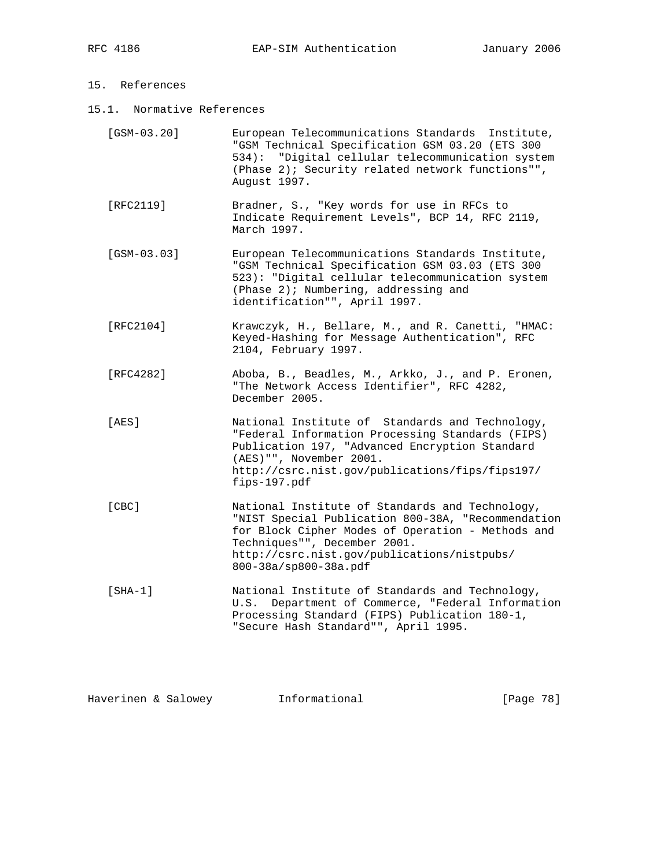## 15. References

15.1. Normative References

| $[GSM-03.20]$ | European Telecommunications Standards Institute,<br>"GSM Technical Specification GSM 03.20 (ETS 300<br>534): "Digital cellular telecommunication system<br>(Phase 2); Security related network functions"",<br>August 1997.                                        |
|---------------|--------------------------------------------------------------------------------------------------------------------------------------------------------------------------------------------------------------------------------------------------------------------|
| [RFC2119]     | Bradner, S., "Key words for use in RFCs to<br>Indicate Requirement Levels", BCP 14, RFC 2119,<br>March 1997.                                                                                                                                                       |
| $[GSM-03.03]$ | European Telecommunications Standards Institute,<br>"GSM Technical Specification GSM 03.03 (ETS 300<br>523): "Digital cellular telecommunication system<br>(Phase 2); Numbering, addressing and<br>identification"", April 1997.                                   |
| [ $RFC2104$ ] | Krawczyk, H., Bellare, M., and R. Canetti, "HMAC:<br>Keyed-Hashing for Message Authentication", RFC<br>2104, February 1997.                                                                                                                                        |
| [RFC4282]     | Aboba, B., Beadles, M., Arkko, J., and P. Eronen,<br>"The Network Access Identifier", RFC 4282,<br>December 2005.                                                                                                                                                  |
| [AES]         | National Institute of Standards and Technology,<br>"Federal Information Processing Standards (FIPS)<br>Publication 197, "Advanced Encryption Standard<br>(AES) "", November 2001.<br>http://csrc.nist.gov/publications/fips/fips197/<br>fips-197.pdf               |
| [CBC]         | National Institute of Standards and Technology,<br>"NIST Special Publication 800-38A, "Recommendation<br>for Block Cipher Modes of Operation - Methods and<br>Techniques"", December 2001.<br>http://csrc.nist.gov/publications/nistpubs/<br>800-38a/sp800-38a.pdf |
| $[SHA-1]$     | National Institute of Standards and Technology,<br>Department of Commerce, "Federal Information<br>U.S.<br>Processing Standard (FIPS) Publication 180-1,<br>"Secure Hash Standard"", April 1995.                                                                   |

Haverinen & Salowey **Informational** [Page 78]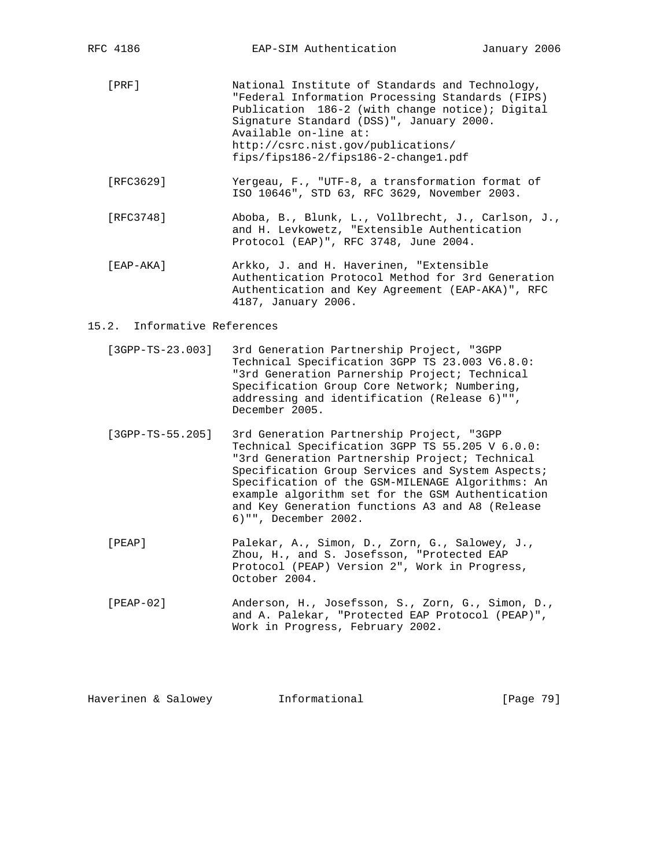- [PRF] National Institute of Standards and Technology, "Federal Information Processing Standards (FIPS) Publication 186-2 (with change notice); Digital Signature Standard (DSS)", January 2000. Available on-line at: http://csrc.nist.gov/publications/ fips/fips186-2/fips186-2-change1.pdf
- [RFC3629] Yergeau, F., "UTF-8, a transformation format of ISO 10646", STD 63, RFC 3629, November 2003.
- [RFC3748] Aboba, B., Blunk, L., Vollbrecht, J., Carlson, J., and H. Levkowetz, "Extensible Authentication Protocol (EAP)", RFC 3748, June 2004.
- [EAP-AKA] Arkko, J. and H. Haverinen, "Extensible Authentication Protocol Method for 3rd Generation Authentication and Key Agreement (EAP-AKA)", RFC 4187, January 2006.

#### 15.2. Informative References

- [3GPP-TS-23.003] 3rd Generation Partnership Project, "3GPP Technical Specification 3GPP TS 23.003 V6.8.0: "3rd Generation Parnership Project; Technical Specification Group Core Network; Numbering, addressing and identification (Release 6)"", December 2005.
- [3GPP-TS-55.205] 3rd Generation Partnership Project, "3GPP Technical Specification 3GPP TS 55.205 V 6.0.0: "3rd Generation Partnership Project; Technical Specification Group Services and System Aspects; Specification of the GSM-MILENAGE Algorithms: An example algorithm set for the GSM Authentication and Key Generation functions A3 and A8 (Release 6)"", December 2002.
- [PEAP] Palekar, A., Simon, D., Zorn, G., Salowey, J., Zhou, H., and S. Josefsson, "Protected EAP Protocol (PEAP) Version 2", Work in Progress, October 2004.
- [PEAP-02] Anderson, H., Josefsson, S., Zorn, G., Simon, D., and A. Palekar, "Protected EAP Protocol (PEAP)", Work in Progress, February 2002.

| Haverinen & Salowey<br>Informational |  |  | [Page 79] |
|--------------------------------------|--|--|-----------|
|--------------------------------------|--|--|-----------|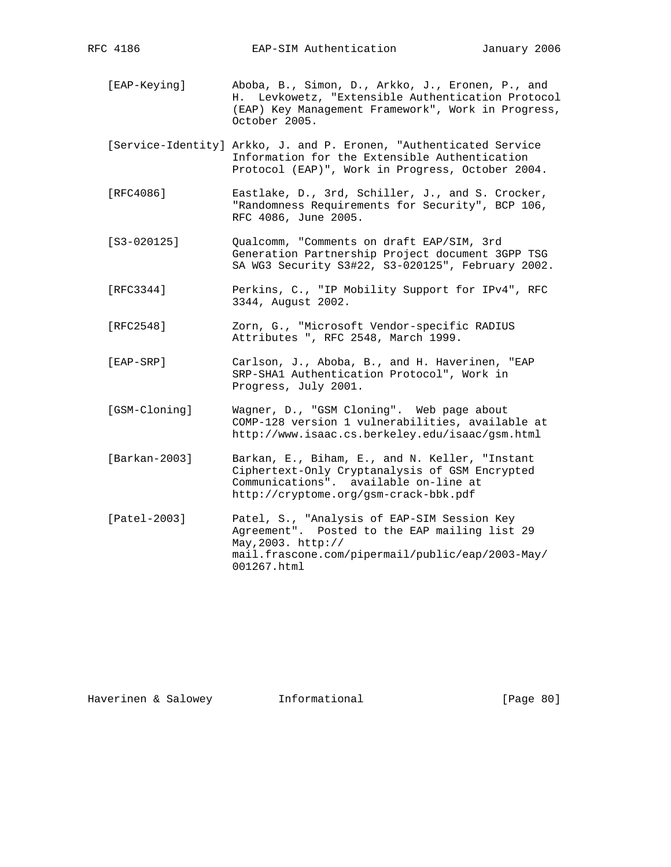- [EAP-Keying] Aboba, B., Simon, D., Arkko, J., Eronen, P., and H. Levkowetz, "Extensible Authentication Protocol (EAP) Key Management Framework", Work in Progress, October 2005.
- [Service-Identity] Arkko, J. and P. Eronen, "Authenticated Service Information for the Extensible Authentication Protocol (EAP)", Work in Progress, October 2004.
- [RFC4086] Eastlake, D., 3rd, Schiller, J., and S. Crocker, "Randomness Requirements for Security", BCP 106, RFC 4086, June 2005.
- [S3-020125] Qualcomm, "Comments on draft EAP/SIM, 3rd Generation Partnership Project document 3GPP TSG SA WG3 Security S3#22, S3-020125", February 2002.
- [RFC3344] Perkins, C., "IP Mobility Support for IPv4", RFC 3344, August 2002.
- [RFC2548] Zorn, G., "Microsoft Vendor-specific RADIUS Attributes ", RFC 2548, March 1999.
- [EAP-SRP] Carlson, J., Aboba, B., and H. Haverinen, "EAP SRP-SHA1 Authentication Protocol", Work in Progress, July 2001.
- [GSM-Cloning] Wagner, D., "GSM Cloning". Web page about COMP-128 version 1 vulnerabilities, available at http://www.isaac.cs.berkeley.edu/isaac/gsm.html
- [Barkan-2003] Barkan, E., Biham, E., and N. Keller, "Instant Ciphertext-Only Cryptanalysis of GSM Encrypted Communications". available on-line at http://cryptome.org/gsm-crack-bbk.pdf
- [Patel-2003] Patel, S., "Analysis of EAP-SIM Session Key Agreement". Posted to the EAP mailing list 29 May,2003. http:// mail.frascone.com/pipermail/public/eap/2003-May/ 001267.html

Haverinen & Salowey Informational [Page 80]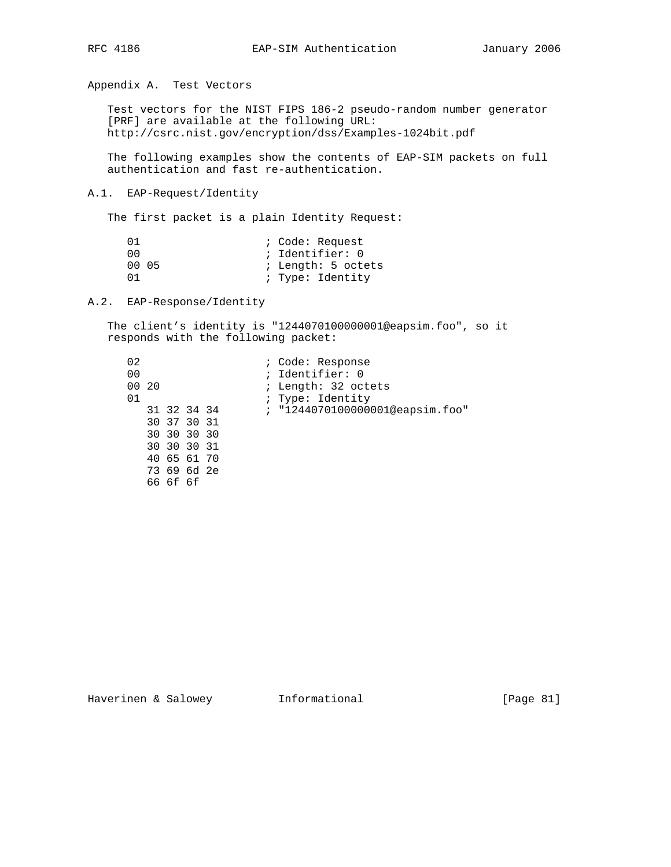Appendix A. Test Vectors

 Test vectors for the NIST FIPS 186-2 pseudo-random number generator [PRF] are available at the following URL: http://csrc.nist.gov/encryption/dss/Examples-1024bit.pdf

 The following examples show the contents of EAP-SIM packets on full authentication and fast re-authentication.

#### A.1. EAP-Request/Identity

The first packet is a plain Identity Request:

| (1)   |  | ; Code: Request    |
|-------|--|--------------------|
| n n   |  | ; Identifier: 0    |
| 00 05 |  | ; Length: 5 octets |
| 01    |  | ; Type: Identity   |

A.2. EAP-Response/Identity

 The client's identity is "1244070100000001@eapsim.foo", so it responds with the following packet:

| 02             |             |  | ; Code: Response                |
|----------------|-------------|--|---------------------------------|
| 0 <sub>0</sub> |             |  | ; Identifier: 0                 |
| 00 20          |             |  | ; Length: 32 octets             |
| 01             |             |  | ; Type: Identity                |
|                | 31 32 34 34 |  | ; "1244070100000001@eapsim.foo" |
|                | 30 37 30 31 |  |                                 |
|                | 30 30 30 30 |  |                                 |
|                | 30 30 30 31 |  |                                 |
|                | 40 65 61 70 |  |                                 |
|                | 73 69 6d 2e |  |                                 |
|                | 66 6f 6f    |  |                                 |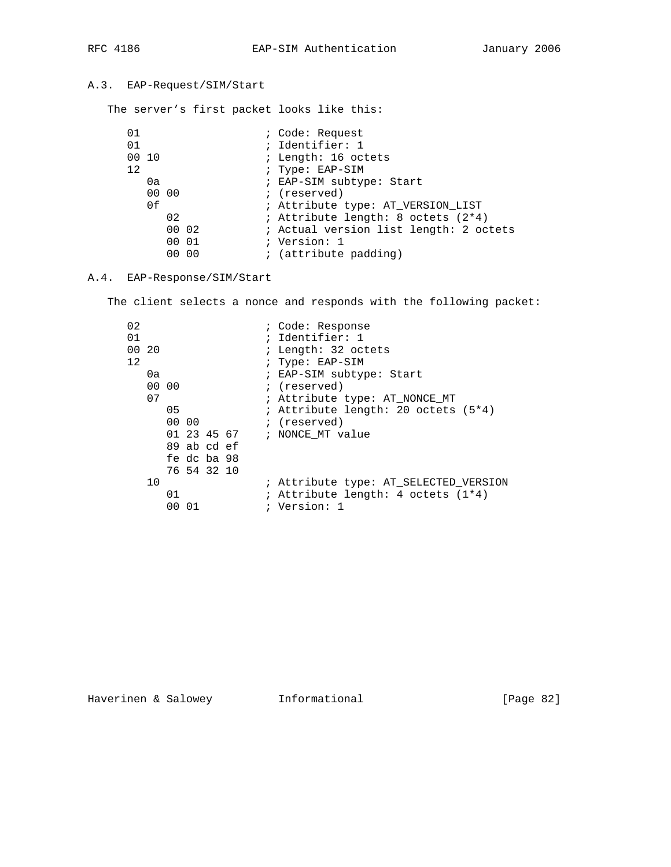# A.3. EAP-Request/SIM/Start

The server's first packet looks like this:

| 01    |                 |       | ; Code: Request                        |
|-------|-----------------|-------|----------------------------------------|
| 01    |                 |       | ; Identifier: 1                        |
| 00 10 |                 |       | ; Length: 16 octets                    |
| 12    |                 |       | ; Type: EAP-SIM                        |
|       | 0a              |       | ; EAP-SIM subtype: Start               |
|       | 00 00           |       | ; (reserved)                           |
|       | 0f              |       | ; Attribute type: AT_VERSION_LIST      |
|       | 02              |       | ; Attribute length: 8 octets (2*4)     |
|       |                 | 00 02 | ; Actual version list length: 2 octets |
|       |                 | 00 01 | ; Version: 1                           |
|       | 00 <sup>o</sup> | - 00  | ; (attribute padding)                  |

## A.4. EAP-Response/SIM/Start

The client selects a nonce and responds with the following packet:

| 02<br>; Code: Response         |                                       |
|--------------------------------|---------------------------------------|
| ; Identifier: 1<br>01          |                                       |
| 00 20<br>; Length: 32 octets   |                                       |
| 12<br>; Type: EAP-SIM          |                                       |
| ; EAP-SIM subtype: Start<br>0a |                                       |
| 00 00<br>; (reserved)          |                                       |
| 07                             | ; Attribute type: AT_NONCE_MT         |
| 05                             | ; Attribute length: 20 octets (5*4)   |
| 00 00<br>; (reserved)          |                                       |
| 01 23 45 67 ; NONCE MT value   |                                       |
| 89 ab cd ef                    |                                       |
| fe dc ba 98                    |                                       |
| 76 54 32 10                    |                                       |
| 10                             | ; Attribute type: AT_SELECTED_VERSION |
| 01                             | ; Attribute length: 4 octets (1*4)    |
| ; Version: 1<br>- 01<br>00     |                                       |

Haverinen & Salowey **Informational Informational** [Page 82]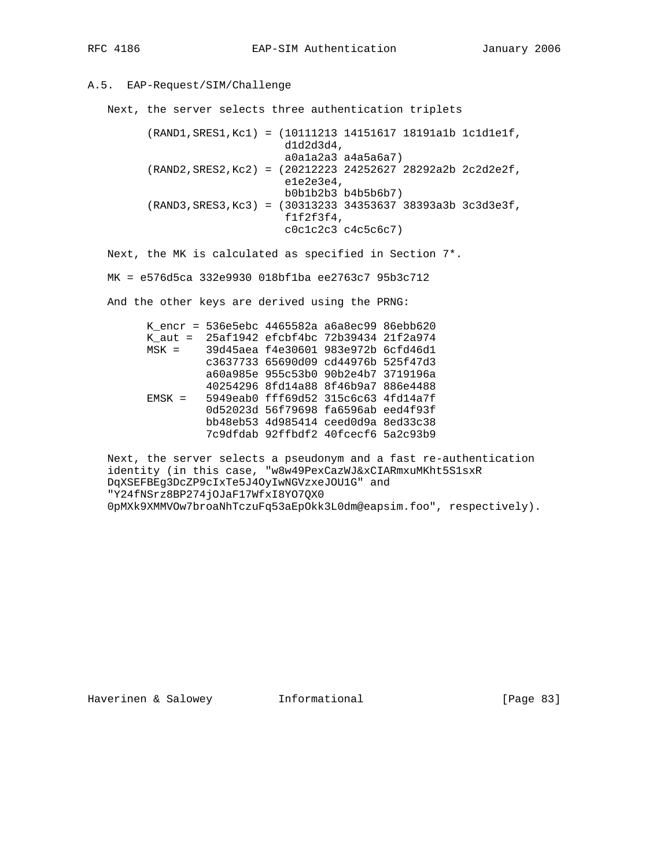## A.5. EAP-Request/SIM/Challenge

Next, the server selects three authentication triplets

```
 (RAND1,SRES1,Kc1) = (10111213 14151617 18191a1b 1c1d1e1f,
                      d1d2d3d4,
                      a0a1a2a3 a4a5a6a7)
 (RAND2,SRES2,Kc2) = (20212223 24252627 28292a2b 2c2d2e2f,
                      e1e2e3e4,
                      b0b1b2b3 b4b5b6b7)
 (RAND3,SRES3,Kc3) = (30313233 34353637 38393a3b 3c3d3e3f,
                      f1f2f3f4,
                      c0c1c2c3 c4c5c6c7)
```
Next, the MK is calculated as specified in Section 7\*.

MK = e576d5ca 332e9930 018bf1ba ee2763c7 95b3c712

And the other keys are derived using the PRNG:

|  |  | K_encr = 536e5ebc 4465582a a6a8ec99 86ebb620 |  |
|--|--|----------------------------------------------|--|
|  |  | K aut = 25af1942 efcbf4bc 72b39434 21f2a974  |  |
|  |  | MSK = 39d45aea f4e30601 983e972b 6cfd46d1    |  |
|  |  | c3637733 65690d09 cd44976b 525f47d3          |  |
|  |  | a60a985e 955c53b0 90b2e4b7 3719196a          |  |
|  |  | 40254296 8fd14a88 8f46b9a7 886e4488          |  |
|  |  | $EMSK = 5949eab0 fff69d52 315c6c63 4fd14a7f$ |  |
|  |  | 0d52023d 56f79698 fa6596ab eed4f93f          |  |
|  |  | bb48eb53 4d985414 ceed0d9a 8ed33c38          |  |
|  |  | 7c9dfdab 92ffbdf2 40fcecf6 5a2c93b9          |  |
|  |  |                                              |  |

 Next, the server selects a pseudonym and a fast re-authentication identity (in this case, "w8w49PexCazWJ&xCIARmxuMKht5S1sxR DqXSEFBEg3DcZP9cIxTe5J4OyIwNGVzxeJOU1G" and "Y24fNSrz8BP274jOJaF17WfxI8YO7QX0 0pMXk9XMMVOw7broaNhTczuFq53aEpOkk3L0dm@eapsim.foo", respectively).

Haverinen & Salowey Informational [Page 83]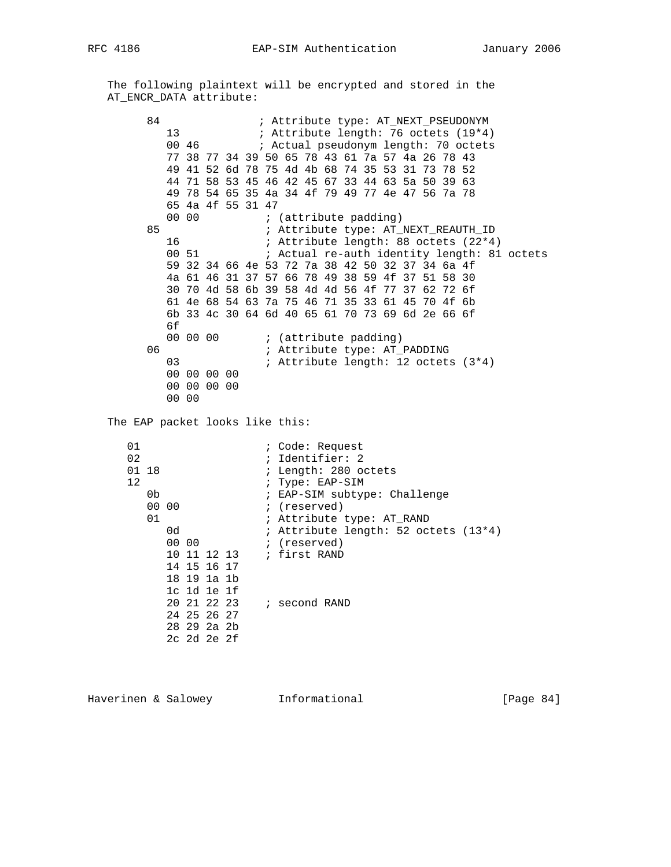The following plaintext will be encrypted and stored in the AT\_ENCR\_DATA attribute:

84 : Attribute type: AT\_NEXT\_PSEUDONYM 13 6 : Attribute length: 76 octets (19\*4) 00 46 ; Actual pseudonym length: 70 octets 77 38 77 34 39 50 65 78 43 61 7a 57 4a 26 78 43 49 41 52 6d 78 75 4d 4b 68 74 35 53 31 73 78 52 44 71 58 53 45 46 42 45 67 33 44 63 5a 50 39 63 49 78 54 65 35 4a 34 4f 79 49 77 4e 47 56 7a 78 65 4a 4f 55 31 47 00 00 ; (attribute padding) 85 ; Attribute type: AT\_NEXT\_REAUTH\_ID<br>16 ; Attribute length: 88 octets (22\*4 16 ; Attribute length: 88 octets (22\*4) ; Actual re-auth identity length: 81 octets 59 32 34 66 4e 53 72 7a 38 42 50 32 37 34 6a 4f 4a 61 46 31 37 57 66 78 49 38 59 4f 37 51 58 30 30 70 4d 58 6b 39 58 4d 4d 56 4f 77 37 62 72 6f 61 4e 68 54 63 7a 75 46 71 35 33 61 45 70 4f 6b 6b 33 4c 30 64 6d 40 65 61 70 73 69 6d 2e 66 6f 6f 00 00 00 ; (attribute padding) 06 : Attribute type: AT\_PADDING 03 : Attribute length: 12 octets (3\*4) 00 00 00 00 00 00 00 00 00 00 The EAP packet looks like this: 01 i Code: Request 02 ; Identifier: 2 ; Length: 280 octets 12 <br>
0b <br>
7 FAP-SIM subtype: EAP-SIM subtype: EAP-SIM subtype: 2019 0b <br>
00 00 ; (reserved)<br>
00 00 ; (reserved) 00 00 **;** (reserved) 01 ; Attribute type: AT\_RAND 0d ; Attribute length: 52 octets (13\*4) 00 00 **1** (reserved) 10 11 12 13 ; first RAND 14 15 16 17 18 19 1a 1b 1c 1d 1e 1f 20 21 22 23 ; second RAND 24 25 26 27 28 29 2a 2b 2c 2d 2e 2f

Haverinen & Salowey **Informational** [Page 84]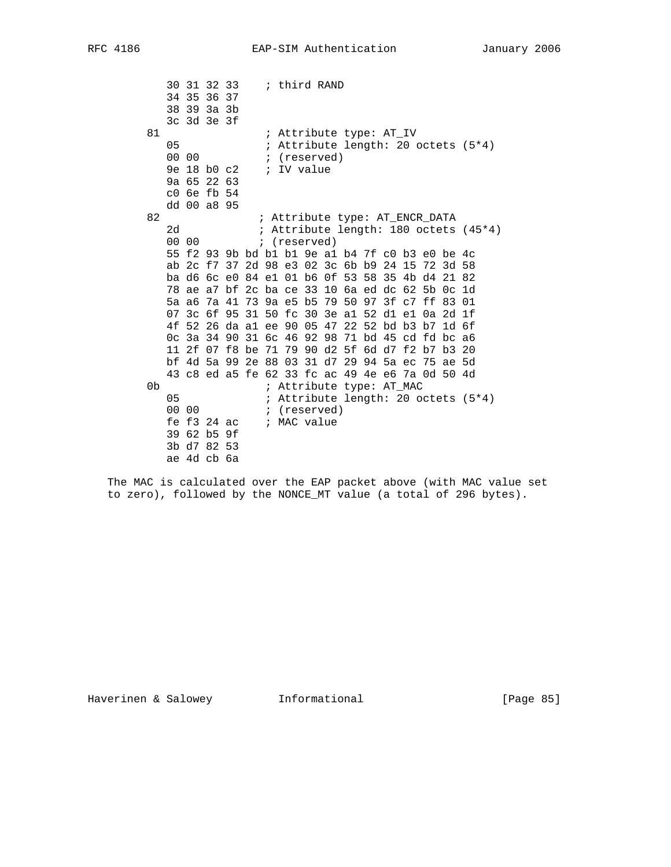30 31 32 33 ; third RAND 34 35 36 37 38 39 3a 3b 3c 3d 3e 3f 81 **:** Attribute type: AT\_IV 05 ; Attribute length: 20 octets (5\*4) 00 00 **;** (reserved) 9e 18 b0 c2  $\cdot$  iV value 9a 65 22 63 c0 6e fb 54 dd 00 a8 95 82 **:** Attribute type: AT\_ENCR\_DATA 2d ; Attribute length: 180 octets (45\*4) 00 00 (reserved) 55 f2 93 9b bd b1 b1 9e a1 b4 7f c0 b3 e0 be 4c ab 2c f7 37 2d 98 e3 02 3c 6b b9 24 15 72 3d 58 ba d6 6c e0 84 e1 01 b6 0f 53 58 35 4b d4 21 82 78 ae a7 bf 2c ba ce 33 10 6a ed dc 62 5b 0c 1d 5a a6 7a 41 73 9a e5 b5 79 50 97 3f c7 ff 83 01 07 3c 6f 95 31 50 fc 30 3e a1 52 d1 e1 0a 2d 1f 4f 52 26 da a1 ee 90 05 47 22 52 bd b3 b7 1d 6f 0c 3a 34 90 31 6c 46 92 98 71 bd 45 cd fd bc a6 11 2f 07 f8 be 71 79 90 d2 5f 6d d7 f2 b7 b3 20 bf 4d 5a 99 2e 88 03 31 d7 29 94 5a ec 75 ae 5d 43 c8 ed a5 fe 62 33 fc ac 49 4e e6 7a 0d 50 4d 0b ; Attribute type: AT\_MAC<br>05 ; Attribute length: 20 or 05 : Attribute length: 20 octets (5\*4)<br>00 00 : (reserved) ; (reserved) fe f3 24 ac ; MAC value 39 62 b5 9f 3b d7 82 53 ae 4d cb 6a

 The MAC is calculated over the EAP packet above (with MAC value set to zero), followed by the NONCE\_MT value (a total of 296 bytes).

Haverinen & Salowey **Informational Informational** [Page 85]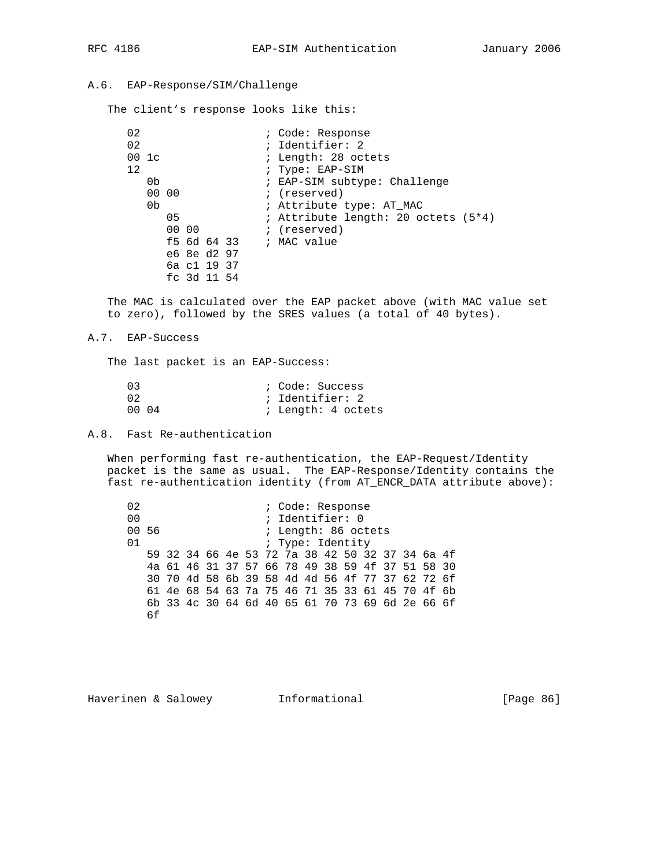## A.6. EAP-Response/SIM/Challenge

The client's response looks like this:

| 02 |                  |       |             |  | ; Code: Response                    |
|----|------------------|-------|-------------|--|-------------------------------------|
| 02 |                  |       |             |  | ; Identifier: 2                     |
|    | $00 \text{ } 1c$ |       |             |  | ; Length: 28 octets                 |
| 12 |                  |       |             |  | ; Type: EAP-SIM                     |
|    | 0b               |       |             |  | ; EAP-SIM subtype: Challenge        |
|    | 00 00            |       |             |  | ; (reserved)                        |
|    | 0 <sub>b</sub>   |       |             |  | ; Attribute type: AT MAC            |
|    |                  | 05    |             |  | ; Attribute length: 20 octets (5*4) |
|    |                  | 00 00 |             |  | ; (reserved)                        |
|    |                  |       |             |  | f5 6d 64 33 $\qquad$ ; MAC value    |
|    |                  |       | e6 8e d2 97 |  |                                     |
|    |                  |       | 6a c1 19 37 |  |                                     |
|    |                  |       | fc 3d 11 54 |  |                                     |

 The MAC is calculated over the EAP packet above (with MAC value set to zero), followed by the SRES values (a total of 40 bytes).

#### A.7. EAP-Success

The last packet is an EAP-Success:

| 03    |  | ; Code: Success    |  |  |
|-------|--|--------------------|--|--|
| 02.   |  | ; Identifier: 2    |  |  |
| 00 04 |  | ; Length: 4 octets |  |  |

A.8. Fast Re-authentication

 When performing fast re-authentication, the EAP-Request/Identity packet is the same as usual. The EAP-Response/Identity contains the fast re-authentication identity (from AT\_ENCR\_DATA attribute above):

 02 ; Code: Response 00 <br>00 56 <br>20 ; Length: 86 oc ; Length: 86 octets 01 <br>
01 <br>  $\qquad \qquad ; \text{ Type: Identity}$  59 32 34 66 4e 53 72 7a 38 42 50 32 37 34 6a 4f 4a 61 46 31 37 57 66 78 49 38 59 4f 37 51 58 30 30 70 4d 58 6b 39 58 4d 4d 56 4f 77 37 62 72 6f 61 4e 68 54 63 7a 75 46 71 35 33 61 45 70 4f 6b 6b 33 4c 30 64 6d 40 65 61 70 73 69 6d 2e 66 6f 6f

Haverinen & Salowey **Informational** [Page 86]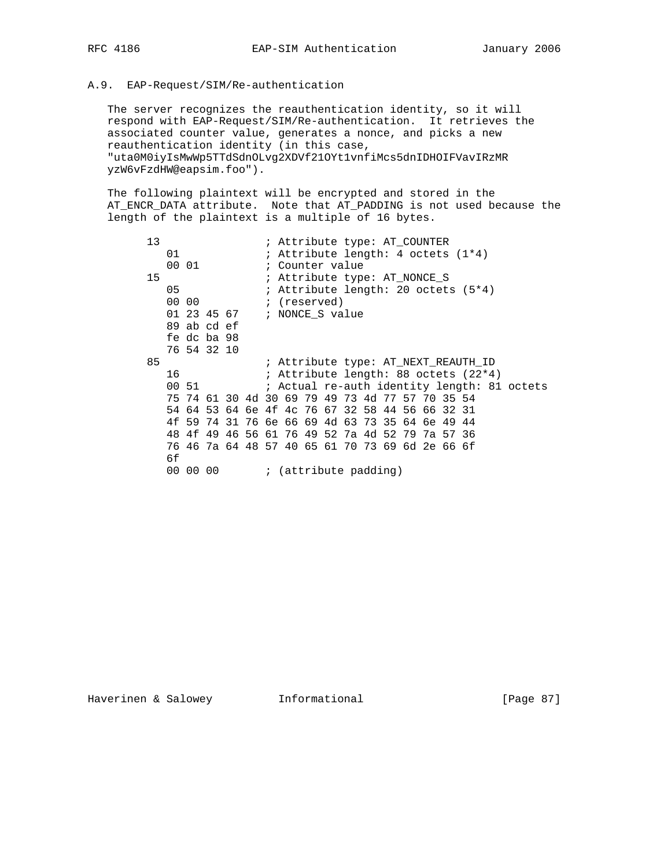### A.9. EAP-Request/SIM/Re-authentication

 The server recognizes the reauthentication identity, so it will respond with EAP-Request/SIM/Re-authentication. It retrieves the associated counter value, generates a nonce, and picks a new reauthentication identity (in this case, "uta0M0iyIsMwWp5TTdSdnOLvg2XDVf21OYt1vnfiMcs5dnIDHOIFVavIRzMR yzW6vFzdHW@eapsim.foo").

 The following plaintext will be encrypted and stored in the AT\_ENCR\_DATA attribute. Note that AT\_PADDING is not used because the length of the plaintext is a multiple of 16 bytes.

| 13 |    |       |             |  | ; Attribute type: AT COUNTER                    |  |  |  |  |                                      |                                             |
|----|----|-------|-------------|--|-------------------------------------------------|--|--|--|--|--------------------------------------|---------------------------------------------|
|    | 01 |       |             |  |                                                 |  |  |  |  | ; Attribute length: 4 octets (1*4)   |                                             |
|    |    | 00 01 |             |  | ; Counter value                                 |  |  |  |  |                                      |                                             |
| 15 |    |       |             |  | ; Attribute type: AT NONCE S                    |  |  |  |  |                                      |                                             |
|    | 05 |       |             |  |                                                 |  |  |  |  | ; Attribute length: 20 octets (5*4)  |                                             |
|    |    | 00 00 |             |  | ; (reserved)                                    |  |  |  |  |                                      |                                             |
|    |    |       | 01 23 45 67 |  | ; NONCE S value                                 |  |  |  |  |                                      |                                             |
|    |    |       | 89 ab cd ef |  |                                                 |  |  |  |  |                                      |                                             |
|    |    |       | fe dc ba 98 |  |                                                 |  |  |  |  |                                      |                                             |
|    |    |       | 76 54 32 10 |  |                                                 |  |  |  |  |                                      |                                             |
| 85 |    |       |             |  |                                                 |  |  |  |  | ; Attribute type: AT NEXT REAUTH ID  |                                             |
|    | 16 |       |             |  |                                                 |  |  |  |  | ; Attribute length: 88 octets (22*4) |                                             |
|    |    | 00 51 |             |  |                                                 |  |  |  |  |                                      | ; Actual re-auth identity length: 81 octets |
|    |    |       |             |  | 75 74 61 30 4d 30 69 79 49 73 4d 77 57 70 35 54 |  |  |  |  |                                      |                                             |
|    |    |       |             |  | 54 64 53 64 6e 4f 4c 76 67 32 58 44 56 66 32 31 |  |  |  |  |                                      |                                             |
|    |    |       |             |  | 4f 59 74 31 76 6e 66 69 4d 63 73 35 64 6e 49 44 |  |  |  |  |                                      |                                             |
|    |    |       |             |  | 48 4f 49 46 56 61 76 49 52 7a 4d 52 79 7a 57 36 |  |  |  |  |                                      |                                             |
|    |    |       |             |  | 76 46 7a 64 48 57 40 65 61 70 73 69 6d 2e 66 6f |  |  |  |  |                                      |                                             |
|    | 6f |       |             |  |                                                 |  |  |  |  |                                      |                                             |
|    |    |       | 00 00 00    |  | ; (attribute padding)                           |  |  |  |  |                                      |                                             |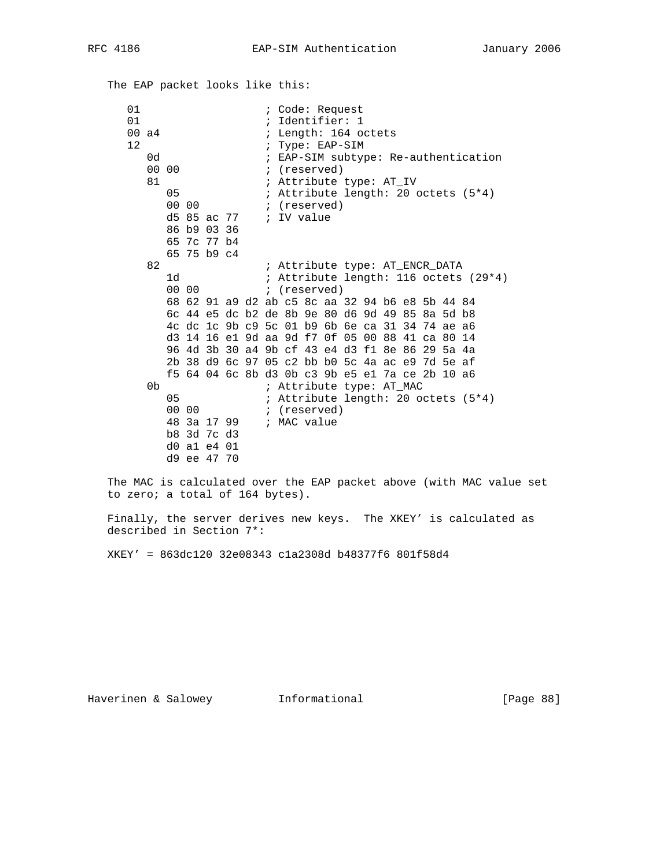The EAP packet looks like this:

01 i Code: Request 01 <br>
00 a4 <br>
164 <br>
164 <br>
164 <br>
164 <br>
164 <br>
165 <br>
165 <br>
165 <br>
166 <br>
166 <br>
166 <br>
166 <br>
166 <br>
166 <br>
166 <br>
166 <br>
166 <br>
166 <br>
166 <br>
166 <br>
166 <br>
166 <br>
166 <br>
166 <br>
166 <br>
166 <br>
166 <br>
166 <br>
166 <br>
166 <br>
166 <br>
166 <br>
166 <br>
166 <br>
166 <br> ; Length: 164 octets 12 **:** Type: EAP-SIM 0d ; EAP-SIM subtype: Re-authentication<br>00 00 ; (reserved) ; (reserved) 81 ; Attribute type: AT\_IV 05 ; Attribute length: 20 octets (5\*4) 00 00 **;** (reserved) d5 85 ac 77 ; IV value 86 b9 03 36 65 7c 77 b4 65 75 b9 c4 82 **:** Attribute type: AT\_ENCR\_DATA 1d ; Attribute length: 116 octets (29\*4) 00 00 **1** (reserved) 68 62 91 a9 d2 ab c5 8c aa 32 94 b6 e8 5b 44 84 6c 44 e5 dc b2 de 8b 9e 80 d6 9d 49 85 8a 5d b8 4c dc 1c 9b c9 5c 01 b9 6b 6e ca 31 34 74 ae a6 d3 14 16 e1 9d aa 9d f7 0f 05 00 88 41 ca 80 14 96 4d 3b 30 a4 9b cf 43 e4 d3 f1 8e 86 29 5a 4a 2b 38 d9 6c 97 05 c2 bb b0 5c 4a ac e9 7d 5e af f5 64 04 6c 8b d3 0b c3 9b e5 e1 7a ce 2b 10 a6 7 i Attribute type: AT\_MAC<br>05 ; Attribute length: 20 oo 05 : Attribute length: 20 octets  $(5*4)$ <br>00 00 : (reserved) ; (reserved) 48 3a 17 99 ; MAC value b8 3d 7c d3 d0 a1 e4 01 d9 ee 47 70

 The MAC is calculated over the EAP packet above (with MAC value set to zero; a total of 164 bytes).

 Finally, the server derives new keys. The XKEY' is calculated as described in Section 7\*:

XKEY' = 863dc120 32e08343 c1a2308d b48377f6 801f58d4

Haverinen & Salowey **Informational** [Page 88]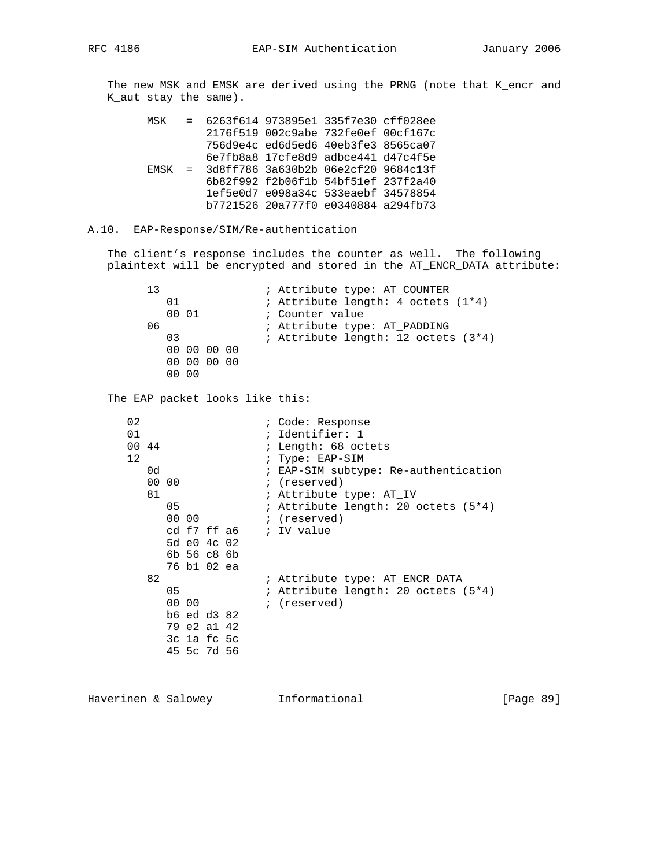The new MSK and EMSK are derived using the PRNG (note that K\_encr and K\_aut stay the same).

|  | MSK = 6263f614 973895e1 335f7e30 cff028ee    |                                     |  |
|--|----------------------------------------------|-------------------------------------|--|
|  |                                              | 2176f519 002c9abe 732fe0ef 00cf167c |  |
|  |                                              | 756d9e4c ed6d5ed6 40eb3fe3 8565ca07 |  |
|  |                                              | 6e7fb8a8 17cfe8d9 adbce441 d47c4f5e |  |
|  | $EMSK = 3d8ff786 3a630b2b 06e2cf20 9684c13f$ |                                     |  |
|  |                                              | 6b82f992 f2b06f1b 54bf51ef 237f2a40 |  |
|  |                                              | 1ef5e0d7 e098a34c 533eaebf 34578854 |  |
|  |                                              | b7721526 20a777f0 e0340884 a294fb73 |  |

#### A.10. EAP-Response/SIM/Re-authentication

 The client's response includes the counter as well. The following plaintext will be encrypted and stored in the AT\_ENCR\_DATA attribute:

13 **:** Attribute type: AT\_COUNTER 01 **;** Attribute length: 4 octets (1\*4) 00 01 ; Counter value 06 : Attribute type: AT\_PADDING 03 : Attribute length: 12 octets (3\*4) 00 00 00 00 00 00 00 00 00 00 The EAP packet looks like this: 02 <br>01 ; Code: Response<br>1 ; Identifier: 1 01 ; Identifier: 1 ; Length: 68 octets 12 **:** Type: EAP-SIM 0d **i** EAP-SIM subtype: Re-authentication 00 00 ; (reserved) 81 ; Attribute type: AT\_IV 05 ; Attribute length: 20 octets (5\*4) 00 00 **;** (reserved) cd f7 ff a6 ; IV value 5d e0 4c 02 6b 56 c8 6b 76 b1 02 ea 82 ; Attribute type: AT\_ENCR\_DATA 05 : Attribute length: 20 octets (5\*4) 05 , ALLIDULE<br>00 00 ; (reserved) b6 ed d3 82 79 e2 a1 42 3c 1a fc 5c 45 5c 7d 56

Haverinen & Salowey Informational [Page 89]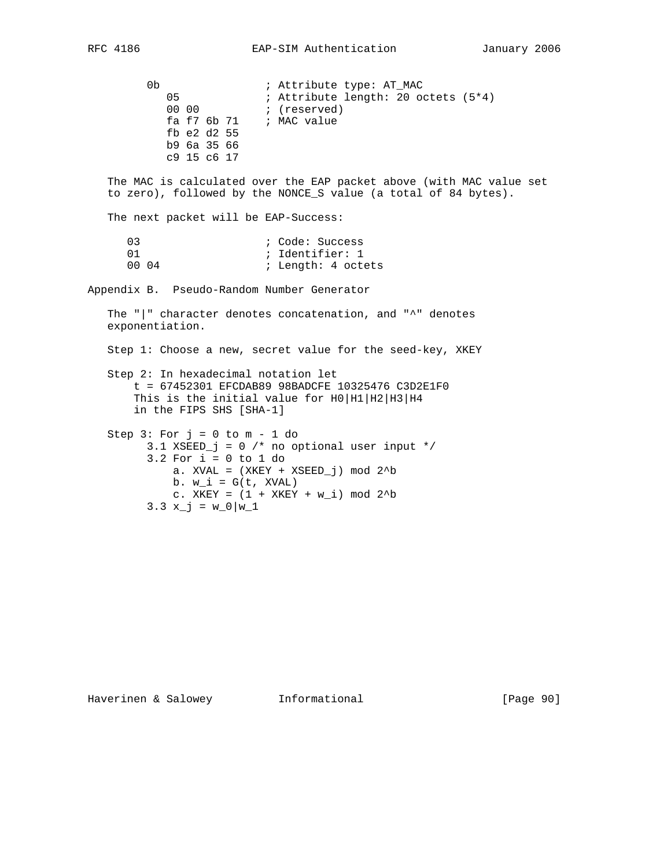0b  $\qquad \qquad ;$  Attribute type: AT\_MAC 05 ; Attribute length: 20 octets (5\*4) 00 00 **1** (reserved) fa f7 6b 71 ; MAC value fb e2 d2 55 b9 6a 35 66 c9 15 c6 17 The MAC is calculated over the EAP packet above (with MAC value set to zero), followed by the NONCE\_S value (a total of 84 bytes). The next packet will be EAP-Success: 03 ; Code: Success 01 ; Identifier: 1 ; Length: 4 octets Appendix B. Pseudo-Random Number Generator The "|" character denotes concatenation, and "^" denotes exponentiation. Step 1: Choose a new, secret value for the seed-key, XKEY Step 2: In hexadecimal notation let t = 67452301 EFCDAB89 98BADCFE 10325476 C3D2E1F0 This is the initial value for H0 |H1 |H2 |H3 |H4 in the FIPS SHS [SHA-1] Step  $3:$  For  $j = 0$  to  $m - 1$  do 3.1 XSEED\_j = 0 /\* no optional user input \*/ 3.2 For i = 0 to 1 do a. XVAL =  $(XKEY + XSEED_j)$  mod  $2^b$ b.  $w_i = G(t, XVAL)$ c. XKEY =  $(1 + XKEY + w_i) \mod 2^b$  $3.3 x_j = w_0|w_1$ 

Haverinen & Salowey Informational [Page 90]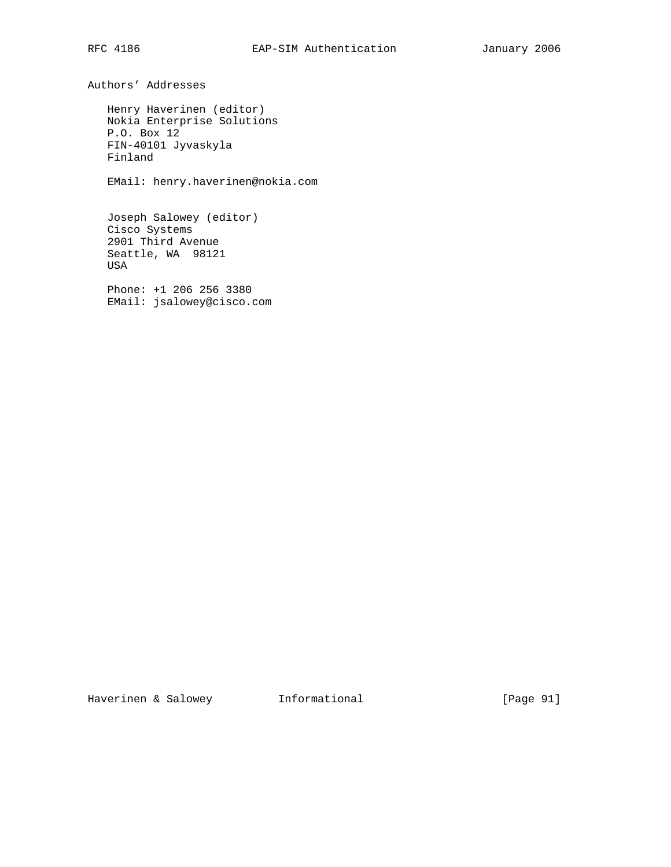Authors' Addresses Henry Haverinen (editor) Nokia Enterprise Solutions P.O. Box 12 FIN-40101 Jyvaskyla Finland EMail: henry.haverinen@nokia.com

 Joseph Salowey (editor) Cisco Systems 2901 Third Avenue Seattle, WA 98121 USA

 Phone: +1 206 256 3380 EMail: jsalowey@cisco.com